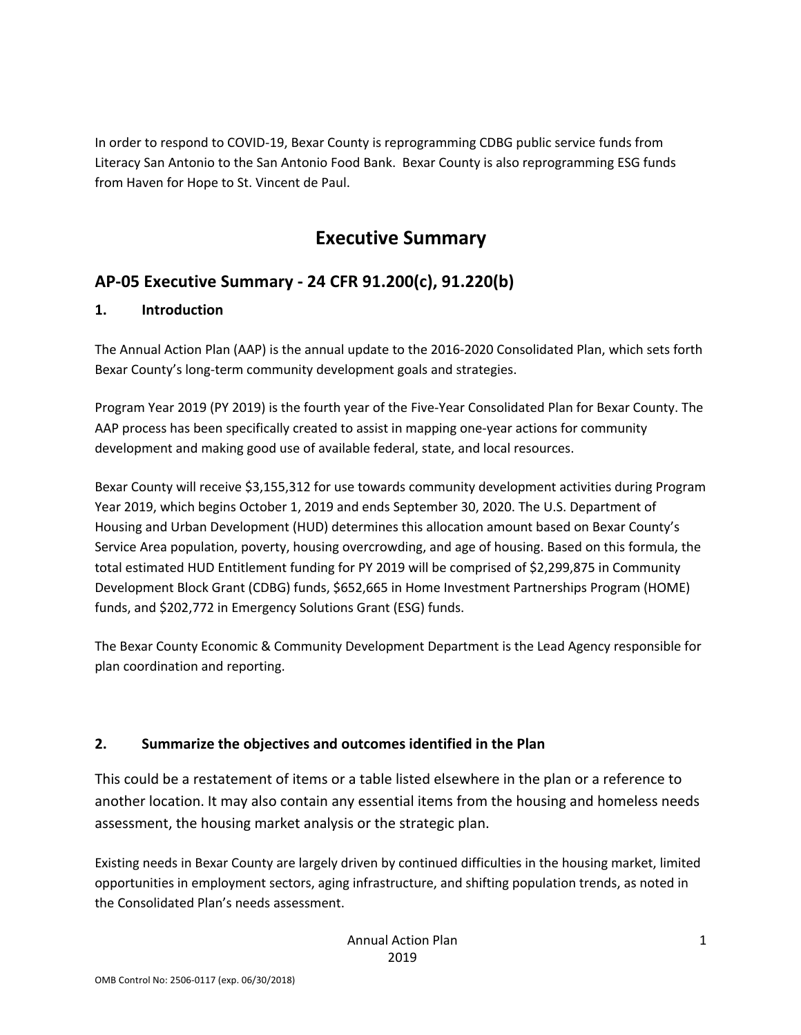In order to respond to COVID-19, Bexar County is reprogramming CDBG public service funds from Literacy San Antonio to the San Antonio Food Bank. Bexar County is also reprogramming ESG funds from Haven for Hope to St. Vincent de Paul.

# **Executive Summary**

## **AP-05 Executive Summary - 24 CFR 91.200(c), 91.220(b)**

### **1. Introduction**

The Annual Action Plan (AAP) is the annual update to the 2016-2020 Consolidated Plan, which sets forth Bexar County's long-term community development goals and strategies.

Program Year 2019 (PY 2019) is the fourth year of the Five-Year Consolidated Plan for Bexar County. The AAP process has been specifically created to assist in mapping one-year actions for community development and making good use of available federal, state, and local resources.

Bexar County will receive \$3,155,312 for use towards community development activities during Program Year 2019, which begins October 1, 2019 and ends September 30, 2020. The U.S. Department of Housing and Urban Development (HUD) determines this allocation amount based on Bexar County's Service Area population, poverty, housing overcrowding, and age of housing. Based on this formula, the total estimated HUD Entitlement funding for PY 2019 will be comprised of \$2,299,875 in Community Development Block Grant (CDBG) funds, \$652,665 in Home Investment Partnerships Program (HOME) funds, and \$202,772 in Emergency Solutions Grant (ESG) funds.

The Bexar County Economic & Community Development Department is the Lead Agency responsible for plan coordination and reporting.

### **2. Summarize the objectives and outcomes identified in the Plan**

This could be a restatement of items or a table listed elsewhere in the plan or a reference to another location. It may also contain any essential items from the housing and homeless needs assessment, the housing market analysis or the strategic plan.

Existing needs in Bexar County are largely driven by continued difficulties in the housing market, limited opportunities in employment sectors, aging infrastructure, and shifting population trends, as noted in the Consolidated Plan's needs assessment.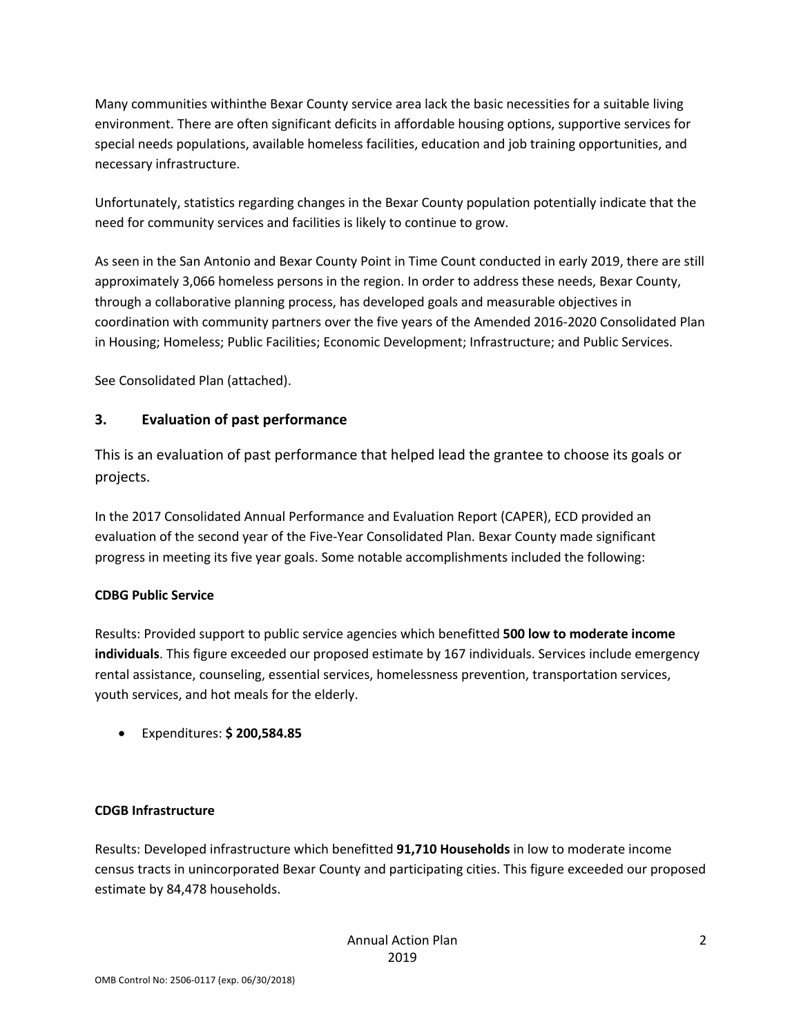Many communities withinthe Bexar County service area lack the basic necessities for a suitable living environment. There are often significant deficits in affordable housing options, supportive services for special needs populations, available homeless facilities, education and job training opportunities, and necessary infrastructure.

Unfortunately, statistics regarding changes in the Bexar County population potentially indicate that the need for community services and facilities is likely to continue to grow.

As seen in the San Antonio and Bexar County Point in Time Count conducted in early 2019, there are still approximately 3,066 homeless persons in the region. In order to address these needs, Bexar County, through a collaborative planning process, has developed goals and measurable objectives in coordination with community partners over the five years of the Amended 2016-2020 Consolidated Plan in Housing; Homeless; Public Facilities; Economic Development; Infrastructure; and Public Services.

See Consolidated Plan (attached).

### **3. Evaluation of past performance**

This is an evaluation of past performance that helped lead the grantee to choose its goals or projects.

In the 2017 Consolidated Annual Performance and Evaluation Report (CAPER), ECD provided an evaluation of the second year of the Five-Year Consolidated Plan. Bexar County made significant progress in meeting its five year goals. Some notable accomplishments included the following:

#### **CDBG Public Service**

Results: Provided support to public service agencies which benefitted **500 low to moderate income individuals**. This figure exceeded our proposed estimate by 167 individuals. Services include emergency rental assistance, counseling, essential services, homelessness prevention, transportation services, youth services, and hot meals for the elderly.

• Expenditures: **\$ 200,584.85** 

#### **CDGB Infrastructure**

Results: Developed infrastructure which benefitted **91,710 Households** in low to moderate income census tracts in unincorporated Bexar County and participating cities. This figure exceeded our proposed estimate by 84,478 households.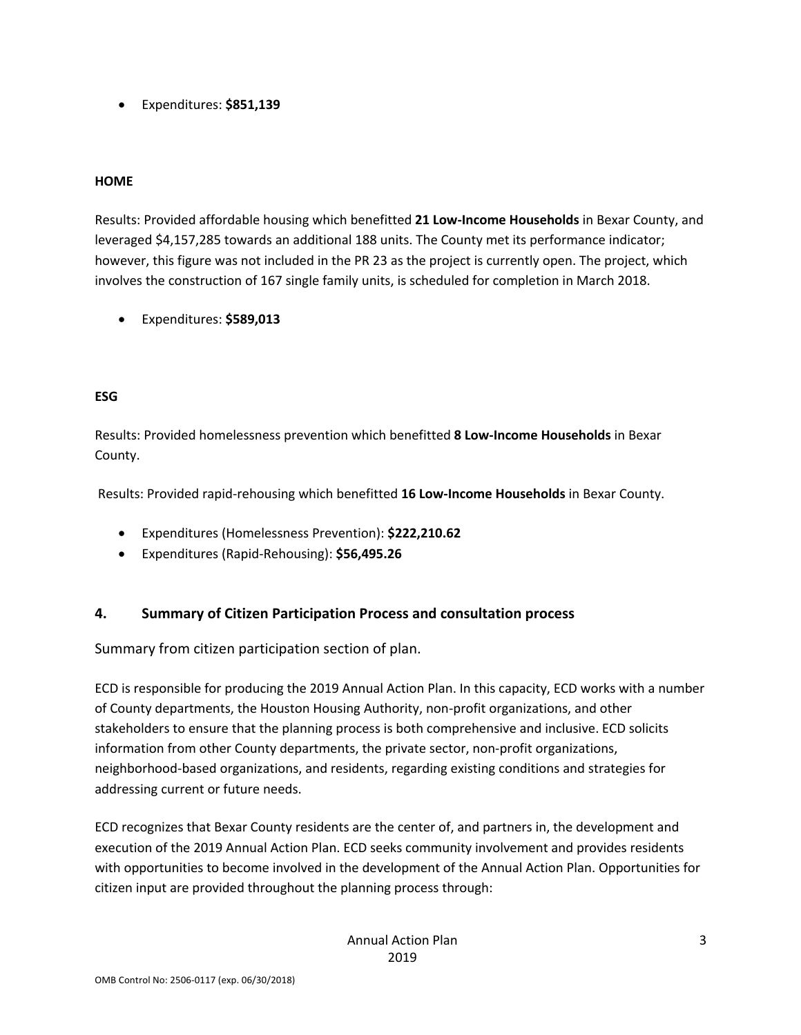• Expenditures: **\$851,139** 

#### **HOME**

Results: Provided affordable housing which benefitted **21 Low-Income Households** in Bexar County, and leveraged \$4,157,285 towards an additional 188 units. The County met its performance indicator; however, this figure was not included in the PR 23 as the project is currently open. The project, which involves the construction of 167 single family units, is scheduled for completion in March 2018.

• Expenditures: **\$589,013** 

#### **ESG**

Results: Provided homelessness prevention which benefitted **8 Low-Income Households** in Bexar County.

Results: Provided rapid-rehousing which benefitted **16 Low-Income Households** in Bexar County.

- Expenditures (Homelessness Prevention): **\$222,210.62**
- Expenditures (Rapid-Rehousing): **\$56,495.26**

### **4. Summary of Citizen Participation Process and consultation process**

Summary from citizen participation section of plan.

ECD is responsible for producing the 2019 Annual Action Plan. In this capacity, ECD works with a number of County departments, the Houston Housing Authority, non-profit organizations, and other stakeholders to ensure that the planning process is both comprehensive and inclusive. ECD solicits information from other County departments, the private sector, non-profit organizations, neighborhood-based organizations, and residents, regarding existing conditions and strategies for addressing current or future needs.

ECD recognizes that Bexar County residents are the center of, and partners in, the development and execution of the 2019 Annual Action Plan. ECD seeks community involvement and provides residents with opportunities to become involved in the development of the Annual Action Plan. Opportunities for citizen input are provided throughout the planning process through: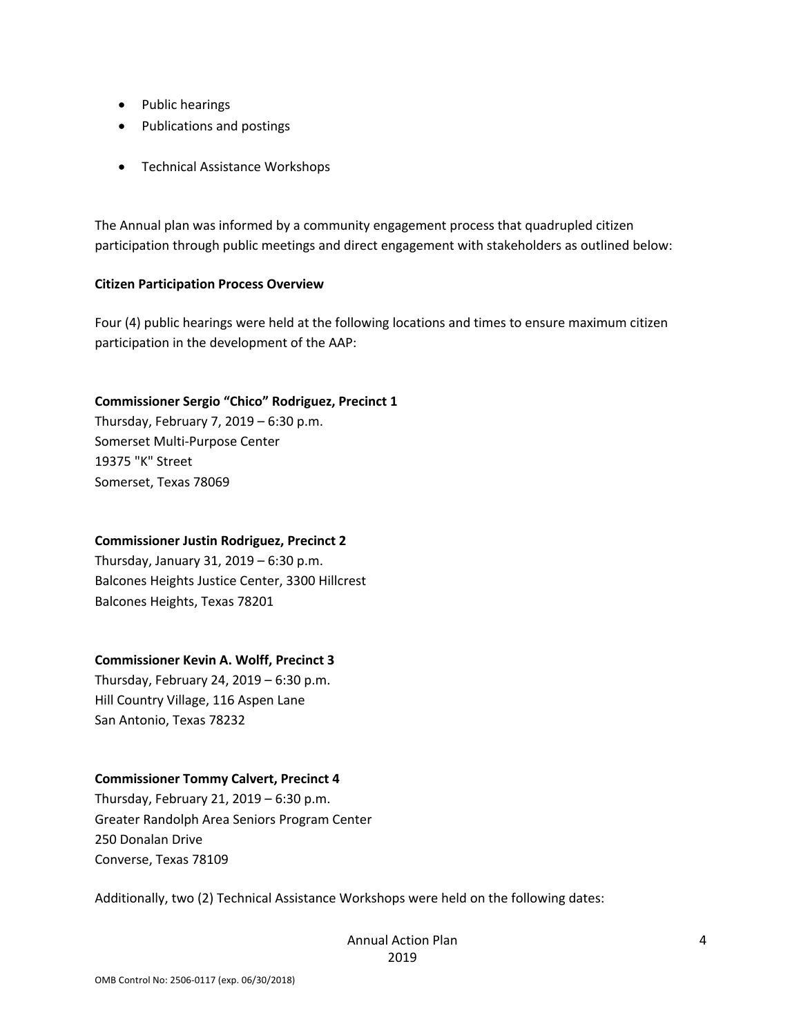- Public hearings
- Publications and postings
- Technical Assistance Workshops

The Annual plan was informed by a community engagement process that quadrupled citizen participation through public meetings and direct engagement with stakeholders as outlined below:

#### **Citizen Participation Process Overview**

Four (4) public hearings were held at the following locations and times to ensure maximum citizen participation in the development of the AAP:

#### **Commissioner Sergio "Chico" Rodriguez, Precinct 1**

Thursday, February 7, 2019 – 6:30 p.m. Somerset Multi-Purpose Center 19375 "K" Street Somerset, Texas 78069

#### **Commissioner Justin Rodriguez, Precinct 2**

Thursday, January 31, 2019 – 6:30 p.m. Balcones Heights Justice Center, 3300 Hillcrest Balcones Heights, Texas 78201

#### **Commissioner Kevin A. Wolff, Precinct 3**

Thursday, February 24, 2019 – 6:30 p.m. Hill Country Village, 116 Aspen Lane San Antonio, Texas 78232

#### **Commissioner Tommy Calvert, Precinct 4**

Thursday, February 21, 2019 – 6:30 p.m. Greater Randolph Area Seniors Program Center 250 Donalan Drive Converse, Texas 78109

Additionally, two (2) Technical Assistance Workshops were held on the following dates: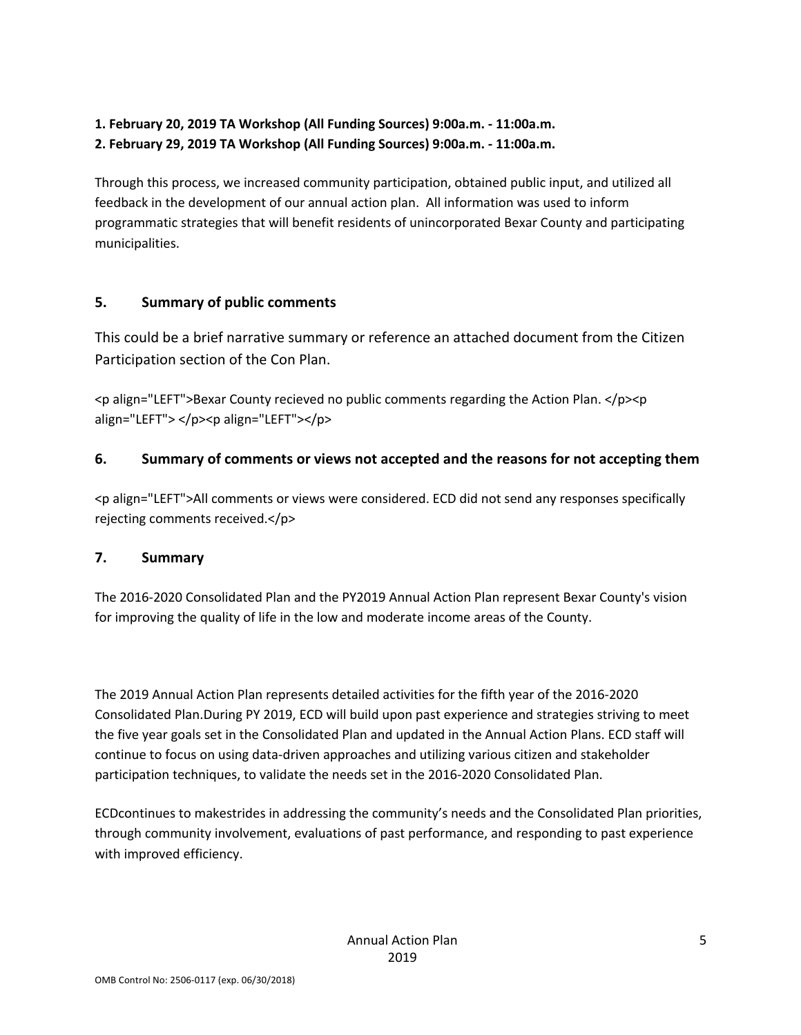### **1. February 20, 2019 TA Workshop (All Funding Sources) 9:00a.m. - 11:00a.m. 2. February 29, 2019 TA Workshop (All Funding Sources) 9:00a.m. - 11:00a.m.**

Through this process, we increased community participation, obtained public input, and utilized all feedback in the development of our annual action plan. All information was used to inform programmatic strategies that will benefit residents of unincorporated Bexar County and participating municipalities.

### **5. Summary of public comments**

This could be a brief narrative summary or reference an attached document from the Citizen Participation section of the Con Plan.

 $\leq$  align="LEFT">Bexar County recieved no public comments regarding the Action Plan.  $\leq$ /p> $\leq$ p align="LEFT"> </p><p align="LEFT"></p>

### **6. Summary of comments or views not accepted and the reasons for not accepting them**

<p align="LEFT">All comments or views were considered. ECD did not send any responses specifically rejecting comments received.</p>

### **7. Summary**

The 2016-2020 Consolidated Plan and the PY2019 Annual Action Plan represent Bexar County's vision for improving the quality of life in the low and moderate income areas of the County.

The 2019 Annual Action Plan represents detailed activities for the fifth year of the 2016-2020 Consolidated Plan.During PY 2019, ECD will build upon past experience and strategies striving to meet the five year goals set in the Consolidated Plan and updated in the Annual Action Plans. ECD staff will continue to focus on using data-driven approaches and utilizing various citizen and stakeholder participation techniques, to validate the needs set in the 2016-2020 Consolidated Plan.

ECDcontinues to makestrides in addressing the community's needs and the Consolidated Plan priorities, through community involvement, evaluations of past performance, and responding to past experience with improved efficiency.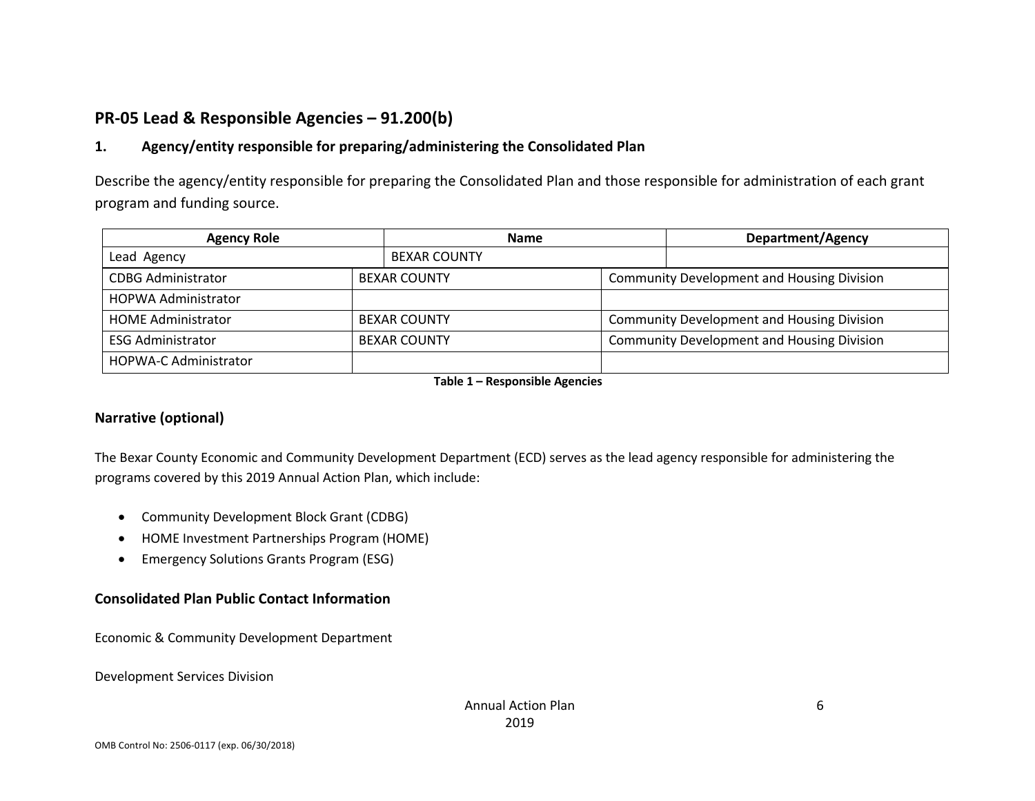## **PR-05 Lead & Responsible Agencies – 91.200(b)**

### **1. Agency/entity responsible for preparing/administering the Consolidated Plan**

Describe the agency/entity responsible for preparing the Consolidated Plan and those responsible for administration of each grant program and funding source.

| <b>Agency Role</b>           | <b>Name</b>         | Department/Agency                                 |
|------------------------------|---------------------|---------------------------------------------------|
| Lead Agency                  | <b>BEXAR COUNTY</b> |                                                   |
| <b>CDBG Administrator</b>    | <b>BEXAR COUNTY</b> | <b>Community Development and Housing Division</b> |
| <b>HOPWA Administrator</b>   |                     |                                                   |
| <b>HOME Administrator</b>    | <b>BEXAR COUNTY</b> | <b>Community Development and Housing Division</b> |
| <b>ESG Administrator</b>     | <b>BEXAR COUNTY</b> | <b>Community Development and Housing Division</b> |
| <b>HOPWA-C Administrator</b> |                     |                                                   |

**Table 1 – Responsible Agencies**

### **Narrative (optional)**

The Bexar County Economic and Community Development Department (ECD) serves as the lead agency responsible for administering the programs covered by this 2019 Annual Action Plan, which include:

- Community Development Block Grant (CDBG)
- HOME Investment Partnerships Program (HOME)
- Emergency Solutions Grants Program (ESG)

### **Consolidated Plan Public Contact Information**

Economic & Community Development Department

Development Services Division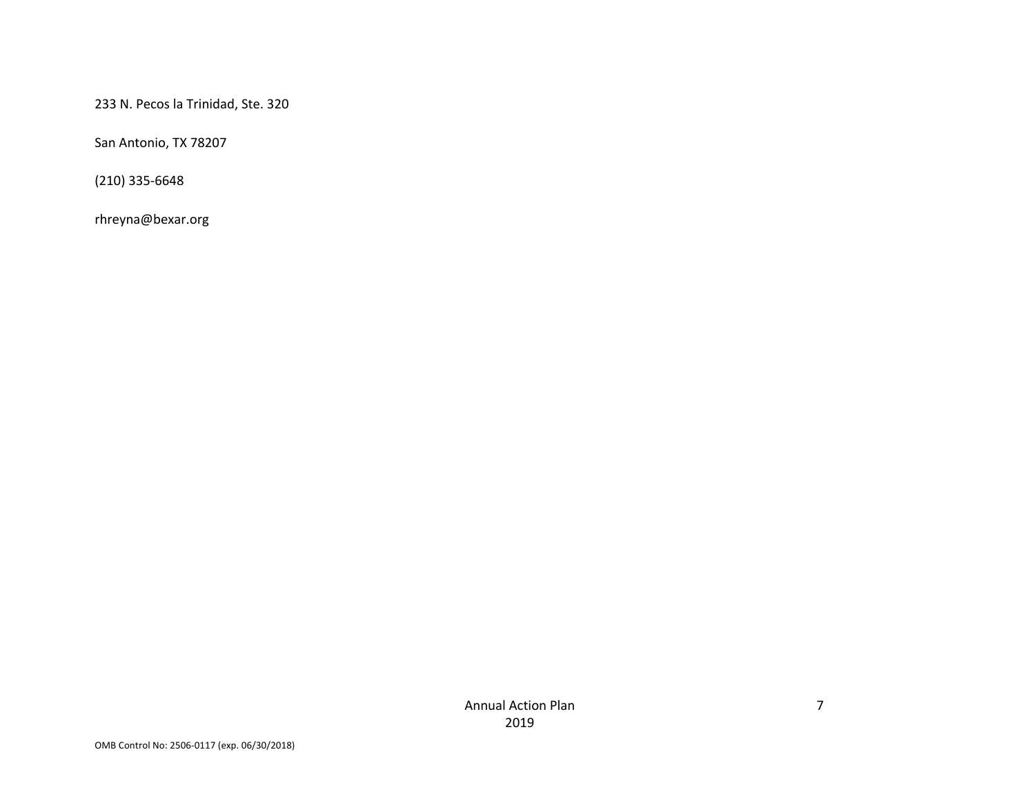233 N. Pecos la Trinidad, Ste. 320

San Antonio, TX 78207

(210) 335-6648

rhreyna@bexar.org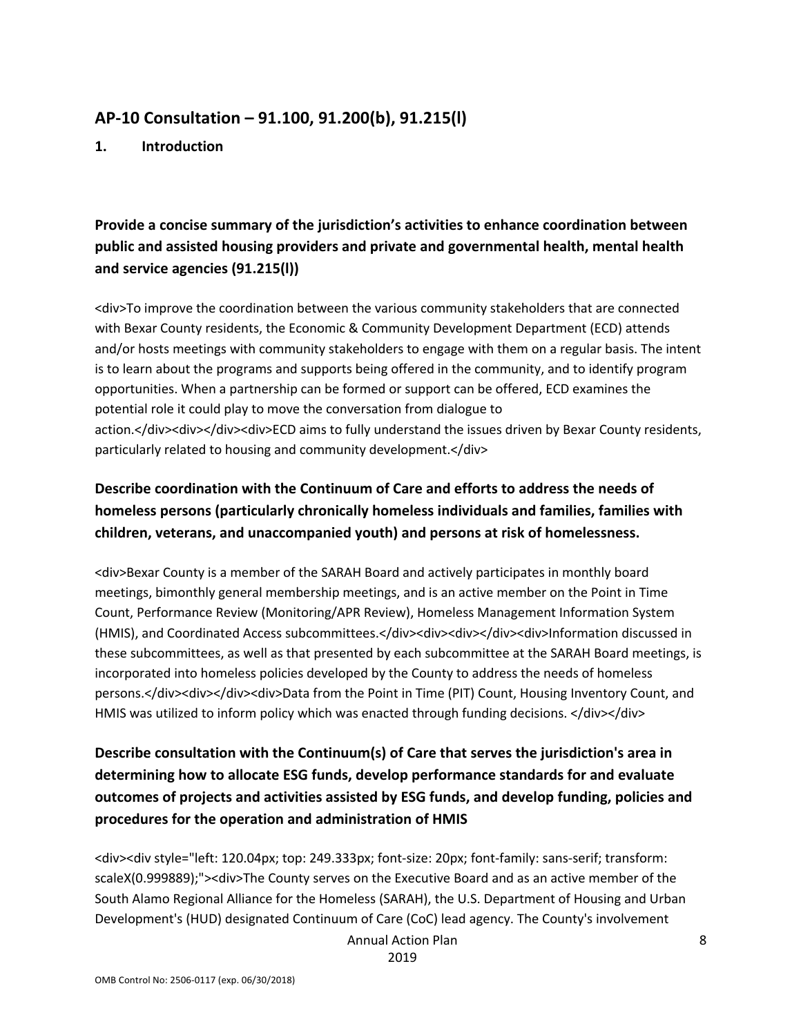### **AP-10 Consultation – 91.100, 91.200(b), 91.215(l)**

**1. Introduction**

### **Provide a concise summary of the jurisdiction's activities to enhance coordination between public and assisted housing providers and private and governmental health, mental health and service agencies (91.215(l))**

<div>To improve the coordination between the various community stakeholders that are connected with Bexar County residents, the Economic & Community Development Department (ECD) attends and/or hosts meetings with community stakeholders to engage with them on a regular basis. The intent is to learn about the programs and supports being offered in the community, and to identify program opportunities. When a partnership can be formed or support can be offered, ECD examines the potential role it could play to move the conversation from dialogue to action.</div><div></div><div>ECD aims to fully understand the issues driven by Bexar County residents, particularly related to housing and community development.</div>

## **Describe coordination with the Continuum of Care and efforts to address the needs of homeless persons (particularly chronically homeless individuals and families, families with children, veterans, and unaccompanied youth) and persons at risk of homelessness.**

<div>Bexar County is a member of the SARAH Board and actively participates in monthly board meetings, bimonthly general membership meetings, and is an active member on the Point in Time Count, Performance Review (Monitoring/APR Review), Homeless Management Information System (HMIS), and Coordinated Access subcommittees.</div><div><div></div><div>Information discussed in these subcommittees, as well as that presented by each subcommittee at the SARAH Board meetings, is incorporated into homeless policies developed by the County to address the needs of homeless persons.</div><div></div><div>Data from the Point in Time (PIT) Count, Housing Inventory Count, and HMIS was utilized to inform policy which was enacted through funding decisions. </div></div>

## **Describe consultation with the Continuum(s) of Care that serves the jurisdiction's area in determining how to allocate ESG funds, develop performance standards for and evaluate outcomes of projects and activities assisted by ESG funds, and develop funding, policies and procedures for the operation and administration of HMIS**

<div><div style="left: 120.04px; top: 249.333px; font-size: 20px; font-family: sans-serif; transform: scaleX(0.999889);"><div>The County serves on the Executive Board and as an active member of the South Alamo Regional Alliance for the Homeless (SARAH), the U.S. Department of Housing and Urban Development's (HUD) designated Continuum of Care (CoC) lead agency. The County's involvement

Annual Action Plan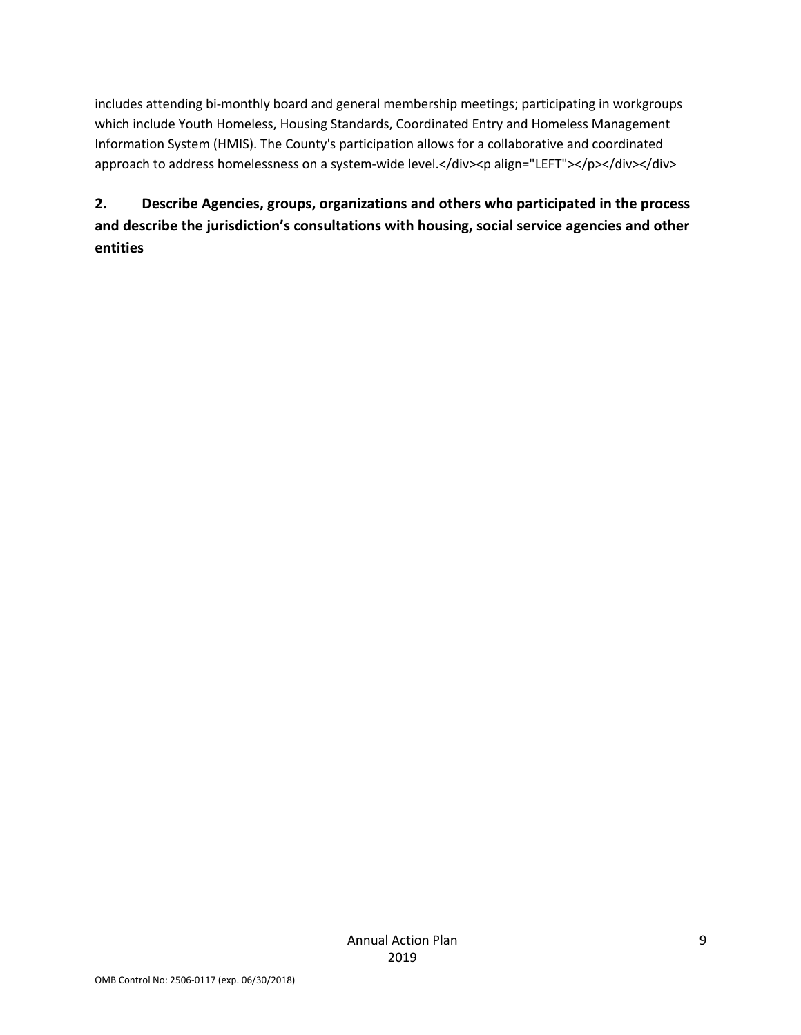includes attending bi-monthly board and general membership meetings; participating in workgroups which include Youth Homeless, Housing Standards, Coordinated Entry and Homeless Management Information System (HMIS). The County's participation allows for a collaborative and coordinated approach to address homelessness on a system-wide level.</div><p align="LEFT"></p></div></div>

**2. Describe Agencies, groups, organizations and others who participated in the process and describe the jurisdiction's consultations with housing, social service agencies and other entities**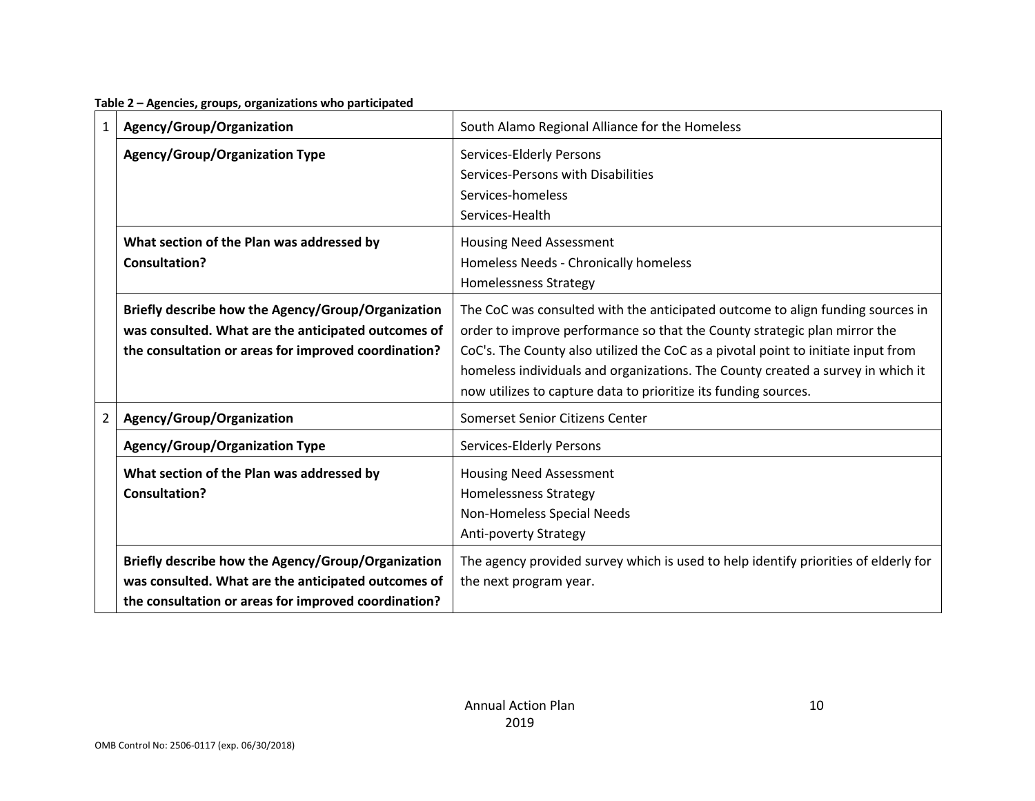| Table 2 - Agencies, groups, organizations who participated |  |  |  |  |  |  |  |
|------------------------------------------------------------|--|--|--|--|--|--|--|
|------------------------------------------------------------|--|--|--|--|--|--|--|

| 1              | Agency/Group/Organization                                                                                                                                         | South Alamo Regional Alliance for the Homeless                                                                                                                                                                                                                                                                                                                                                         |
|----------------|-------------------------------------------------------------------------------------------------------------------------------------------------------------------|--------------------------------------------------------------------------------------------------------------------------------------------------------------------------------------------------------------------------------------------------------------------------------------------------------------------------------------------------------------------------------------------------------|
|                | <b>Agency/Group/Organization Type</b>                                                                                                                             | Services-Elderly Persons<br>Services-Persons with Disabilities<br>Services-homeless<br>Services-Health                                                                                                                                                                                                                                                                                                 |
|                | What section of the Plan was addressed by<br>Consultation?                                                                                                        | <b>Housing Need Assessment</b><br>Homeless Needs - Chronically homeless<br>Homelessness Strategy                                                                                                                                                                                                                                                                                                       |
|                | Briefly describe how the Agency/Group/Organization<br>was consulted. What are the anticipated outcomes of<br>the consultation or areas for improved coordination? | The CoC was consulted with the anticipated outcome to align funding sources in<br>order to improve performance so that the County strategic plan mirror the<br>CoC's. The County also utilized the CoC as a pivotal point to initiate input from<br>homeless individuals and organizations. The County created a survey in which it<br>now utilizes to capture data to prioritize its funding sources. |
| $\overline{2}$ | Agency/Group/Organization                                                                                                                                         | Somerset Senior Citizens Center                                                                                                                                                                                                                                                                                                                                                                        |
|                | <b>Agency/Group/Organization Type</b>                                                                                                                             | Services-Elderly Persons                                                                                                                                                                                                                                                                                                                                                                               |
|                | What section of the Plan was addressed by<br>Consultation?                                                                                                        | <b>Housing Need Assessment</b><br><b>Homelessness Strategy</b><br>Non-Homeless Special Needs<br>Anti-poverty Strategy                                                                                                                                                                                                                                                                                  |
|                | Briefly describe how the Agency/Group/Organization<br>was consulted. What are the anticipated outcomes of<br>the consultation or areas for improved coordination? | The agency provided survey which is used to help identify priorities of elderly for<br>the next program year.                                                                                                                                                                                                                                                                                          |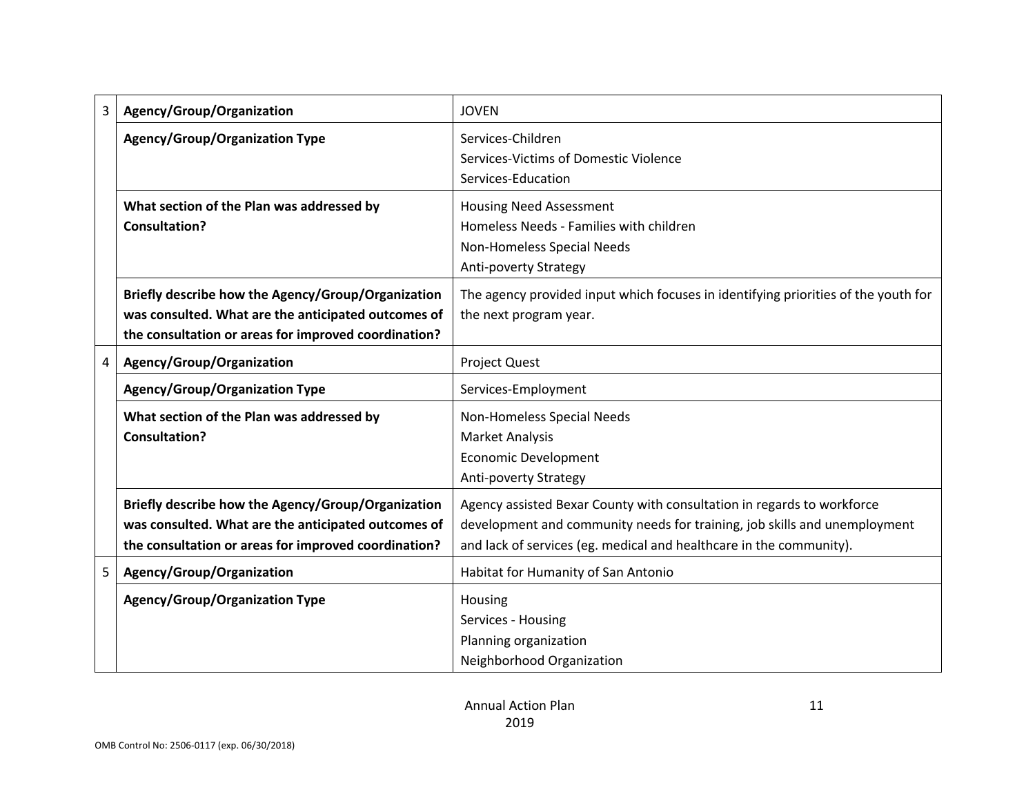| 3 | Agency/Group/Organization                                                                                                                                         | <b>JOVEN</b>                                                                                                                                                                                                               |
|---|-------------------------------------------------------------------------------------------------------------------------------------------------------------------|----------------------------------------------------------------------------------------------------------------------------------------------------------------------------------------------------------------------------|
|   | <b>Agency/Group/Organization Type</b>                                                                                                                             | Services-Children<br>Services-Victims of Domestic Violence<br>Services-Education                                                                                                                                           |
|   | What section of the Plan was addressed by<br><b>Consultation?</b>                                                                                                 | <b>Housing Need Assessment</b><br>Homeless Needs - Families with children<br>Non-Homeless Special Needs<br>Anti-poverty Strategy                                                                                           |
|   | Briefly describe how the Agency/Group/Organization<br>was consulted. What are the anticipated outcomes of<br>the consultation or areas for improved coordination? | The agency provided input which focuses in identifying priorities of the youth for<br>the next program year.                                                                                                               |
| 4 | Agency/Group/Organization                                                                                                                                         | <b>Project Quest</b>                                                                                                                                                                                                       |
|   | <b>Agency/Group/Organization Type</b>                                                                                                                             | Services-Employment                                                                                                                                                                                                        |
|   | What section of the Plan was addressed by<br><b>Consultation?</b>                                                                                                 | Non-Homeless Special Needs<br><b>Market Analysis</b><br><b>Economic Development</b><br><b>Anti-poverty Strategy</b>                                                                                                        |
|   | Briefly describe how the Agency/Group/Organization<br>was consulted. What are the anticipated outcomes of<br>the consultation or areas for improved coordination? | Agency assisted Bexar County with consultation in regards to workforce<br>development and community needs for training, job skills and unemployment<br>and lack of services (eg. medical and healthcare in the community). |
| 5 | Agency/Group/Organization                                                                                                                                         | Habitat for Humanity of San Antonio                                                                                                                                                                                        |
|   | <b>Agency/Group/Organization Type</b>                                                                                                                             | Housing<br>Services - Housing<br>Planning organization<br>Neighborhood Organization                                                                                                                                        |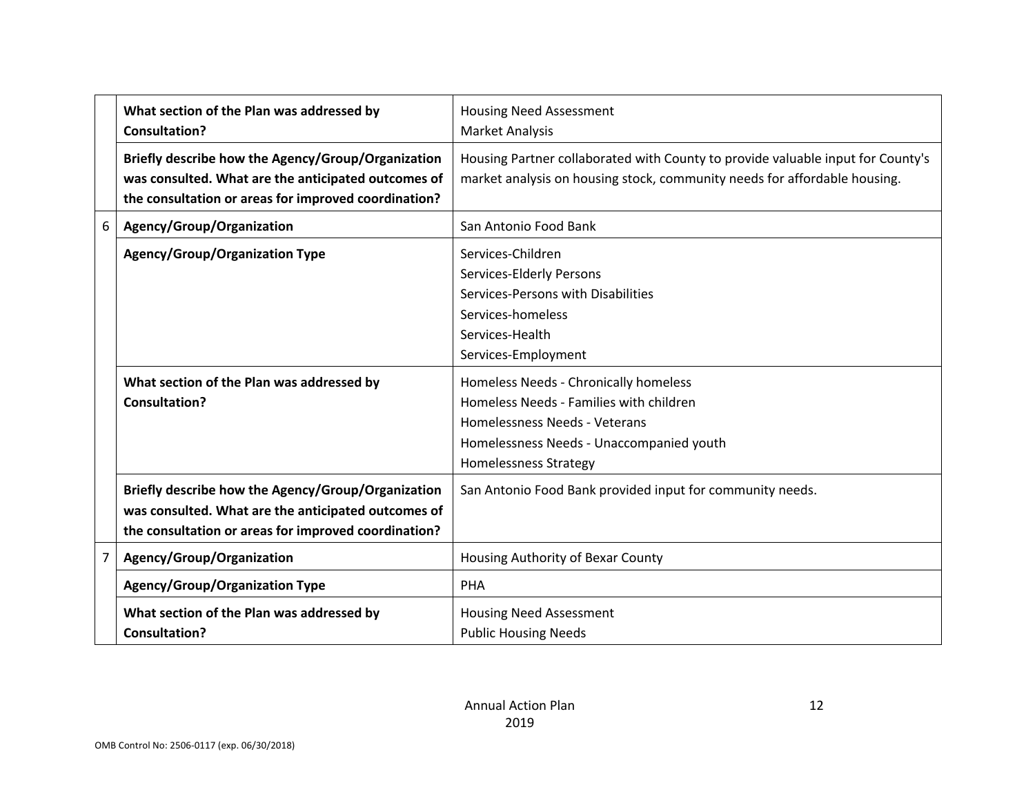|                | What section of the Plan was addressed by<br><b>Consultation?</b>                                                                                                 | <b>Housing Need Assessment</b>                                                                                                                                                                |
|----------------|-------------------------------------------------------------------------------------------------------------------------------------------------------------------|-----------------------------------------------------------------------------------------------------------------------------------------------------------------------------------------------|
|                | Briefly describe how the Agency/Group/Organization<br>was consulted. What are the anticipated outcomes of<br>the consultation or areas for improved coordination? | <b>Market Analysis</b><br>Housing Partner collaborated with County to provide valuable input for County's<br>market analysis on housing stock, community needs for affordable housing.        |
| 6              | Agency/Group/Organization                                                                                                                                         | San Antonio Food Bank                                                                                                                                                                         |
|                | <b>Agency/Group/Organization Type</b>                                                                                                                             | Services-Children<br>Services-Elderly Persons<br>Services-Persons with Disabilities<br>Services-homeless<br>Services-Health<br>Services-Employment                                            |
|                | What section of the Plan was addressed by<br>Consultation?                                                                                                        | Homeless Needs - Chronically homeless<br>Homeless Needs - Families with children<br>Homelessness Needs - Veterans<br>Homelessness Needs - Unaccompanied youth<br><b>Homelessness Strategy</b> |
|                | Briefly describe how the Agency/Group/Organization<br>was consulted. What are the anticipated outcomes of<br>the consultation or areas for improved coordination? | San Antonio Food Bank provided input for community needs.                                                                                                                                     |
| $\overline{7}$ | Agency/Group/Organization                                                                                                                                         | Housing Authority of Bexar County                                                                                                                                                             |
|                | <b>Agency/Group/Organization Type</b>                                                                                                                             | PHA                                                                                                                                                                                           |
|                | What section of the Plan was addressed by<br><b>Consultation?</b>                                                                                                 | <b>Housing Need Assessment</b><br><b>Public Housing Needs</b>                                                                                                                                 |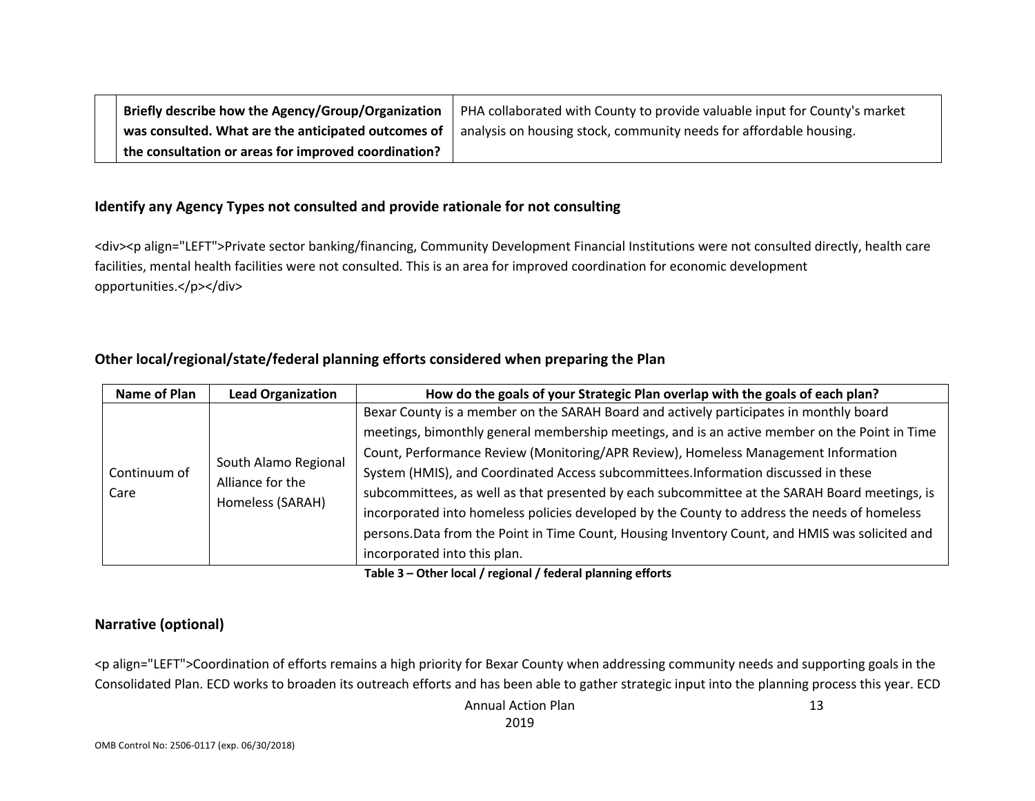| Briefly describe how the Agency/Group/Organization   | PHA collaborated with County to provide valuable input for County's market |
|------------------------------------------------------|----------------------------------------------------------------------------|
| was consulted. What are the anticipated outcomes of  | analysis on housing stock, community needs for affordable housing.         |
| the consultation or areas for improved coordination? |                                                                            |

#### **Identify any Agency Types not consulted and provide rationale for not consulting**

<div><p align="LEFT">Private sector banking/financing, Community Development Financial Institutions were not consulted directly, health care facilities, mental health facilities were not consulted. This is an area for improved coordination for economic development opportunities.</p></div>

#### **Other local/regional/state/federal planning efforts considered when preparing the Plan**

| Name of Plan | <b>Lead Organization</b>                 | How do the goals of your Strategic Plan overlap with the goals of each plan?                    |
|--------------|------------------------------------------|-------------------------------------------------------------------------------------------------|
|              |                                          | Bexar County is a member on the SARAH Board and actively participates in monthly board          |
|              |                                          | meetings, bimonthly general membership meetings, and is an active member on the Point in Time   |
|              |                                          | Count, Performance Review (Monitoring/APR Review), Homeless Management Information              |
| Continuum of | South Alamo Regional<br>Alliance for the | System (HMIS), and Coordinated Access subcommittees. Information discussed in these             |
| Care         |                                          | subcommittees, as well as that presented by each subcommittee at the SARAH Board meetings, is   |
|              | Homeless (SARAH)                         | incorporated into homeless policies developed by the County to address the needs of homeless    |
|              |                                          | persons. Data from the Point in Time Count, Housing Inventory Count, and HMIS was solicited and |
|              |                                          | incorporated into this plan.                                                                    |

**Table 3 – Other local / regional / federal planning efforts**

#### **Narrative (optional)**

<p align="LEFT">Coordination of efforts remains a high priority for Bexar County when addressing community needs and supporting goals in the Consolidated Plan. ECD works to broaden its outreach efforts and has been able to gather strategic input into the planning process this year. ECD

> Annual Action Plan 2019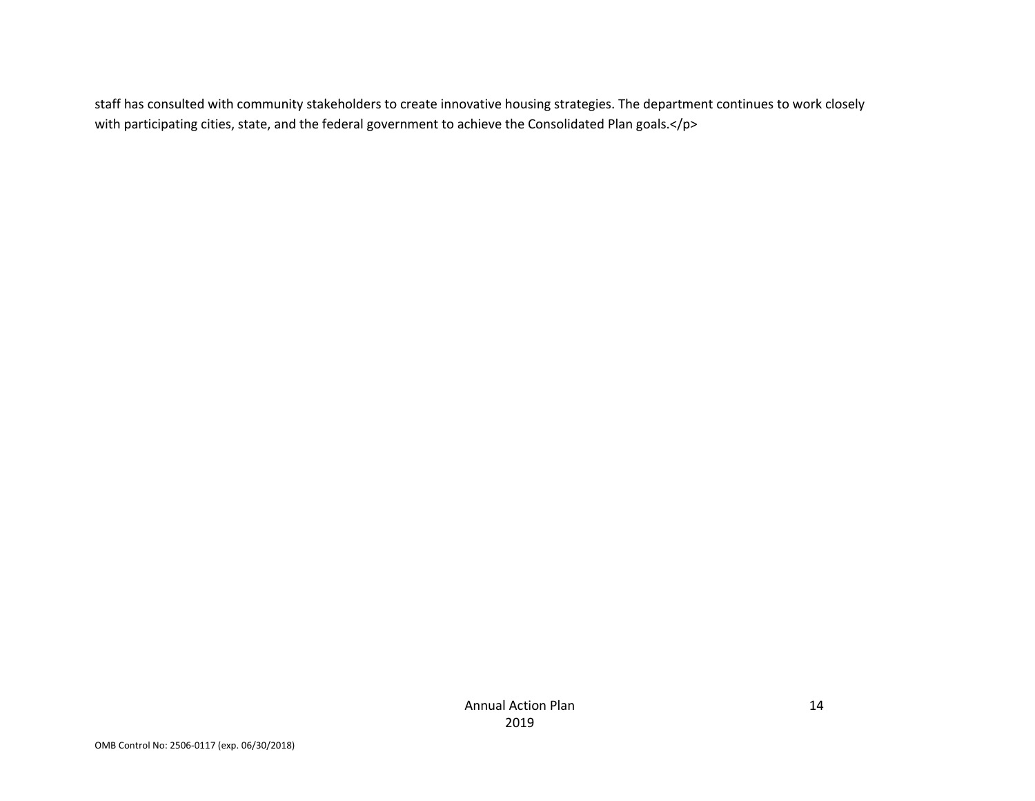staff has consulted with community stakeholders to create innovative housing strategies. The department continues to work closely with participating cities, state, and the federal government to achieve the Consolidated Plan goals.</p>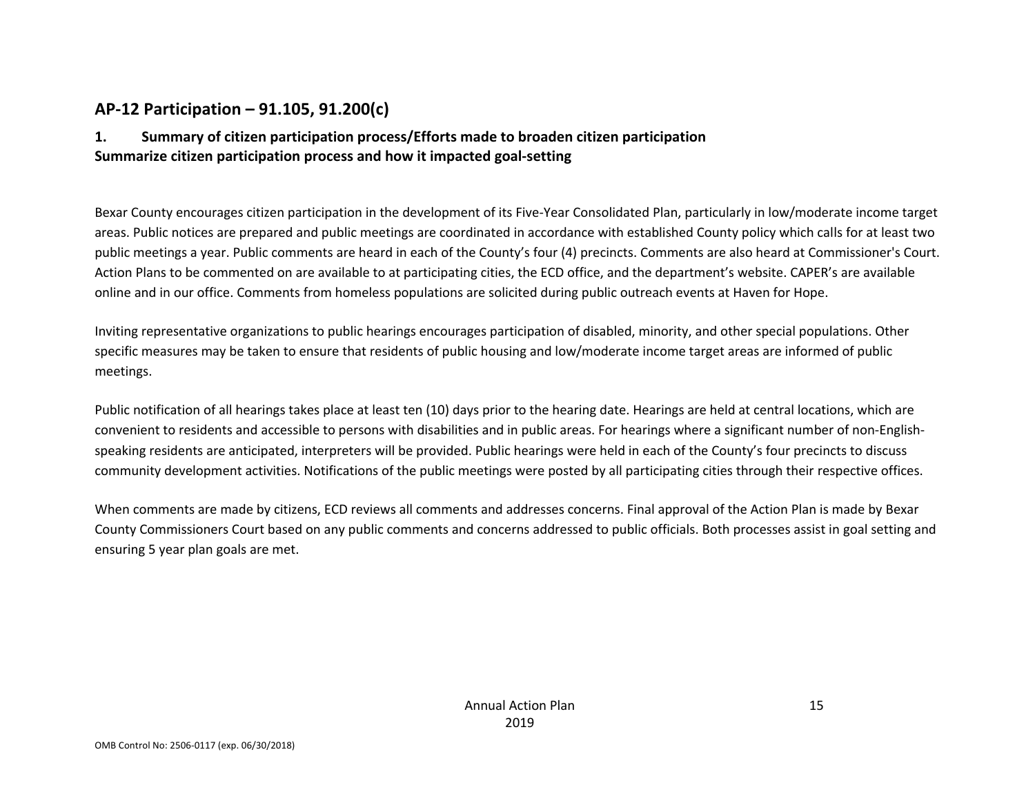### **AP-12 Participation – 91.105, 91.200(c)**

### **1. Summary of citizen participation process/Efforts made to broaden citizen participation Summarize citizen participation process and how it impacted goal-setting**

Bexar County encourages citizen participation in the development of its Five-Year Consolidated Plan, particularly in low/moderate income target areas. Public notices are prepared and public meetings are coordinated in accordance with established County policy which calls for at least two public meetings a year. Public comments are heard in each of the County's four (4) precincts. Comments are also heard at Commissioner's Court. Action Plans to be commented on are available to at participating cities, the ECD office, and the department's website. CAPER's are available online and in our office. Comments from homeless populations are solicited during public outreach events at Haven for Hope.

Inviting representative organizations to public hearings encourages participation of disabled, minority, and other special populations. Other specific measures may be taken to ensure that residents of public housing and low/moderate income target areas are informed of public meetings.

Public notification of all hearings takes place at least ten (10) days prior to the hearing date. Hearings are held at central locations, which are convenient to residents and accessible to persons with disabilities and in public areas. For hearings where a significant number of non-Englishspeaking residents are anticipated, interpreters will be provided. Public hearings were held in each of the County's four precincts to discuss community development activities. Notifications of the public meetings were posted by all participating cities through their respective offices.

When comments are made by citizens, ECD reviews all comments and addresses concerns. Final approval of the Action Plan is made by Bexar County Commissioners Court based on any public comments and concerns addressed to public officials. Both processes assist in goal setting and ensuring 5 year plan goals are met.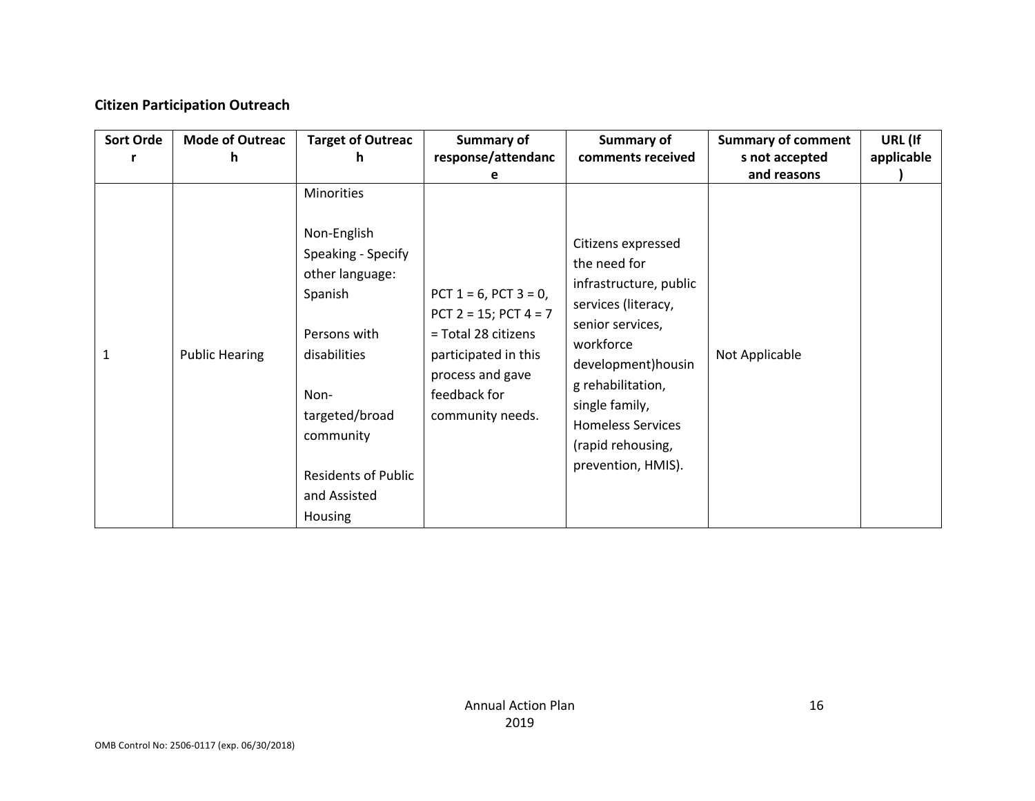### **Citizen Participation Outreach**

| <b>Sort Orde</b> | <b>Mode of Outreac</b> | <b>Target of Outreac</b>                                                                                                                                                                           | Summary of                                                                                                                                                       | Summary of                                                                                                                                                                                                                                                | <b>Summary of comment</b> | URL (If    |
|------------------|------------------------|----------------------------------------------------------------------------------------------------------------------------------------------------------------------------------------------------|------------------------------------------------------------------------------------------------------------------------------------------------------------------|-----------------------------------------------------------------------------------------------------------------------------------------------------------------------------------------------------------------------------------------------------------|---------------------------|------------|
|                  | h                      | h                                                                                                                                                                                                  | response/attendanc                                                                                                                                               | comments received                                                                                                                                                                                                                                         | s not accepted            | applicable |
|                  |                        |                                                                                                                                                                                                    | е                                                                                                                                                                |                                                                                                                                                                                                                                                           | and reasons               |            |
| 1                | <b>Public Hearing</b>  | Minorities<br>Non-English<br>Speaking - Specify<br>other language:<br>Spanish<br>Persons with<br>disabilities<br>Non-<br>targeted/broad<br>community<br><b>Residents of Public</b><br>and Assisted | PCT $1 = 6$ , PCT $3 = 0$ ,<br>PCT $2 = 15$ ; PCT $4 = 7$<br>= Total 28 citizens<br>participated in this<br>process and gave<br>feedback for<br>community needs. | Citizens expressed<br>the need for<br>infrastructure, public<br>services (literacy,<br>senior services,<br>workforce<br>development) housin<br>g rehabilitation,<br>single family,<br><b>Homeless Services</b><br>(rapid rehousing,<br>prevention, HMIS). | Not Applicable            |            |
|                  |                        | Housing                                                                                                                                                                                            |                                                                                                                                                                  |                                                                                                                                                                                                                                                           |                           |            |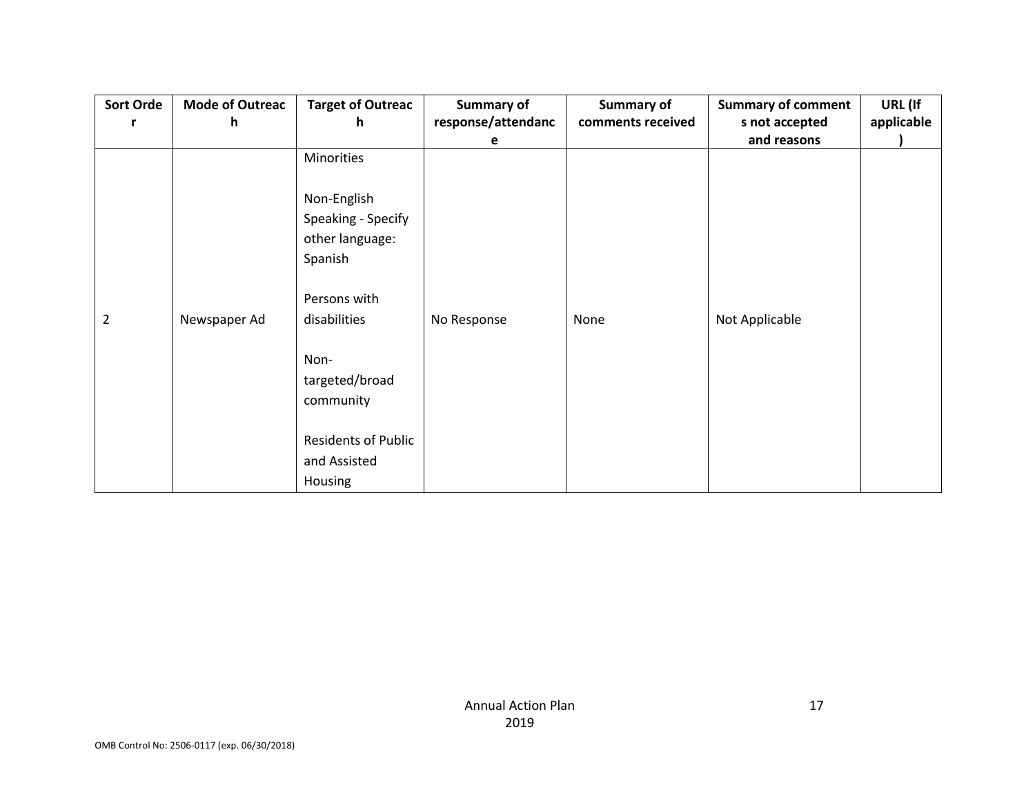| <b>Sort Orde</b> | <b>Mode of Outreac</b> | <b>Target of Outreac</b>   | <b>Summary of</b>  | Summary of        | <b>Summary of comment</b> | URL (If    |
|------------------|------------------------|----------------------------|--------------------|-------------------|---------------------------|------------|
| r                | h.                     | h                          | response/attendanc | comments received | s not accepted            | applicable |
|                  |                        |                            | e                  |                   | and reasons               |            |
|                  |                        | Minorities                 |                    |                   |                           |            |
|                  |                        | Non-English                |                    |                   |                           |            |
|                  |                        | Speaking - Specify         |                    |                   |                           |            |
|                  |                        | other language:            |                    |                   |                           |            |
|                  |                        | Spanish                    |                    |                   |                           |            |
|                  |                        | Persons with               |                    |                   |                           |            |
| $\overline{2}$   | Newspaper Ad           | disabilities               | No Response        | None              | Not Applicable            |            |
|                  |                        | Non-                       |                    |                   |                           |            |
|                  |                        | targeted/broad             |                    |                   |                           |            |
|                  |                        | community                  |                    |                   |                           |            |
|                  |                        |                            |                    |                   |                           |            |
|                  |                        | <b>Residents of Public</b> |                    |                   |                           |            |
|                  |                        | and Assisted               |                    |                   |                           |            |
|                  |                        | <b>Housing</b>             |                    |                   |                           |            |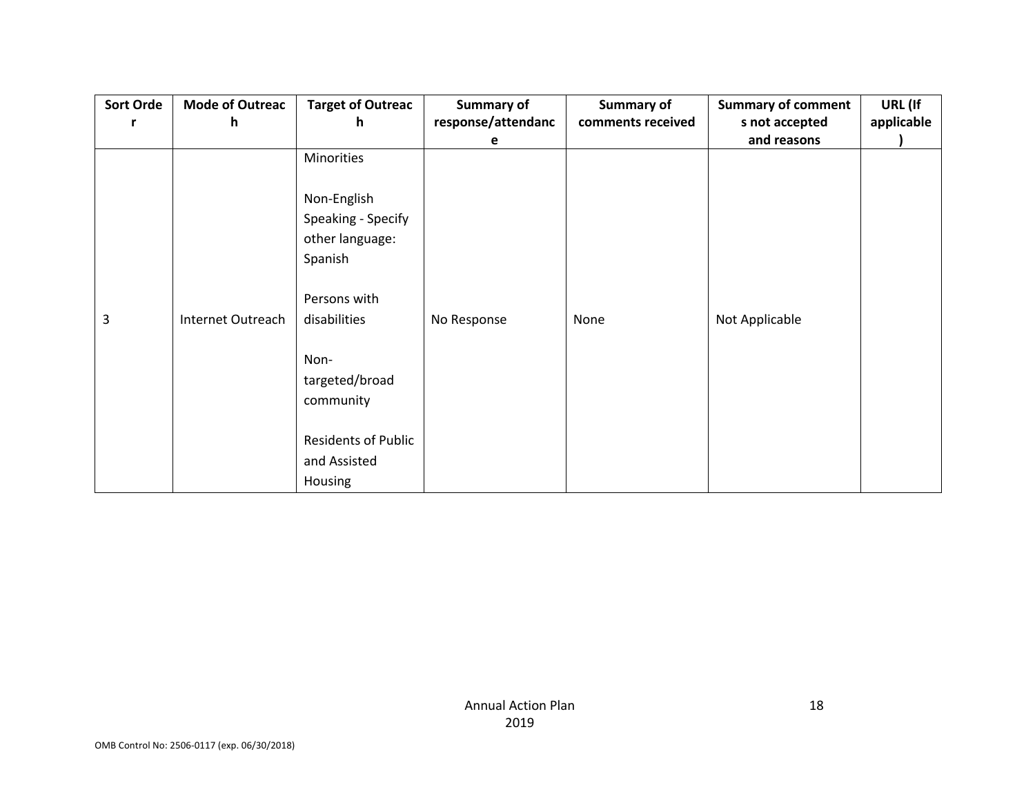| <b>Sort Orde</b> | <b>Mode of Outreac</b> | <b>Target of Outreac</b>   | <b>Summary of</b>  | Summary of        | <b>Summary of comment</b> | URL (If    |
|------------------|------------------------|----------------------------|--------------------|-------------------|---------------------------|------------|
| r                | h.                     | h                          | response/attendanc | comments received | s not accepted            | applicable |
|                  |                        |                            | e                  |                   | and reasons               |            |
|                  |                        | Minorities                 |                    |                   |                           |            |
|                  |                        | Non-English                |                    |                   |                           |            |
|                  |                        | Speaking - Specify         |                    |                   |                           |            |
|                  |                        | other language:            |                    |                   |                           |            |
|                  |                        | Spanish                    |                    |                   |                           |            |
|                  |                        |                            |                    |                   |                           |            |
|                  |                        | Persons with               |                    |                   |                           |            |
| 3                | Internet Outreach      | disabilities               | No Response        | None              | Not Applicable            |            |
|                  |                        |                            |                    |                   |                           |            |
|                  |                        | Non-                       |                    |                   |                           |            |
|                  |                        | targeted/broad             |                    |                   |                           |            |
|                  |                        | community                  |                    |                   |                           |            |
|                  |                        |                            |                    |                   |                           |            |
|                  |                        | <b>Residents of Public</b> |                    |                   |                           |            |
|                  |                        | and Assisted               |                    |                   |                           |            |
|                  |                        | <b>Housing</b>             |                    |                   |                           |            |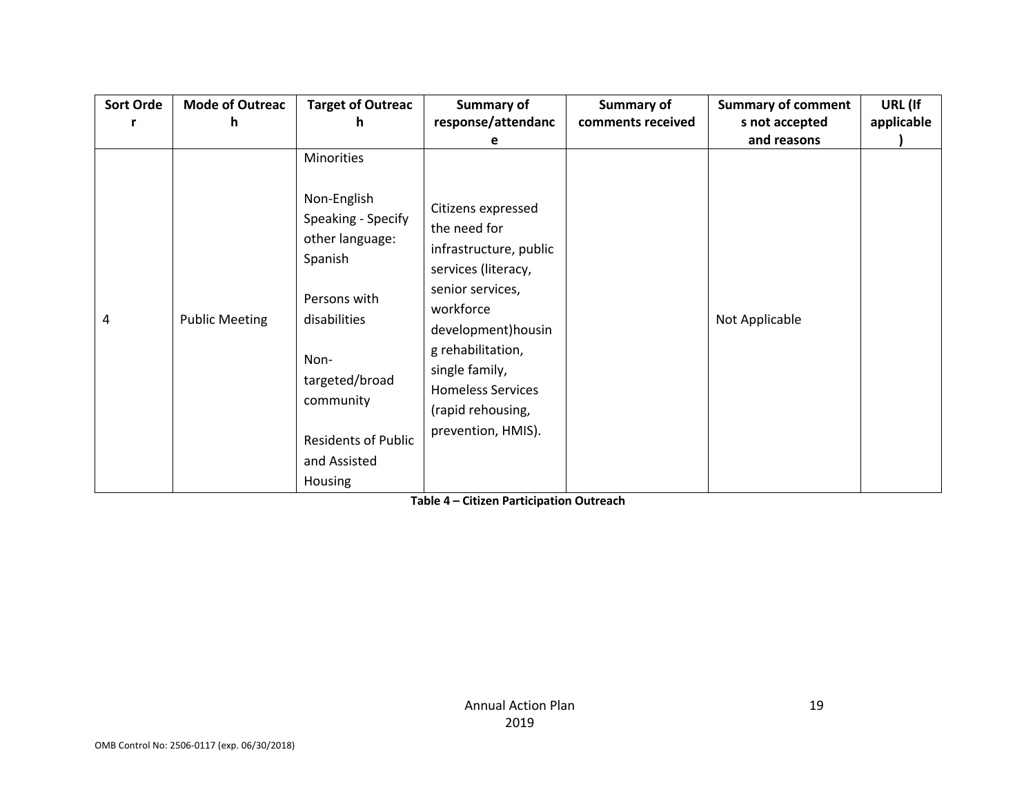| <b>Sort Orde</b> | <b>Mode of Outreac</b><br>h. | <b>Target of Outreac</b><br>h                                                                                                                                                      | Summary of<br>response/attendanc                                                                                                                                                                                                                          | Summary of<br>comments received | <b>Summary of comment</b><br>s not accepted | URL (If<br>applicable |
|------------------|------------------------------|------------------------------------------------------------------------------------------------------------------------------------------------------------------------------------|-----------------------------------------------------------------------------------------------------------------------------------------------------------------------------------------------------------------------------------------------------------|---------------------------------|---------------------------------------------|-----------------------|
|                  |                              |                                                                                                                                                                                    | е                                                                                                                                                                                                                                                         |                                 | and reasons                                 |                       |
| 4                | <b>Public Meeting</b>        | Minorities<br>Non-English<br>Speaking - Specify<br>other language:<br>Spanish<br>Persons with<br>disabilities<br>Non-<br>targeted/broad<br>community<br><b>Residents of Public</b> | Citizens expressed<br>the need for<br>infrastructure, public<br>services (literacy,<br>senior services,<br>workforce<br>development) housin<br>g rehabilitation,<br>single family,<br><b>Homeless Services</b><br>(rapid rehousing,<br>prevention, HMIS). |                                 | Not Applicable                              |                       |
|                  |                              | and Assisted<br>Housing                                                                                                                                                            |                                                                                                                                                                                                                                                           |                                 |                                             |                       |

**Table 4 – Citizen Participation Outreach**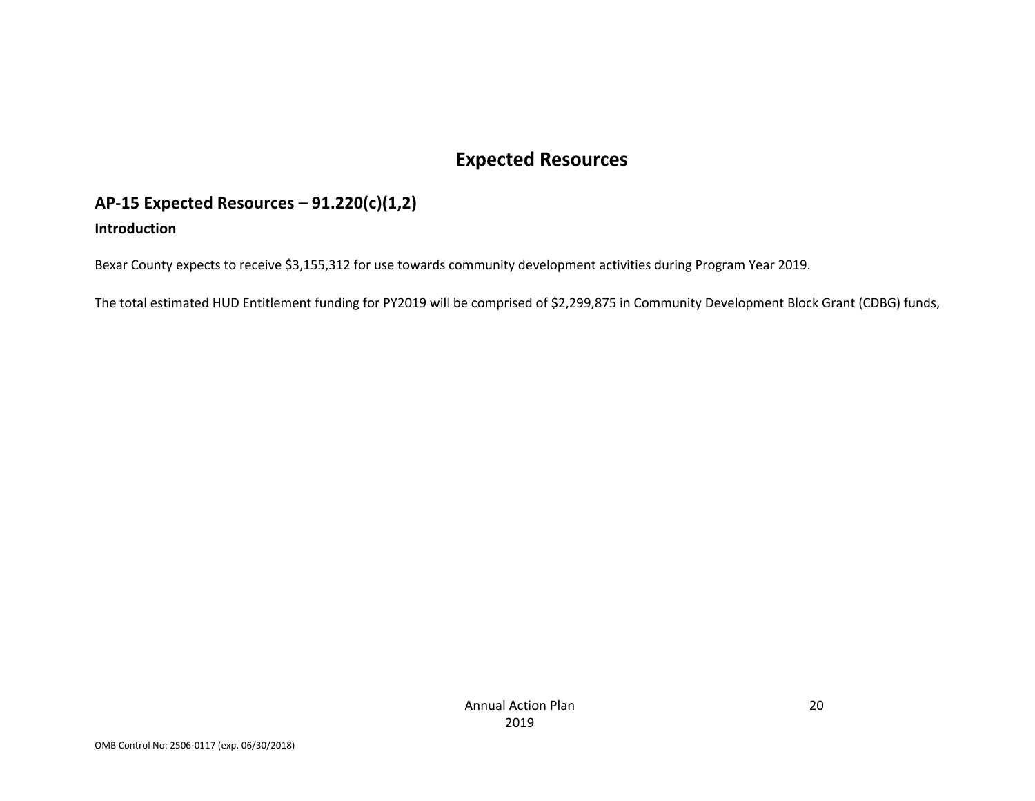# **Expected Resources**

### **AP-15 Expected Resources – 91.220(c)(1,2) Introduction**

Bexar County expects to receive \$3,155,312 for use towards community development activities during Program Year 2019.

The total estimated HUD Entitlement funding for PY2019 will be comprised of \$2,299,875 in Community Development Block Grant (CDBG) funds,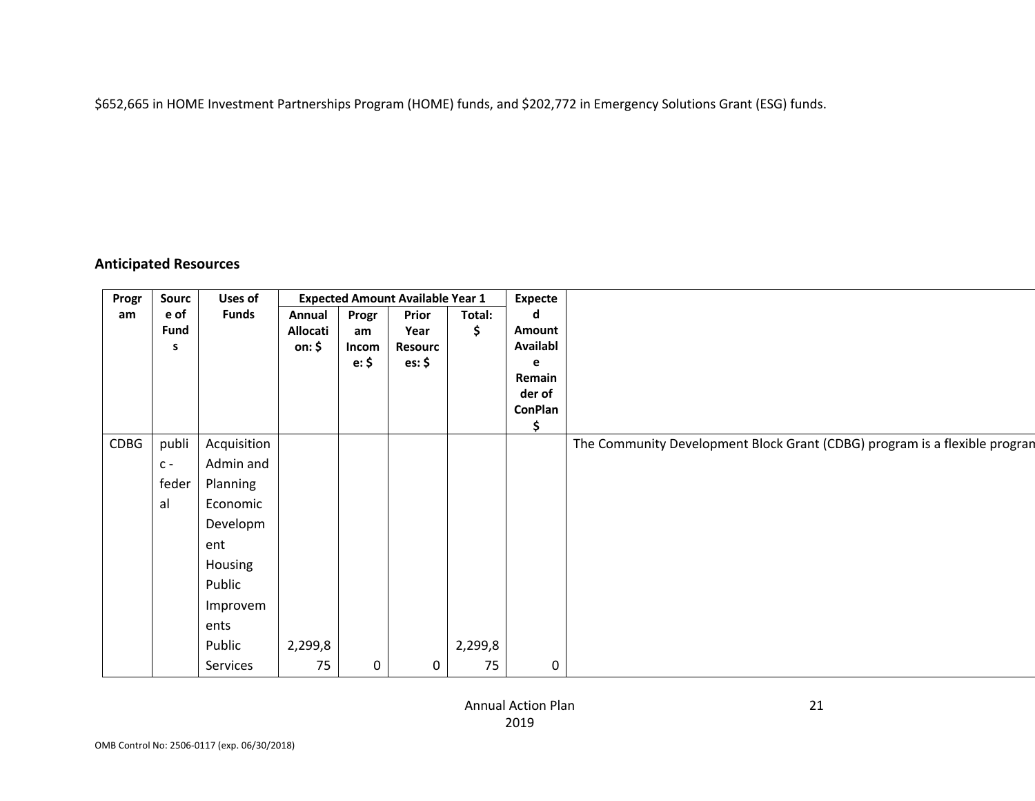\$652,665 in HOME Investment Partnerships Program (HOME) funds, and \$202,772 in Emergency Solutions Grant (ESG) funds.

### **Anticipated Resources**

| Progr       | Sourc       | Uses of      |          |                | <b>Expected Amount Available Year 1</b> |         | <b>Expecte</b> |                                                                            |
|-------------|-------------|--------------|----------|----------------|-----------------------------------------|---------|----------------|----------------------------------------------------------------------------|
| am          | e of        | <b>Funds</b> | Annual   | Progr          | Prior                                   | Total:  |                |                                                                            |
|             | <b>Fund</b> |              | Allocati | am             | Year                                    | э.      | Amount         |                                                                            |
|             | - S         |              | on: \$   | Incom          | <b>Resourc</b>                          |         | Availabl       |                                                                            |
|             |             |              |          | $e:$ \$        | es: \$                                  |         |                |                                                                            |
|             |             |              |          |                |                                         |         | Remain         |                                                                            |
|             |             |              |          |                |                                         |         | der of         |                                                                            |
|             |             |              |          |                |                                         |         | <b>ConPlan</b> |                                                                            |
| <b>CDBG</b> | publi       | Acquisition  |          |                |                                         |         |                | The Community Development Block Grant (CDBG) program is a flexible progran |
|             |             | Admin and    |          |                |                                         |         |                |                                                                            |
|             | $C -$       |              |          |                |                                         |         |                |                                                                            |
|             | $f$ eder    | Planning     |          |                |                                         |         |                |                                                                            |
|             | al          | Economic     |          |                |                                         |         |                |                                                                            |
|             |             | Developm     |          |                |                                         |         |                |                                                                            |
|             |             | ent          |          |                |                                         |         |                |                                                                            |
|             |             | Housing      |          |                |                                         |         |                |                                                                            |
|             |             | Public       |          |                |                                         |         |                |                                                                            |
|             |             | Improvem     |          |                |                                         |         |                |                                                                            |
|             |             | ents         |          |                |                                         |         |                |                                                                            |
|             |             | Public       | 2,299,8  |                |                                         | 2,299,8 |                |                                                                            |
|             |             | Services     | 75       | $\overline{0}$ | $\Omega$                                | 75      | $\pmb{0}$      |                                                                            |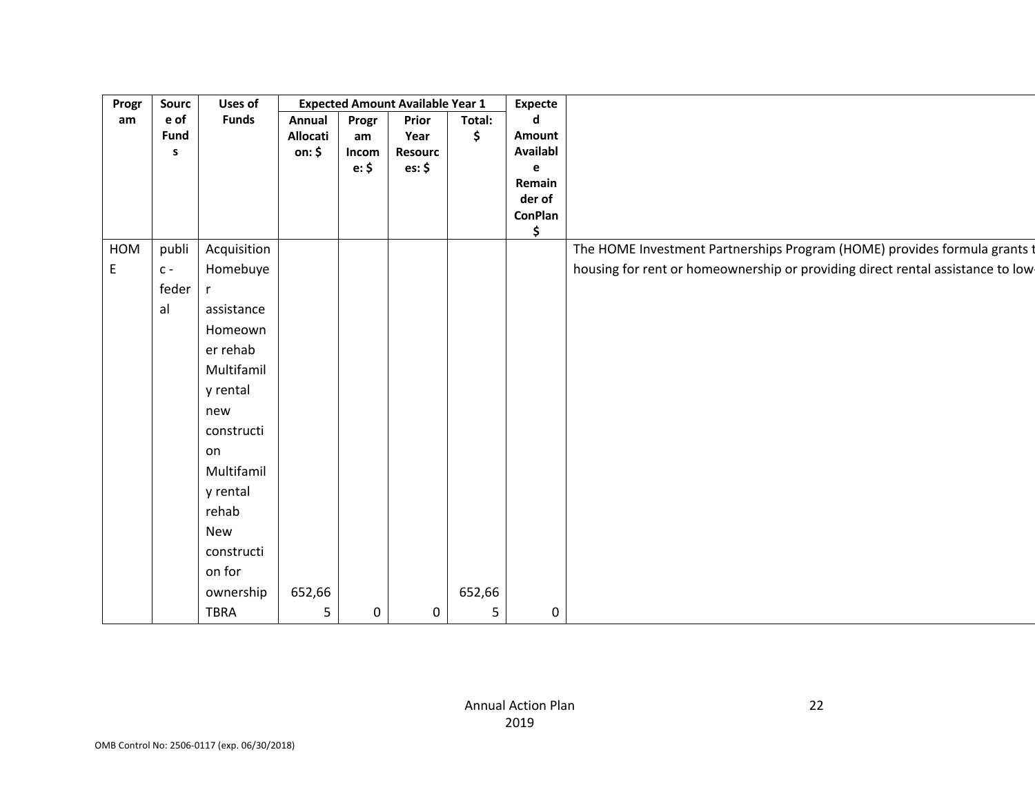| Progr | Sourc       | <b>Uses of</b> | <b>Expected Amount Available Year 1</b> |                |                |                |                     |                                                                                 |
|-------|-------------|----------------|-----------------------------------------|----------------|----------------|----------------|---------------------|---------------------------------------------------------------------------------|
| am    | e of        | <b>Funds</b>   | Annual Progr                            |                | Prior          | Total:         | <b>Expecte</b><br>d |                                                                                 |
|       | <b>Fund</b> |                | Allocati                                | am             | Year           |                | Amount              |                                                                                 |
|       | - S         |                | on: \$                                  | Incom          | <b>Resourc</b> |                | <b>Availabl</b>     |                                                                                 |
|       |             |                |                                         | e: \$          | es: \$         |                | e –<br>Remain       |                                                                                 |
|       |             |                |                                         |                |                |                | der of              |                                                                                 |
|       |             |                |                                         |                |                |                | ConPlan             |                                                                                 |
|       |             |                |                                         |                |                |                | $\mathsf{\$}$       |                                                                                 |
|       | HOM publi   | Acquisition    |                                         |                |                |                |                     | The HOME Investment Partnerships Program (HOME) provides formula grants t       |
| E     | $ C -$      | Homebuye       |                                         |                |                |                |                     | housing for rent or homeownership or providing direct rental assistance to low- |
|       | feder       |                |                                         |                |                |                |                     |                                                                                 |
|       | al          | assistance     |                                         |                |                |                |                     |                                                                                 |
|       |             | Homeown        |                                         |                |                |                |                     |                                                                                 |
|       |             | er rehab       |                                         |                |                |                |                     |                                                                                 |
|       |             | Multifamil     |                                         |                |                |                |                     |                                                                                 |
|       |             | y rental       |                                         |                |                |                |                     |                                                                                 |
|       |             | new            |                                         |                |                |                |                     |                                                                                 |
|       |             |                |                                         |                |                |                |                     |                                                                                 |
|       |             | constructi     |                                         |                |                |                |                     |                                                                                 |
|       |             | on             |                                         |                |                |                |                     |                                                                                 |
|       |             | Multifamil     |                                         |                |                |                |                     |                                                                                 |
|       |             | y rental       |                                         |                |                |                |                     |                                                                                 |
|       |             | rehab          |                                         |                |                |                |                     |                                                                                 |
|       |             | New            |                                         |                |                |                |                     |                                                                                 |
|       |             | constructi     |                                         |                |                |                |                     |                                                                                 |
|       |             | on for         |                                         |                |                |                |                     |                                                                                 |
|       |             | ownership      | 652,66                                  |                |                | 652,66         |                     |                                                                                 |
|       |             | <b>TBRA</b>    |                                         | $\overline{0}$ |                | 5 <sup>7</sup> | $\overline{0}$      |                                                                                 |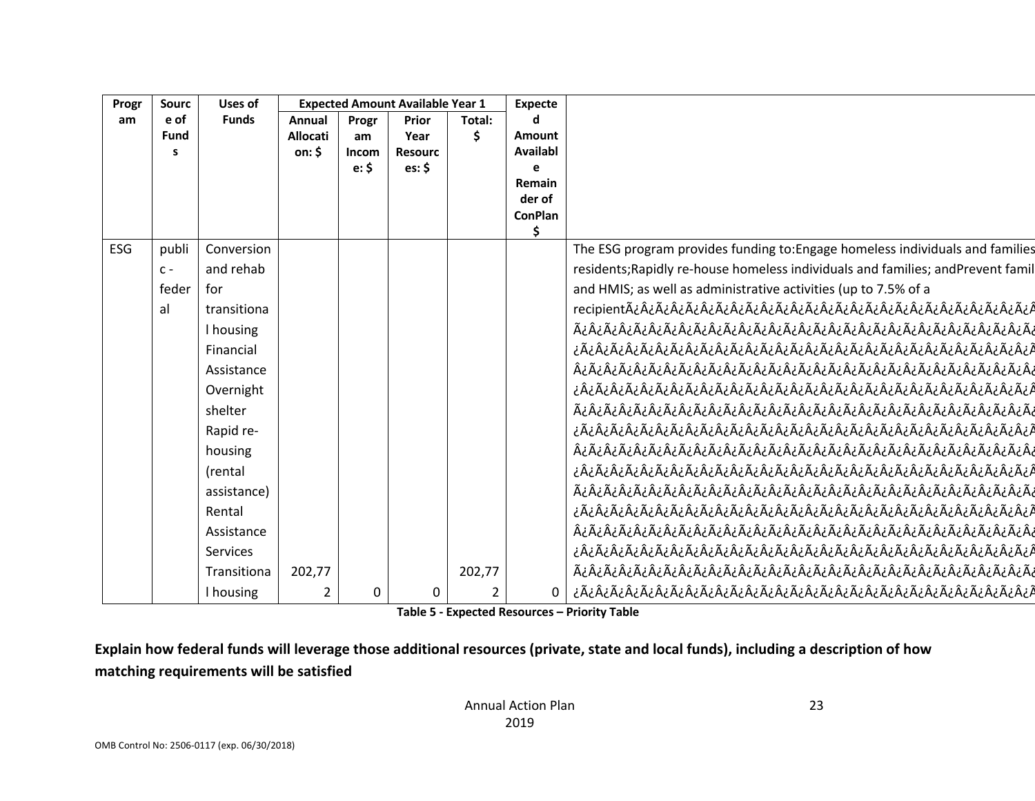| Progr | Sourc | Uses of      | <b>Expected Amount Available Year 1</b> |                   | <b>Expecte</b>            |        |                 |                                                                                  |
|-------|-------|--------------|-----------------------------------------|-------------------|---------------------------|--------|-----------------|----------------------------------------------------------------------------------|
| am    | e of  | <b>Funds</b> | Annual                                  | $P_{\text{rogr}}$ | Prior                     | Total: |                 |                                                                                  |
|       | Fund  |              | <b>Allocati</b>                         | am                | Year                      |        | Amount          |                                                                                  |
|       |       |              | on: $$$                                 | Incom<br>e: \$    | <b>Resourc</b><br>es: $$$ |        | <b>Availabl</b> |                                                                                  |
|       |       |              |                                         |                   |                           |        | Remain          |                                                                                  |
|       |       |              |                                         |                   |                           |        | der of          |                                                                                  |
|       |       |              |                                         |                   |                           |        | <b>ConPlan</b>  |                                                                                  |
|       |       |              |                                         |                   |                           |        |                 |                                                                                  |
| ESG   | publi | Conversion   |                                         |                   |                           |        |                 | The ESG program provides funding to: Engage homeless individuals and families    |
|       | $C -$ | and rehab    |                                         |                   |                           |        |                 | residents; Rapidly re-house homeless individuals and families; and Prevent famil |
|       | feder | for          |                                         |                   |                           |        |                 | and HMIS; as well as administrative activities (up to 7.5% of a                  |
|       |       | transitiona  |                                         |                   |                           |        |                 |                                                                                  |
|       |       | I housing    |                                         |                   |                           |        |                 |                                                                                  |
|       |       | Financial    |                                         |                   |                           |        |                 |                                                                                  |
|       |       | Assistance   |                                         |                   |                           |        |                 |                                                                                  |
|       |       | Overnight    |                                         |                   |                           |        |                 |                                                                                  |
|       |       | shelter      |                                         |                   |                           |        |                 |                                                                                  |
|       |       | Rapid re-    |                                         |                   |                           |        |                 |                                                                                  |
|       |       | housing      |                                         |                   |                           |        |                 |                                                                                  |
|       |       | (rental      |                                         |                   |                           |        |                 |                                                                                  |
|       |       | assistance)  |                                         |                   |                           |        |                 |                                                                                  |
|       |       | Rental       |                                         |                   |                           |        |                 |                                                                                  |
|       |       |              |                                         |                   |                           |        |                 |                                                                                  |
|       |       | Assistance   |                                         |                   |                           |        |                 |                                                                                  |
|       |       | Services     |                                         |                   |                           |        |                 |                                                                                  |
|       |       | Transitiona  | 202,77                                  |                   |                           | 202,77 |                 |                                                                                  |
|       |       | I housing    |                                         |                   |                           |        |                 |                                                                                  |

**Table 5 - Expected Resources – Priority Table**

**Explain how federal funds will leverage those additional resources (private, state and local funds), including a description of how matching requirements will be satisfied**

23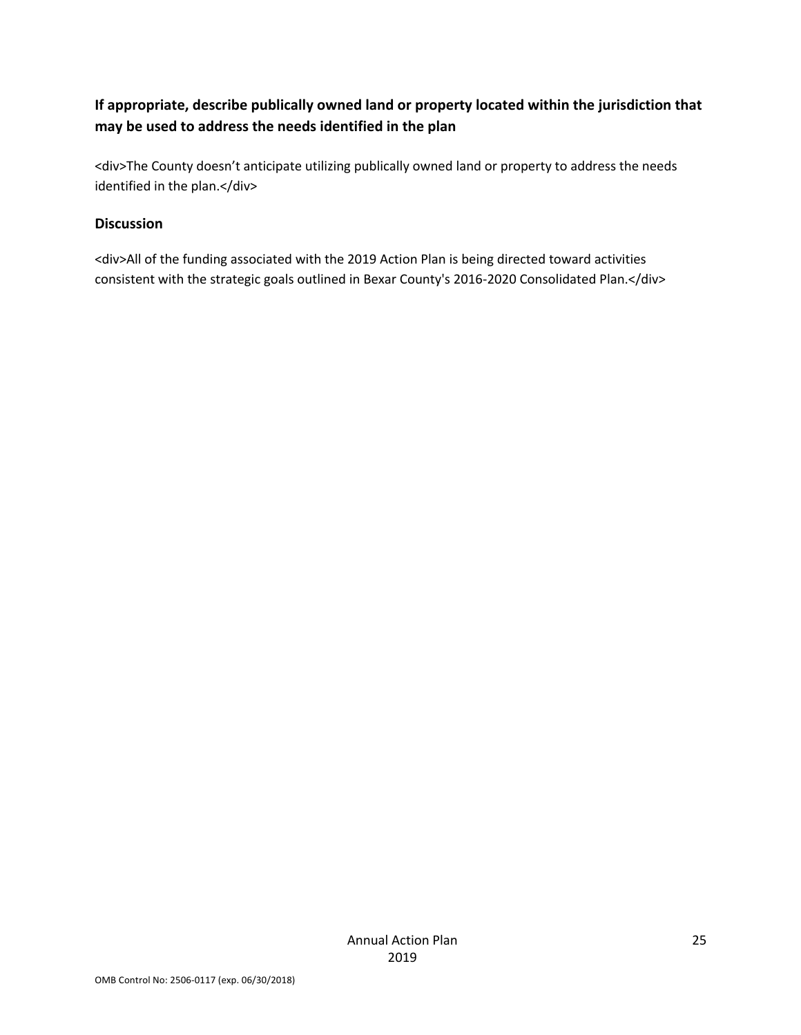### **If appropriate, describe publically owned land or property located within the jurisdiction that may be used to address the needs identified in the plan**

<div>The County doesn't anticipate utilizing publically owned land or property to address the needs identified in the plan.</div>

### **Discussion**

<div>All of the funding associated with the 2019 Action Plan is being directed toward activities consistent with the strategic goals outlined in Bexar County's 2016-2020 Consolidated Plan.</div>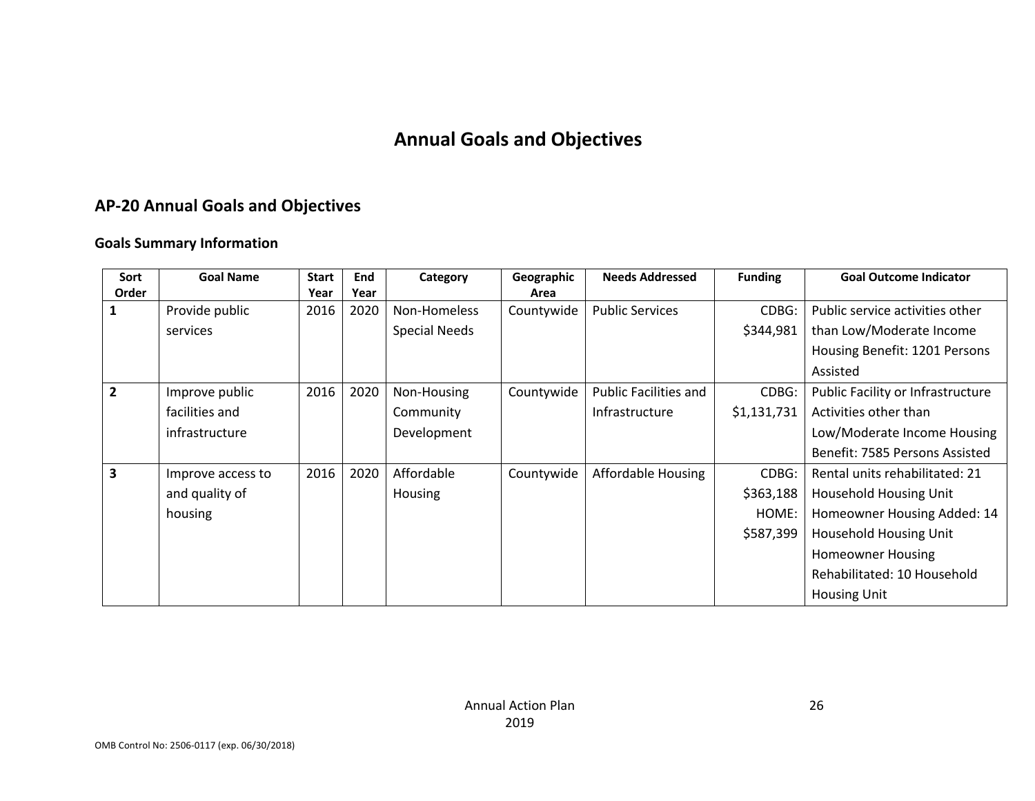# **Annual Goals and Objectives**

# **AP-20 Annual Goals and Objectives**

### **Goals Summary Information**

| Sort         | <b>Goal Name</b>  | <b>Start</b> | End  | Category             | Geographic | <b>Needs Addressed</b>       | <b>Funding</b> | <b>Goal Outcome Indicator</b>     |
|--------------|-------------------|--------------|------|----------------------|------------|------------------------------|----------------|-----------------------------------|
| Order        |                   | Year         | Year |                      | Area       |                              |                |                                   |
|              | Provide public    | 2016         | 2020 | Non-Homeless         | Countywide | <b>Public Services</b>       | CDBG:          | Public service activities other   |
|              | services          |              |      | <b>Special Needs</b> |            |                              | \$344,981      | than Low/Moderate Income          |
|              |                   |              |      |                      |            |                              |                | Housing Benefit: 1201 Persons     |
|              |                   |              |      |                      |            |                              |                | Assisted                          |
| $\mathbf{2}$ | Improve public    | 2016         | 2020 | Non-Housing          | Countywide | <b>Public Facilities and</b> | CDBG:          | Public Facility or Infrastructure |
|              | facilities and    |              |      | Community            |            | Infrastructure               | \$1,131,731    | Activities other than             |
|              | infrastructure    |              |      | Development          |            |                              |                | Low/Moderate Income Housing       |
|              |                   |              |      |                      |            |                              |                | Benefit: 7585 Persons Assisted    |
| 3            | Improve access to | 2016         | 2020 | Affordable           | Countywide | Affordable Housing           | CDBG:          | Rental units rehabilitated: 21    |
|              | and quality of    |              |      | Housing              |            |                              | \$363,188      | Household Housing Unit            |
|              | housing           |              |      |                      |            |                              | HOME:          | Homeowner Housing Added: 14       |
|              |                   |              |      |                      |            |                              | \$587,399      | Household Housing Unit            |
|              |                   |              |      |                      |            |                              |                | <b>Homeowner Housing</b>          |
|              |                   |              |      |                      |            |                              |                | Rehabilitated: 10 Household       |
|              |                   |              |      |                      |            |                              |                | <b>Housing Unit</b>               |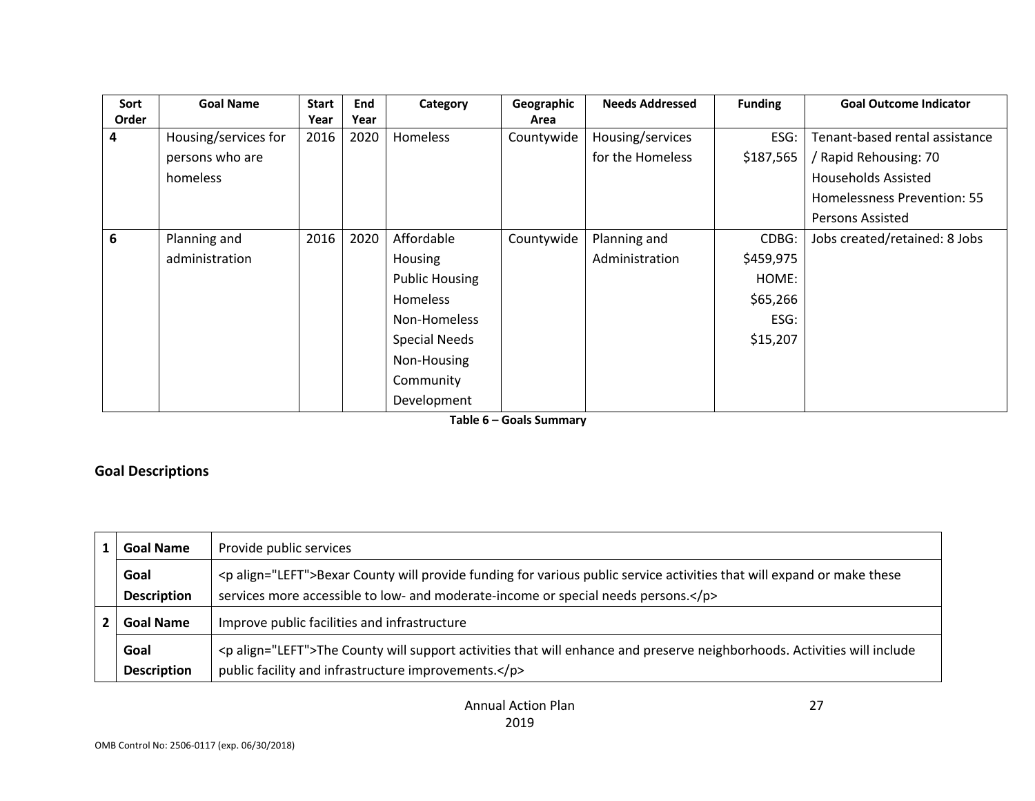| Sort  | <b>Goal Name</b>     | <b>Start</b> | End  | Category              | Geographic | <b>Needs Addressed</b> | <b>Funding</b> | <b>Goal Outcome Indicator</b>  |
|-------|----------------------|--------------|------|-----------------------|------------|------------------------|----------------|--------------------------------|
| Order |                      | Year         | Year |                       | Area       |                        |                |                                |
| 4     | Housing/services for | 2016         | 2020 | Homeless              | Countywide | Housing/services       | ESG:           | Tenant-based rental assistance |
|       | persons who are      |              |      |                       |            | for the Homeless       | \$187,565      | / Rapid Rehousing: 70          |
|       | homeless             |              |      |                       |            |                        |                | <b>Households Assisted</b>     |
|       |                      |              |      |                       |            |                        |                | Homelessness Prevention: 55    |
|       |                      |              |      |                       |            |                        |                | <b>Persons Assisted</b>        |
| 6     | Planning and         | 2016         | 2020 | Affordable            | Countywide | Planning and           | CDBG:          | Jobs created/retained: 8 Jobs  |
|       | administration       |              |      | Housing               |            | Administration         | \$459,975      |                                |
|       |                      |              |      | <b>Public Housing</b> |            |                        | HOME:          |                                |
|       |                      |              |      | <b>Homeless</b>       |            |                        | \$65,266       |                                |
|       |                      |              |      | Non-Homeless          |            |                        | ESG:           |                                |
|       |                      |              |      | <b>Special Needs</b>  |            |                        | \$15,207       |                                |
|       |                      |              |      | Non-Housing           |            |                        |                |                                |
|       |                      |              |      | Community             |            |                        |                |                                |
|       |                      |              |      | Development           |            |                        |                |                                |

**Table 6 – Goals Summary**

### **Goal Descriptions**

| <b>Goal Name</b>   | Provide public services                                                                                                      |
|--------------------|------------------------------------------------------------------------------------------------------------------------------|
| Goal               | <p align="LEFT">Bexar County will provide funding for various public service activities that will expand or make these</p>   |
| <b>Description</b> | services more accessible to low- and moderate-income or special needs persons.                                               |
| <b>Goal Name</b>   | Improve public facilities and infrastructure                                                                                 |
| Goal               | <p align="LEFT">The County will support activities that will enhance and preserve neighborhoods. Activities will include</p> |
| <b>Description</b> | public facility and infrastructure improvements.                                                                             |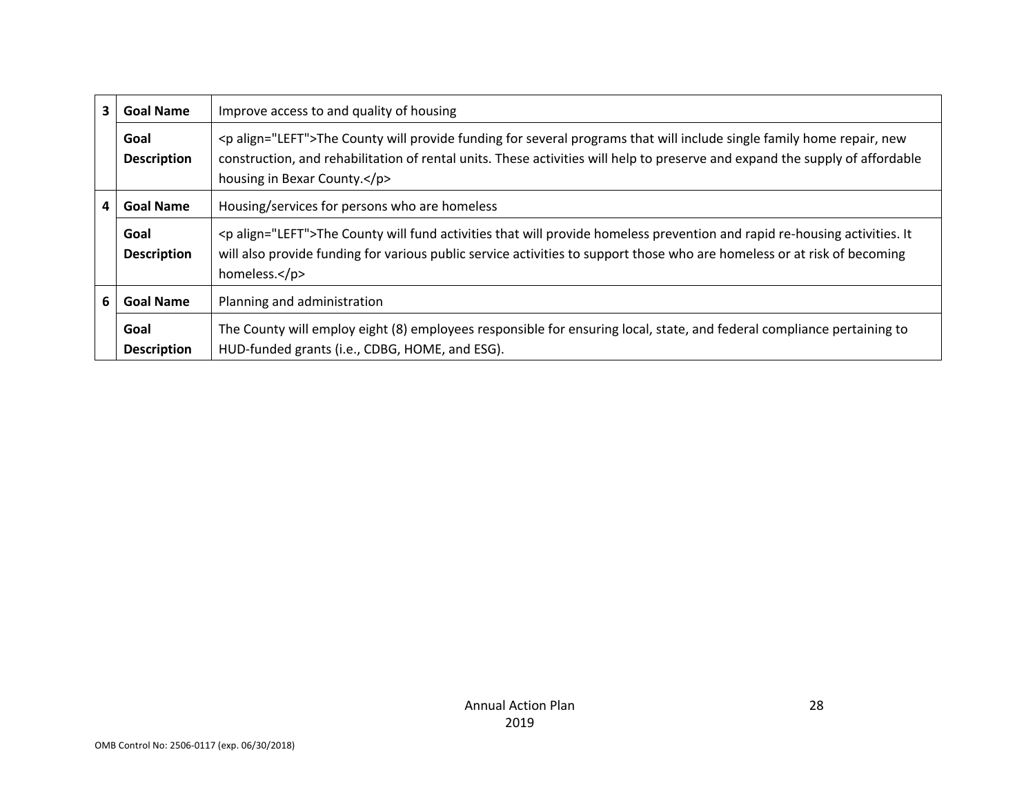| 3 | <b>Goal Name</b>           | Improve access to and quality of housing                                                                                                                                                                                                                                                |
|---|----------------------------|-----------------------------------------------------------------------------------------------------------------------------------------------------------------------------------------------------------------------------------------------------------------------------------------|
|   | Goal<br><b>Description</b> | <p align="LEFT">The County will provide funding for several programs that will include single family home repair, new<br/>construction, and rehabilitation of rental units. These activities will help to preserve and expand the supply of affordable<br/>housing in Bexar County.</p> |
| 4 | <b>Goal Name</b>           | Housing/services for persons who are homeless                                                                                                                                                                                                                                           |
|   | Goal<br><b>Description</b> | <p align="LEFT">The County will fund activities that will provide homeless prevention and rapid re-housing activities. It<br/>will also provide funding for various public service activities to support those who are homeless or at risk of becoming<br/>homeless.</p>                |
| 6 | <b>Goal Name</b>           | Planning and administration                                                                                                                                                                                                                                                             |
|   | Goal<br><b>Description</b> | The County will employ eight (8) employees responsible for ensuring local, state, and federal compliance pertaining to<br>HUD-funded grants (i.e., CDBG, HOME, and ESG).                                                                                                                |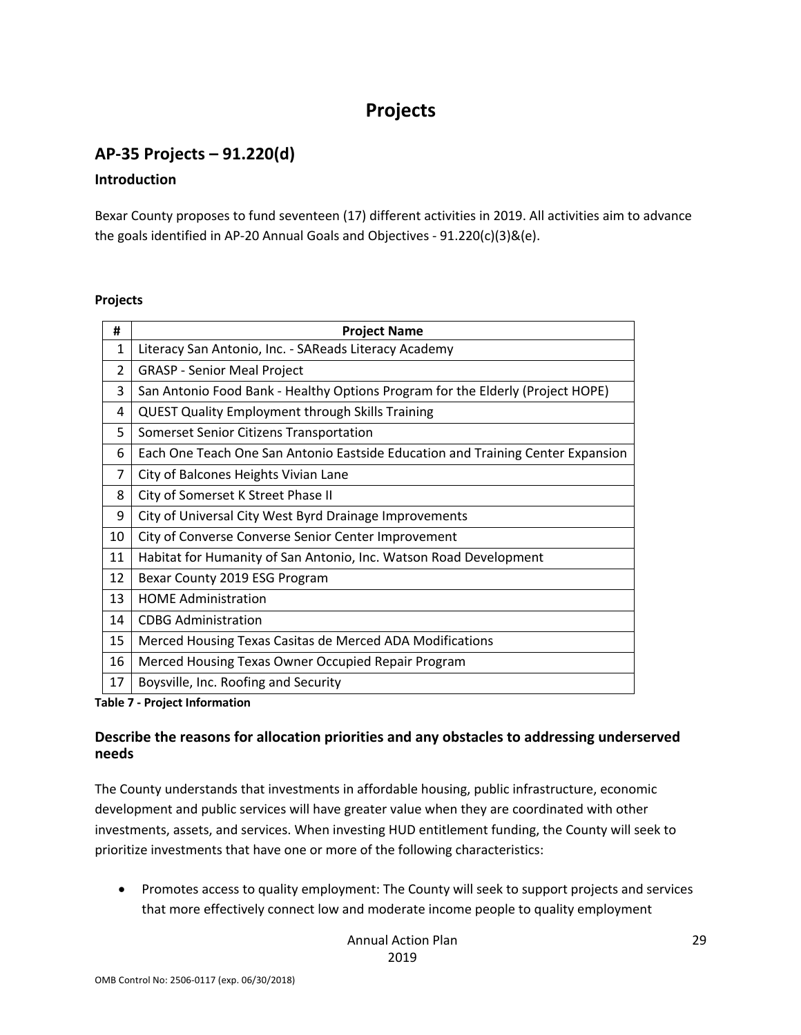# **Projects**

## **AP-35 Projects – 91.220(d)**

#### **Introduction**

Bexar County proposes to fund seventeen (17) different activities in 2019. All activities aim to advance the goals identified in AP-20 Annual Goals and Objectives - 91.220(c)(3)&(e).

#### **Projects**

| #              | <b>Project Name</b>                                                             |
|----------------|---------------------------------------------------------------------------------|
| 1              | Literacy San Antonio, Inc. - SAReads Literacy Academy                           |
| $\overline{2}$ | <b>GRASP - Senior Meal Project</b>                                              |
| 3              | San Antonio Food Bank - Healthy Options Program for the Elderly (Project HOPE)  |
| 4              | <b>QUEST Quality Employment through Skills Training</b>                         |
| 5              | Somerset Senior Citizens Transportation                                         |
| 6              | Each One Teach One San Antonio Eastside Education and Training Center Expansion |
| 7              | City of Balcones Heights Vivian Lane                                            |
| 8              | City of Somerset K Street Phase II                                              |
| 9              | City of Universal City West Byrd Drainage Improvements                          |
| 10             | City of Converse Converse Senior Center Improvement                             |
| 11             | Habitat for Humanity of San Antonio, Inc. Watson Road Development               |
| 12             | Bexar County 2019 ESG Program                                                   |
| 13             | <b>HOME Administration</b>                                                      |
| 14             | <b>CDBG Administration</b>                                                      |
| 15             | Merced Housing Texas Casitas de Merced ADA Modifications                        |
| 16             | Merced Housing Texas Owner Occupied Repair Program                              |
| 17             | Boysville, Inc. Roofing and Security                                            |

**Table 7 - Project Information**

### **Describe the reasons for allocation priorities and any obstacles to addressing underserved needs**

The County understands that investments in affordable housing, public infrastructure, economic development and public services will have greater value when they are coordinated with other investments, assets, and services. When investing HUD entitlement funding, the County will seek to prioritize investments that have one or more of the following characteristics:

• Promotes access to quality employment: The County will seek to support projects and services that more effectively connect low and moderate income people to quality employment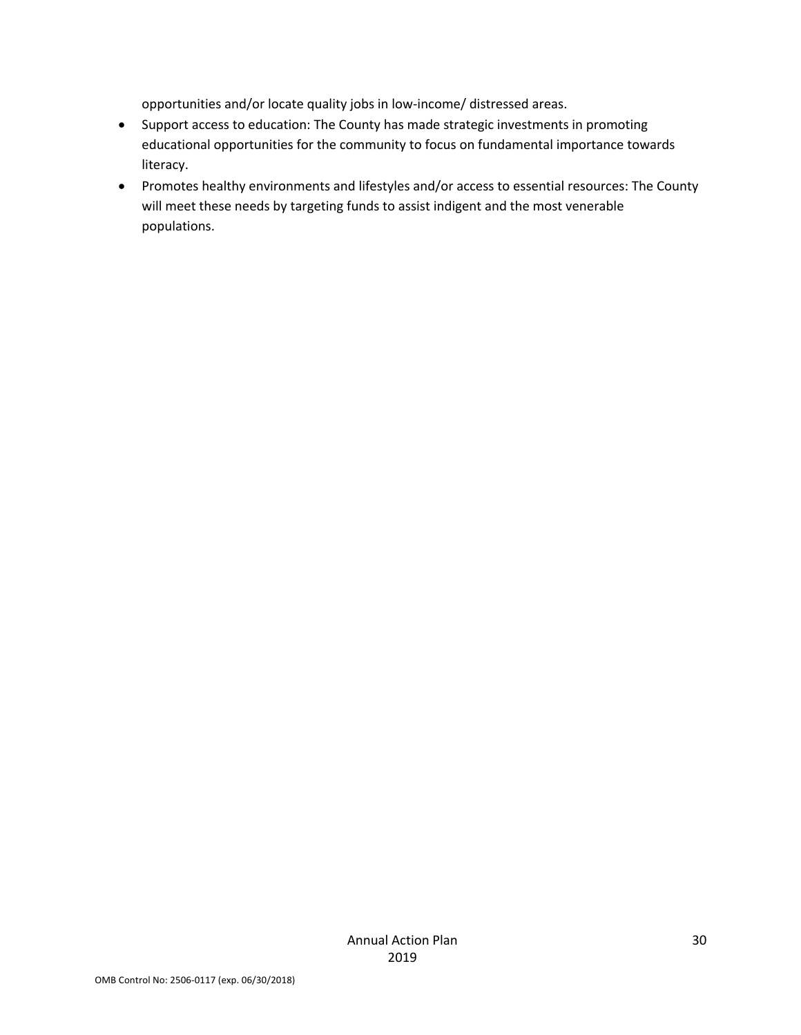opportunities and/or locate quality jobs in low-income/ distressed areas.

- Support access to education: The County has made strategic investments in promoting educational opportunities for the community to focus on fundamental importance towards literacy.
- Promotes healthy environments and lifestyles and/or access to essential resources: The County will meet these needs by targeting funds to assist indigent and the most venerable populations.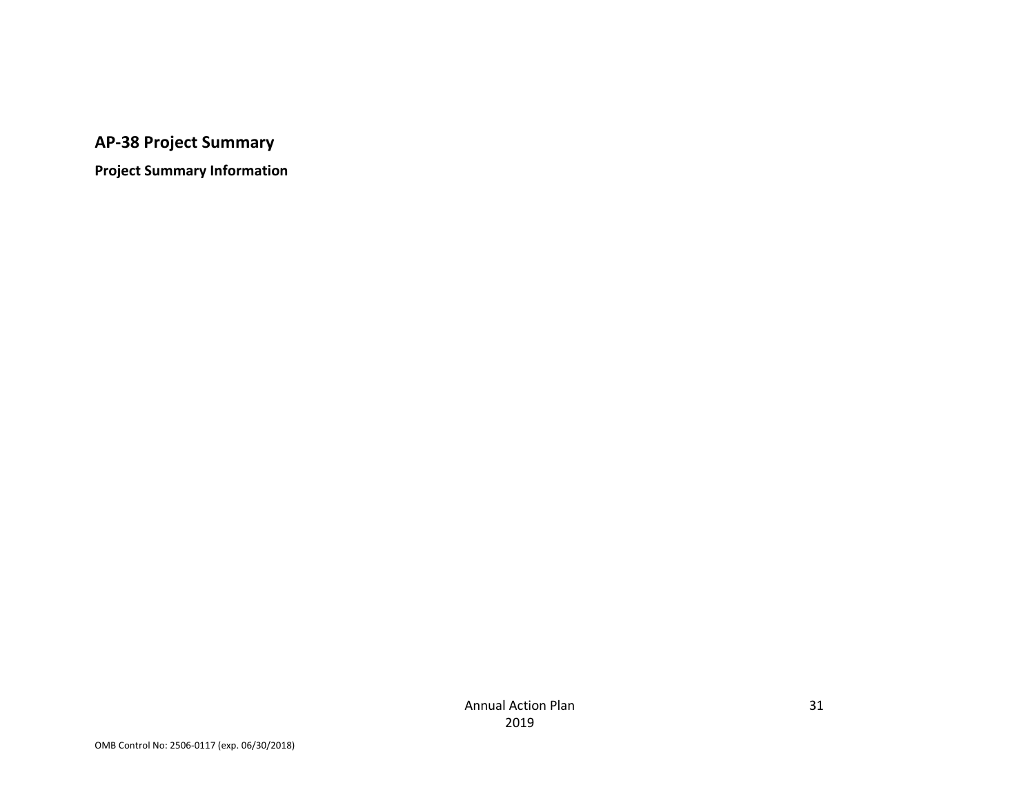# **AP-38 Project Summary**

**Project Summary Information**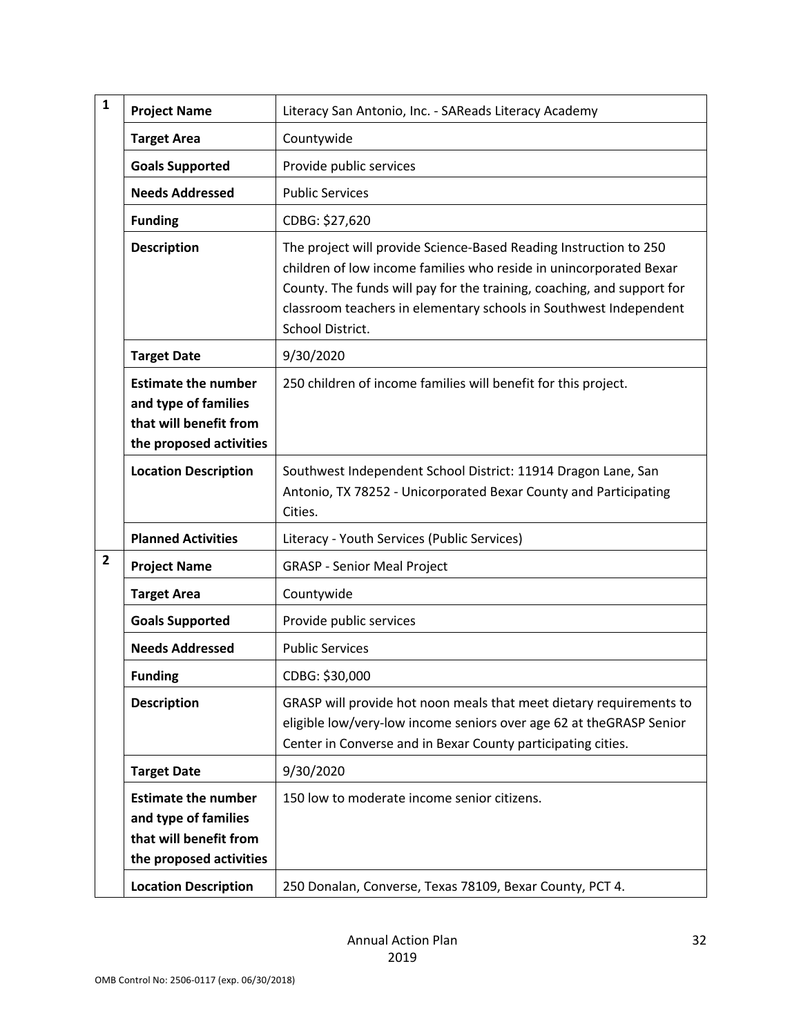| $\mathbf{1}$   | <b>Project Name</b>                                                                                     | Literacy San Antonio, Inc. - SAReads Literacy Academy                                                                                                                                                                                                                                                      |  |  |
|----------------|---------------------------------------------------------------------------------------------------------|------------------------------------------------------------------------------------------------------------------------------------------------------------------------------------------------------------------------------------------------------------------------------------------------------------|--|--|
|                | <b>Target Area</b>                                                                                      | Countywide                                                                                                                                                                                                                                                                                                 |  |  |
|                | <b>Goals Supported</b>                                                                                  | Provide public services                                                                                                                                                                                                                                                                                    |  |  |
|                | <b>Needs Addressed</b>                                                                                  | <b>Public Services</b>                                                                                                                                                                                                                                                                                     |  |  |
|                | <b>Funding</b>                                                                                          | CDBG: \$27,620                                                                                                                                                                                                                                                                                             |  |  |
|                | <b>Description</b>                                                                                      | The project will provide Science-Based Reading Instruction to 250<br>children of low income families who reside in unincorporated Bexar<br>County. The funds will pay for the training, coaching, and support for<br>classroom teachers in elementary schools in Southwest Independent<br>School District. |  |  |
|                | <b>Target Date</b>                                                                                      | 9/30/2020                                                                                                                                                                                                                                                                                                  |  |  |
|                | <b>Estimate the number</b><br>and type of families<br>that will benefit from<br>the proposed activities | 250 children of income families will benefit for this project.                                                                                                                                                                                                                                             |  |  |
|                | <b>Location Description</b>                                                                             | Southwest Independent School District: 11914 Dragon Lane, San<br>Antonio, TX 78252 - Unicorporated Bexar County and Participating<br>Cities.                                                                                                                                                               |  |  |
|                | <b>Planned Activities</b>                                                                               | Literacy - Youth Services (Public Services)                                                                                                                                                                                                                                                                |  |  |
| $\overline{2}$ | <b>Project Name</b>                                                                                     | <b>GRASP - Senior Meal Project</b>                                                                                                                                                                                                                                                                         |  |  |
|                | <b>Target Area</b>                                                                                      | Countywide                                                                                                                                                                                                                                                                                                 |  |  |
|                | <b>Goals Supported</b>                                                                                  | Provide public services                                                                                                                                                                                                                                                                                    |  |  |
|                | <b>Needs Addressed</b>                                                                                  | <b>Public Services</b>                                                                                                                                                                                                                                                                                     |  |  |
|                | <b>Funding</b>                                                                                          | CDBG: \$30,000                                                                                                                                                                                                                                                                                             |  |  |
|                | <b>Description</b>                                                                                      | GRASP will provide hot noon meals that meet dietary requirements to<br>eligible low/very-low income seniors over age 62 at theGRASP Senior<br>Center in Converse and in Bexar County participating cities.                                                                                                 |  |  |
|                | <b>Target Date</b>                                                                                      | 9/30/2020                                                                                                                                                                                                                                                                                                  |  |  |
|                | <b>Estimate the number</b><br>and type of families<br>that will benefit from<br>the proposed activities | 150 low to moderate income senior citizens.                                                                                                                                                                                                                                                                |  |  |
|                | <b>Location Description</b>                                                                             | 250 Donalan, Converse, Texas 78109, Bexar County, PCT 4.                                                                                                                                                                                                                                                   |  |  |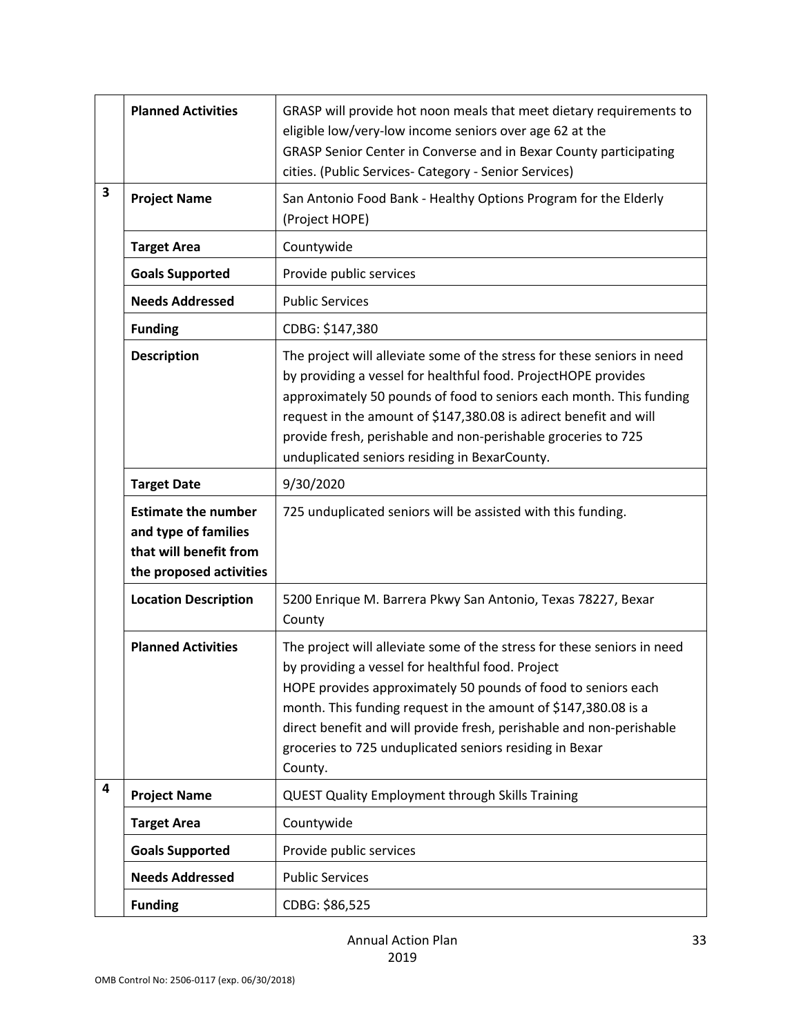|   | <b>Planned Activities</b>                                                                               | GRASP will provide hot noon meals that meet dietary requirements to<br>eligible low/very-low income seniors over age 62 at the<br>GRASP Senior Center in Converse and in Bexar County participating<br>cities. (Public Services- Category - Senior Services)                                                                                                                                                  |
|---|---------------------------------------------------------------------------------------------------------|---------------------------------------------------------------------------------------------------------------------------------------------------------------------------------------------------------------------------------------------------------------------------------------------------------------------------------------------------------------------------------------------------------------|
| 3 | <b>Project Name</b>                                                                                     | San Antonio Food Bank - Healthy Options Program for the Elderly<br>(Project HOPE)                                                                                                                                                                                                                                                                                                                             |
|   | <b>Target Area</b>                                                                                      | Countywide                                                                                                                                                                                                                                                                                                                                                                                                    |
|   | <b>Goals Supported</b>                                                                                  | Provide public services                                                                                                                                                                                                                                                                                                                                                                                       |
|   | <b>Needs Addressed</b>                                                                                  | <b>Public Services</b>                                                                                                                                                                                                                                                                                                                                                                                        |
|   | <b>Funding</b>                                                                                          | CDBG: \$147,380                                                                                                                                                                                                                                                                                                                                                                                               |
|   | <b>Description</b>                                                                                      | The project will alleviate some of the stress for these seniors in need<br>by providing a vessel for healthful food. ProjectHOPE provides<br>approximately 50 pounds of food to seniors each month. This funding<br>request in the amount of \$147,380.08 is adirect benefit and will<br>provide fresh, perishable and non-perishable groceries to 725<br>unduplicated seniors residing in BexarCounty.       |
|   | <b>Target Date</b>                                                                                      | 9/30/2020                                                                                                                                                                                                                                                                                                                                                                                                     |
|   | <b>Estimate the number</b><br>and type of families<br>that will benefit from<br>the proposed activities | 725 unduplicated seniors will be assisted with this funding.                                                                                                                                                                                                                                                                                                                                                  |
|   | <b>Location Description</b>                                                                             | 5200 Enrique M. Barrera Pkwy San Antonio, Texas 78227, Bexar<br>County                                                                                                                                                                                                                                                                                                                                        |
|   | <b>Planned Activities</b>                                                                               | The project will alleviate some of the stress for these seniors in need<br>by providing a vessel for healthful food. Project<br>HOPE provides approximately 50 pounds of food to seniors each<br>month. This funding request in the amount of \$147,380.08 is a<br>direct benefit and will provide fresh, perishable and non-perishable<br>groceries to 725 unduplicated seniors residing in Bexar<br>County. |
| 4 | <b>Project Name</b>                                                                                     | <b>QUEST Quality Employment through Skills Training</b>                                                                                                                                                                                                                                                                                                                                                       |
|   | <b>Target Area</b>                                                                                      | Countywide                                                                                                                                                                                                                                                                                                                                                                                                    |
|   | <b>Goals Supported</b>                                                                                  | Provide public services                                                                                                                                                                                                                                                                                                                                                                                       |
|   | <b>Needs Addressed</b>                                                                                  | <b>Public Services</b>                                                                                                                                                                                                                                                                                                                                                                                        |
|   | <b>Funding</b>                                                                                          | CDBG: \$86,525                                                                                                                                                                                                                                                                                                                                                                                                |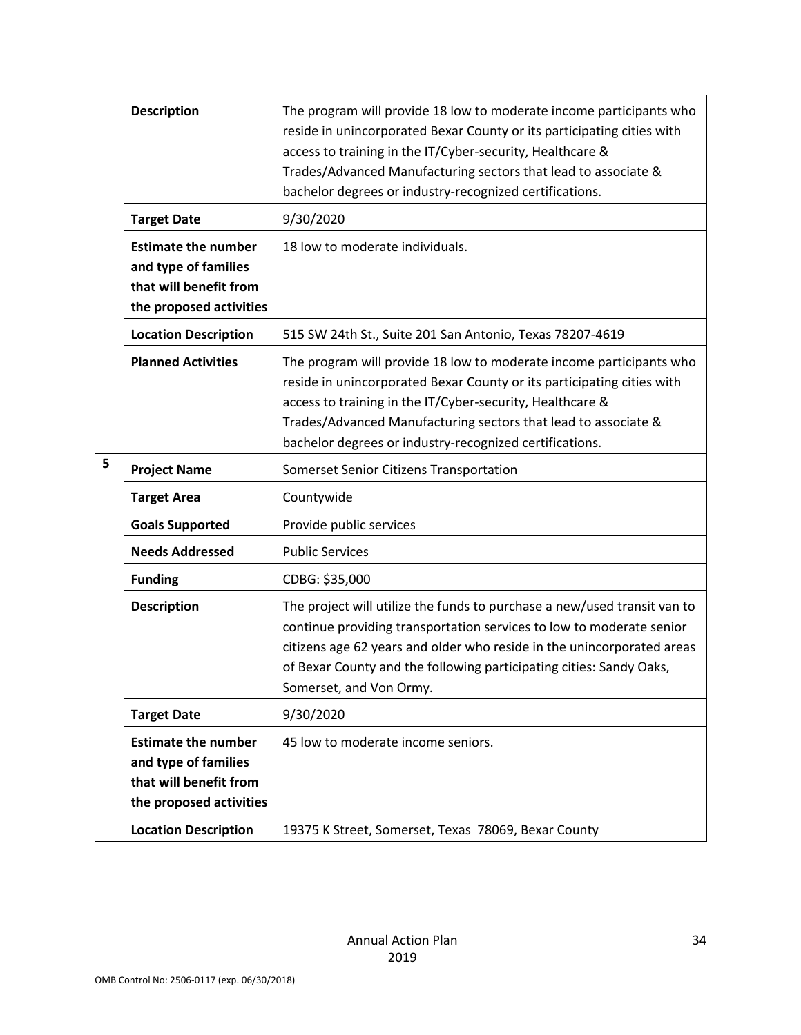|   | <b>Description</b>                                                                                      | The program will provide 18 low to moderate income participants who<br>reside in unincorporated Bexar County or its participating cities with<br>access to training in the IT/Cyber-security, Healthcare &<br>Trades/Advanced Manufacturing sectors that lead to associate &<br>bachelor degrees or industry-recognized certifications. |
|---|---------------------------------------------------------------------------------------------------------|-----------------------------------------------------------------------------------------------------------------------------------------------------------------------------------------------------------------------------------------------------------------------------------------------------------------------------------------|
|   | <b>Target Date</b>                                                                                      | 9/30/2020                                                                                                                                                                                                                                                                                                                               |
|   | <b>Estimate the number</b><br>and type of families<br>that will benefit from<br>the proposed activities | 18 low to moderate individuals.                                                                                                                                                                                                                                                                                                         |
|   | <b>Location Description</b>                                                                             | 515 SW 24th St., Suite 201 San Antonio, Texas 78207-4619                                                                                                                                                                                                                                                                                |
|   | <b>Planned Activities</b>                                                                               | The program will provide 18 low to moderate income participants who<br>reside in unincorporated Bexar County or its participating cities with<br>access to training in the IT/Cyber-security, Healthcare &<br>Trades/Advanced Manufacturing sectors that lead to associate &<br>bachelor degrees or industry-recognized certifications. |
| 5 | <b>Project Name</b>                                                                                     | Somerset Senior Citizens Transportation                                                                                                                                                                                                                                                                                                 |
|   | <b>Target Area</b>                                                                                      | Countywide                                                                                                                                                                                                                                                                                                                              |
|   | <b>Goals Supported</b>                                                                                  | Provide public services                                                                                                                                                                                                                                                                                                                 |
|   | <b>Needs Addressed</b>                                                                                  | <b>Public Services</b>                                                                                                                                                                                                                                                                                                                  |
|   | <b>Funding</b>                                                                                          | CDBG: \$35,000                                                                                                                                                                                                                                                                                                                          |
|   | <b>Description</b>                                                                                      | The project will utilize the funds to purchase a new/used transit van to<br>continue providing transportation services to low to moderate senior<br>citizens age 62 years and older who reside in the unincorporated areas<br>of Bexar County and the following participating cities: Sandy Oaks,<br>Somerset, and Von Ormy.            |
|   | <b>Target Date</b>                                                                                      | 9/30/2020                                                                                                                                                                                                                                                                                                                               |
|   | <b>Estimate the number</b><br>and type of families<br>that will benefit from<br>the proposed activities | 45 low to moderate income seniors.                                                                                                                                                                                                                                                                                                      |
|   | <b>Location Description</b>                                                                             | 19375 K Street, Somerset, Texas 78069, Bexar County                                                                                                                                                                                                                                                                                     |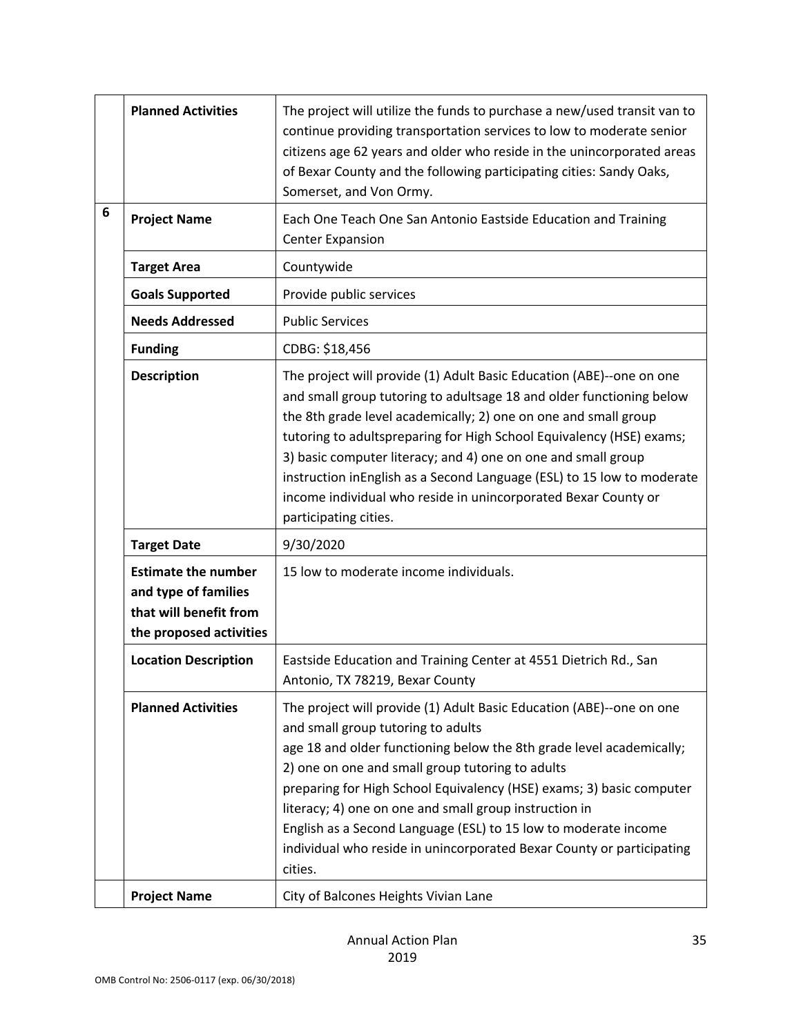|   | <b>Planned Activities</b>                                                                               | The project will utilize the funds to purchase a new/used transit van to<br>continue providing transportation services to low to moderate senior<br>citizens age 62 years and older who reside in the unincorporated areas<br>of Bexar County and the following participating cities: Sandy Oaks,<br>Somerset, and Von Ormy.                                                                                                                                                                                                    |
|---|---------------------------------------------------------------------------------------------------------|---------------------------------------------------------------------------------------------------------------------------------------------------------------------------------------------------------------------------------------------------------------------------------------------------------------------------------------------------------------------------------------------------------------------------------------------------------------------------------------------------------------------------------|
| 6 | <b>Project Name</b>                                                                                     | Each One Teach One San Antonio Eastside Education and Training<br><b>Center Expansion</b>                                                                                                                                                                                                                                                                                                                                                                                                                                       |
|   | <b>Target Area</b>                                                                                      | Countywide                                                                                                                                                                                                                                                                                                                                                                                                                                                                                                                      |
|   | <b>Goals Supported</b>                                                                                  | Provide public services                                                                                                                                                                                                                                                                                                                                                                                                                                                                                                         |
|   | <b>Needs Addressed</b>                                                                                  | <b>Public Services</b>                                                                                                                                                                                                                                                                                                                                                                                                                                                                                                          |
|   | <b>Funding</b>                                                                                          | CDBG: \$18,456                                                                                                                                                                                                                                                                                                                                                                                                                                                                                                                  |
|   | <b>Description</b>                                                                                      | The project will provide (1) Adult Basic Education (ABE)--one on one<br>and small group tutoring to adultsage 18 and older functioning below<br>the 8th grade level academically; 2) one on one and small group<br>tutoring to adultspreparing for High School Equivalency (HSE) exams;<br>3) basic computer literacy; and 4) one on one and small group<br>instruction inEnglish as a Second Language (ESL) to 15 low to moderate<br>income individual who reside in unincorporated Bexar County or<br>participating cities.   |
|   | <b>Target Date</b>                                                                                      | 9/30/2020                                                                                                                                                                                                                                                                                                                                                                                                                                                                                                                       |
|   | <b>Estimate the number</b><br>and type of families<br>that will benefit from<br>the proposed activities | 15 low to moderate income individuals.                                                                                                                                                                                                                                                                                                                                                                                                                                                                                          |
|   | <b>Location Description</b>                                                                             | Eastside Education and Training Center at 4551 Dietrich Rd., San<br>Antonio, TX 78219, Bexar County                                                                                                                                                                                                                                                                                                                                                                                                                             |
|   | <b>Planned Activities</b>                                                                               | The project will provide (1) Adult Basic Education (ABE)--one on one<br>and small group tutoring to adults<br>age 18 and older functioning below the 8th grade level academically;<br>2) one on one and small group tutoring to adults<br>preparing for High School Equivalency (HSE) exams; 3) basic computer<br>literacy; 4) one on one and small group instruction in<br>English as a Second Language (ESL) to 15 low to moderate income<br>individual who reside in unincorporated Bexar County or participating<br>cities. |
|   | <b>Project Name</b>                                                                                     | City of Balcones Heights Vivian Lane                                                                                                                                                                                                                                                                                                                                                                                                                                                                                            |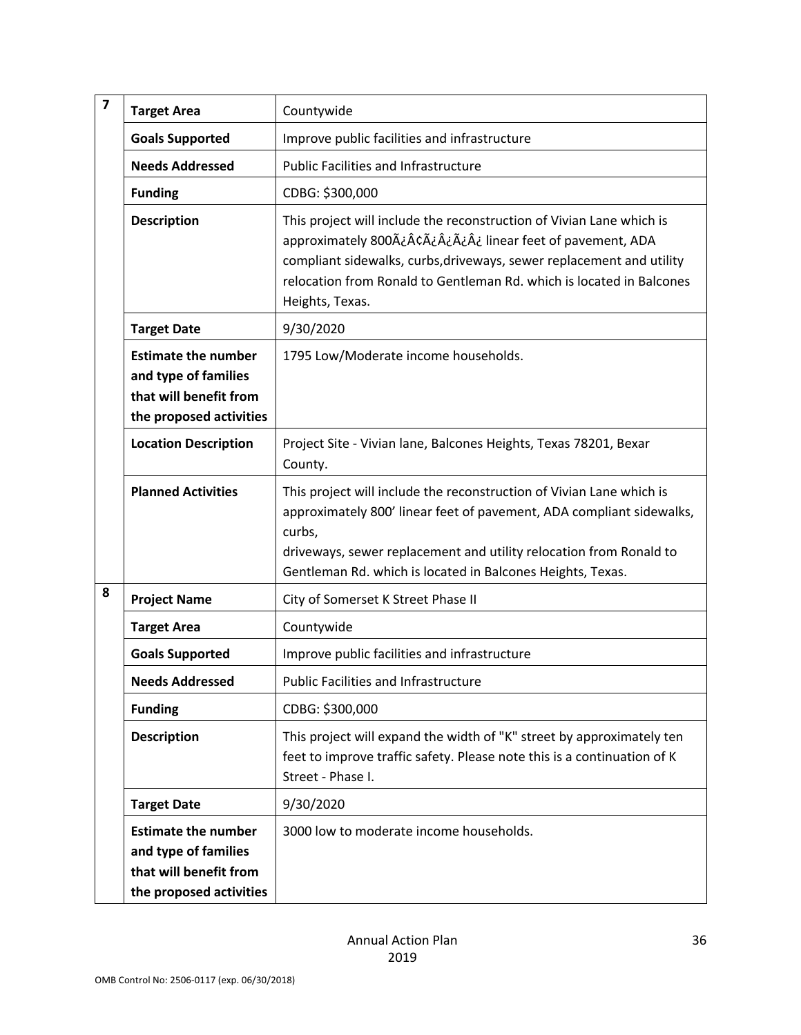| $\overline{\mathbf{z}}$ | <b>Target Area</b>                                                                                      | Countywide                                                                                                                                                                                                                                                                                      |
|-------------------------|---------------------------------------------------------------------------------------------------------|-------------------------------------------------------------------------------------------------------------------------------------------------------------------------------------------------------------------------------------------------------------------------------------------------|
|                         | <b>Goals Supported</b>                                                                                  | Improve public facilities and infrastructure                                                                                                                                                                                                                                                    |
|                         | <b>Needs Addressed</b>                                                                                  | <b>Public Facilities and Infrastructure</b>                                                                                                                                                                                                                                                     |
|                         | <b>Funding</b>                                                                                          | CDBG: \$300,000                                                                                                                                                                                                                                                                                 |
|                         | <b>Description</b>                                                                                      | This project will include the reconstruction of Vivian Lane which is<br>approximately 800 ÿ¢¿¿¿ linear feet of pavement, ADA<br>compliant sidewalks, curbs, driveways, sewer replacement and utility<br>relocation from Ronald to Gentleman Rd. which is located in Balcones<br>Heights, Texas. |
|                         | <b>Target Date</b>                                                                                      | 9/30/2020                                                                                                                                                                                                                                                                                       |
|                         | <b>Estimate the number</b><br>and type of families<br>that will benefit from<br>the proposed activities | 1795 Low/Moderate income households.                                                                                                                                                                                                                                                            |
|                         | <b>Location Description</b>                                                                             | Project Site - Vivian lane, Balcones Heights, Texas 78201, Bexar<br>County.                                                                                                                                                                                                                     |
|                         | <b>Planned Activities</b>                                                                               | This project will include the reconstruction of Vivian Lane which is<br>approximately 800' linear feet of pavement, ADA compliant sidewalks,<br>curbs,<br>driveways, sewer replacement and utility relocation from Ronald to<br>Gentleman Rd. which is located in Balcones Heights, Texas.      |
| 8                       | <b>Project Name</b>                                                                                     | City of Somerset K Street Phase II                                                                                                                                                                                                                                                              |
|                         | <b>Target Area</b>                                                                                      | Countywide                                                                                                                                                                                                                                                                                      |
|                         | <b>Goals Supported</b>                                                                                  | Improve public facilities and infrastructure                                                                                                                                                                                                                                                    |
|                         | <b>Needs Addressed</b>                                                                                  | <b>Public Facilities and Infrastructure</b>                                                                                                                                                                                                                                                     |
|                         | <b>Funding</b>                                                                                          | CDBG: \$300,000                                                                                                                                                                                                                                                                                 |
|                         | <b>Description</b>                                                                                      | This project will expand the width of "K" street by approximately ten<br>feet to improve traffic safety. Please note this is a continuation of K<br>Street - Phase I.                                                                                                                           |
|                         | <b>Target Date</b>                                                                                      | 9/30/2020                                                                                                                                                                                                                                                                                       |
|                         | <b>Estimate the number</b><br>and type of families<br>that will benefit from<br>the proposed activities | 3000 low to moderate income households.                                                                                                                                                                                                                                                         |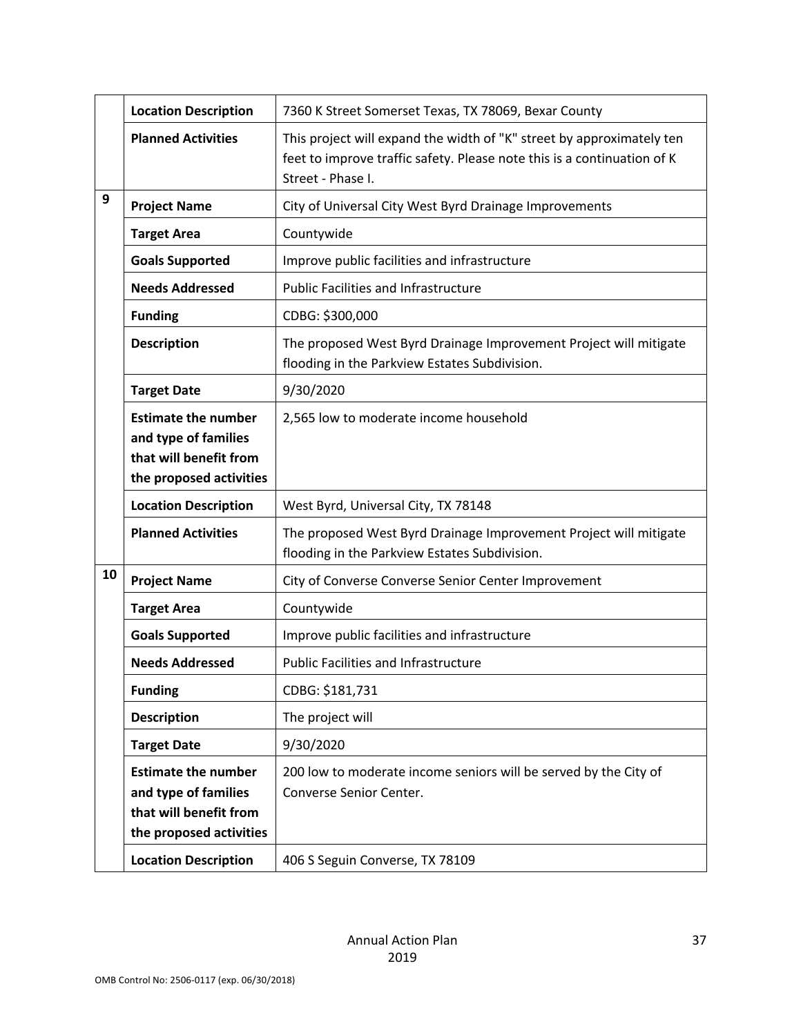|                                                                                                         | <b>Location Description</b>                                                                             | 7360 K Street Somerset Texas, TX 78069, Bexar County                                                                                                                  |  |
|---------------------------------------------------------------------------------------------------------|---------------------------------------------------------------------------------------------------------|-----------------------------------------------------------------------------------------------------------------------------------------------------------------------|--|
|                                                                                                         | <b>Planned Activities</b>                                                                               | This project will expand the width of "K" street by approximately ten<br>feet to improve traffic safety. Please note this is a continuation of K<br>Street - Phase I. |  |
| 9                                                                                                       | <b>Project Name</b>                                                                                     | City of Universal City West Byrd Drainage Improvements                                                                                                                |  |
|                                                                                                         | <b>Target Area</b>                                                                                      | Countywide                                                                                                                                                            |  |
|                                                                                                         | <b>Goals Supported</b>                                                                                  | Improve public facilities and infrastructure                                                                                                                          |  |
|                                                                                                         | <b>Needs Addressed</b>                                                                                  | <b>Public Facilities and Infrastructure</b>                                                                                                                           |  |
|                                                                                                         | <b>Funding</b>                                                                                          | CDBG: \$300,000                                                                                                                                                       |  |
|                                                                                                         | <b>Description</b>                                                                                      | The proposed West Byrd Drainage Improvement Project will mitigate<br>flooding in the Parkview Estates Subdivision.                                                    |  |
|                                                                                                         | <b>Target Date</b>                                                                                      | 9/30/2020                                                                                                                                                             |  |
| <b>Estimate the number</b><br>and type of families<br>that will benefit from<br>the proposed activities |                                                                                                         | 2,565 low to moderate income household                                                                                                                                |  |
|                                                                                                         | <b>Location Description</b>                                                                             | West Byrd, Universal City, TX 78148                                                                                                                                   |  |
|                                                                                                         | <b>Planned Activities</b>                                                                               | The proposed West Byrd Drainage Improvement Project will mitigate<br>flooding in the Parkview Estates Subdivision.                                                    |  |
| 10                                                                                                      | <b>Project Name</b>                                                                                     | City of Converse Converse Senior Center Improvement                                                                                                                   |  |
|                                                                                                         | <b>Target Area</b>                                                                                      | Countywide                                                                                                                                                            |  |
|                                                                                                         | <b>Goals Supported</b>                                                                                  | Improve public facilities and infrastructure                                                                                                                          |  |
|                                                                                                         | <b>Needs Addressed</b>                                                                                  | <b>Public Facilities and Infrastructure</b>                                                                                                                           |  |
|                                                                                                         | <b>Funding</b>                                                                                          | CDBG: \$181,731                                                                                                                                                       |  |
|                                                                                                         | <b>Description</b>                                                                                      | The project will                                                                                                                                                      |  |
|                                                                                                         | <b>Target Date</b>                                                                                      | 9/30/2020                                                                                                                                                             |  |
|                                                                                                         | <b>Estimate the number</b><br>and type of families<br>that will benefit from<br>the proposed activities | 200 low to moderate income seniors will be served by the City of<br>Converse Senior Center.                                                                           |  |
|                                                                                                         | <b>Location Description</b>                                                                             | 406 S Seguin Converse, TX 78109                                                                                                                                       |  |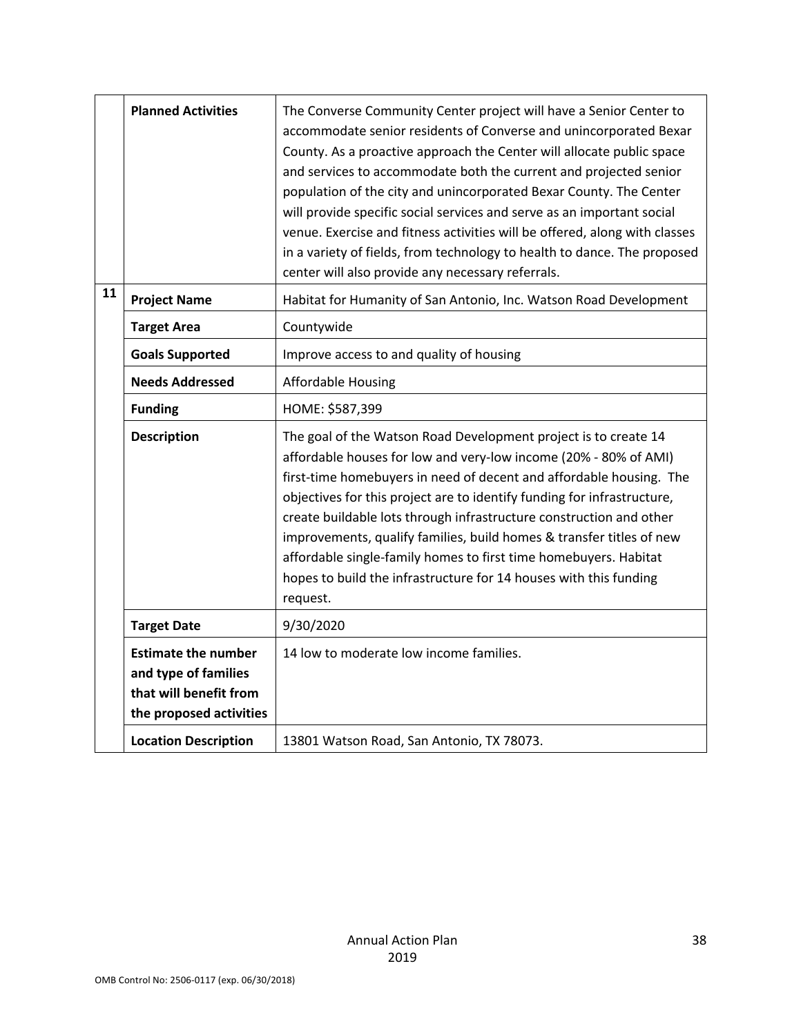|    | <b>Planned Activities</b>                                                                               | The Converse Community Center project will have a Senior Center to<br>accommodate senior residents of Converse and unincorporated Bexar<br>County. As a proactive approach the Center will allocate public space<br>and services to accommodate both the current and projected senior<br>population of the city and unincorporated Bexar County. The Center<br>will provide specific social services and serve as an important social<br>venue. Exercise and fitness activities will be offered, along with classes<br>in a variety of fields, from technology to health to dance. The proposed<br>center will also provide any necessary referrals. |
|----|---------------------------------------------------------------------------------------------------------|------------------------------------------------------------------------------------------------------------------------------------------------------------------------------------------------------------------------------------------------------------------------------------------------------------------------------------------------------------------------------------------------------------------------------------------------------------------------------------------------------------------------------------------------------------------------------------------------------------------------------------------------------|
| 11 | <b>Project Name</b>                                                                                     | Habitat for Humanity of San Antonio, Inc. Watson Road Development                                                                                                                                                                                                                                                                                                                                                                                                                                                                                                                                                                                    |
|    | <b>Target Area</b>                                                                                      | Countywide                                                                                                                                                                                                                                                                                                                                                                                                                                                                                                                                                                                                                                           |
|    | <b>Goals Supported</b>                                                                                  | Improve access to and quality of housing                                                                                                                                                                                                                                                                                                                                                                                                                                                                                                                                                                                                             |
|    | <b>Needs Addressed</b>                                                                                  | <b>Affordable Housing</b>                                                                                                                                                                                                                                                                                                                                                                                                                                                                                                                                                                                                                            |
|    | <b>Funding</b>                                                                                          | HOME: \$587,399                                                                                                                                                                                                                                                                                                                                                                                                                                                                                                                                                                                                                                      |
|    | <b>Description</b>                                                                                      | The goal of the Watson Road Development project is to create 14<br>affordable houses for low and very-low income (20% - 80% of AMI)<br>first-time homebuyers in need of decent and affordable housing. The<br>objectives for this project are to identify funding for infrastructure,<br>create buildable lots through infrastructure construction and other<br>improvements, qualify families, build homes & transfer titles of new<br>affordable single-family homes to first time homebuyers. Habitat<br>hopes to build the infrastructure for 14 houses with this funding<br>request.                                                            |
|    | <b>Target Date</b>                                                                                      | 9/30/2020                                                                                                                                                                                                                                                                                                                                                                                                                                                                                                                                                                                                                                            |
|    | <b>Estimate the number</b><br>and type of families<br>that will benefit from<br>the proposed activities | 14 low to moderate low income families.                                                                                                                                                                                                                                                                                                                                                                                                                                                                                                                                                                                                              |
|    | <b>Location Description</b>                                                                             | 13801 Watson Road, San Antonio, TX 78073.                                                                                                                                                                                                                                                                                                                                                                                                                                                                                                                                                                                                            |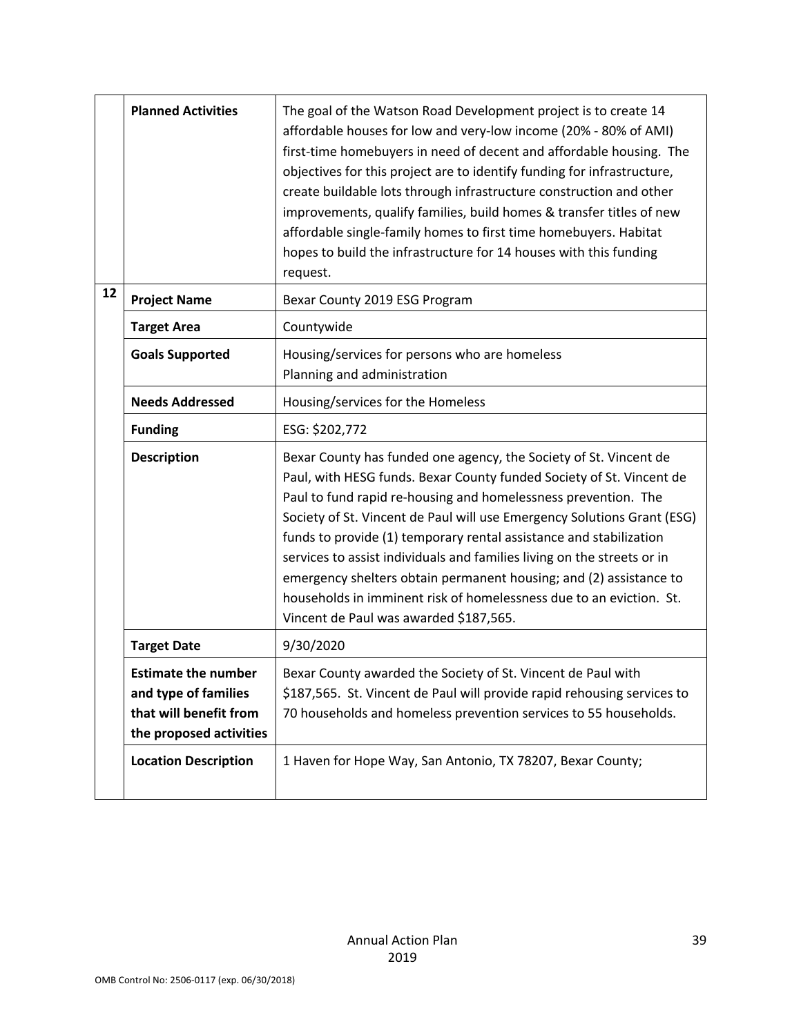|    | <b>Planned Activities</b>                                                                               | The goal of the Watson Road Development project is to create 14<br>affordable houses for low and very-low income (20% - 80% of AMI)<br>first-time homebuyers in need of decent and affordable housing. The<br>objectives for this project are to identify funding for infrastructure,<br>create buildable lots through infrastructure construction and other<br>improvements, qualify families, build homes & transfer titles of new<br>affordable single-family homes to first time homebuyers. Habitat<br>hopes to build the infrastructure for 14 houses with this funding<br>request.                                      |
|----|---------------------------------------------------------------------------------------------------------|--------------------------------------------------------------------------------------------------------------------------------------------------------------------------------------------------------------------------------------------------------------------------------------------------------------------------------------------------------------------------------------------------------------------------------------------------------------------------------------------------------------------------------------------------------------------------------------------------------------------------------|
| 12 | <b>Project Name</b>                                                                                     | Bexar County 2019 ESG Program                                                                                                                                                                                                                                                                                                                                                                                                                                                                                                                                                                                                  |
|    | <b>Target Area</b>                                                                                      | Countywide                                                                                                                                                                                                                                                                                                                                                                                                                                                                                                                                                                                                                     |
|    | <b>Goals Supported</b>                                                                                  | Housing/services for persons who are homeless<br>Planning and administration                                                                                                                                                                                                                                                                                                                                                                                                                                                                                                                                                   |
|    | <b>Needs Addressed</b>                                                                                  | Housing/services for the Homeless                                                                                                                                                                                                                                                                                                                                                                                                                                                                                                                                                                                              |
|    | <b>Funding</b>                                                                                          | ESG: \$202,772                                                                                                                                                                                                                                                                                                                                                                                                                                                                                                                                                                                                                 |
|    | <b>Description</b>                                                                                      | Bexar County has funded one agency, the Society of St. Vincent de<br>Paul, with HESG funds. Bexar County funded Society of St. Vincent de<br>Paul to fund rapid re-housing and homelessness prevention. The<br>Society of St. Vincent de Paul will use Emergency Solutions Grant (ESG)<br>funds to provide (1) temporary rental assistance and stabilization<br>services to assist individuals and families living on the streets or in<br>emergency shelters obtain permanent housing; and (2) assistance to<br>households in imminent risk of homelessness due to an eviction. St.<br>Vincent de Paul was awarded \$187,565. |
|    | <b>Target Date</b>                                                                                      | 9/30/2020                                                                                                                                                                                                                                                                                                                                                                                                                                                                                                                                                                                                                      |
|    | <b>Estimate the number</b><br>and type of families<br>that will benefit from<br>the proposed activities | Bexar County awarded the Society of St. Vincent de Paul with<br>\$187,565. St. Vincent de Paul will provide rapid rehousing services to<br>70 households and homeless prevention services to 55 households.                                                                                                                                                                                                                                                                                                                                                                                                                    |
|    | <b>Location Description</b>                                                                             | 1 Haven for Hope Way, San Antonio, TX 78207, Bexar County;                                                                                                                                                                                                                                                                                                                                                                                                                                                                                                                                                                     |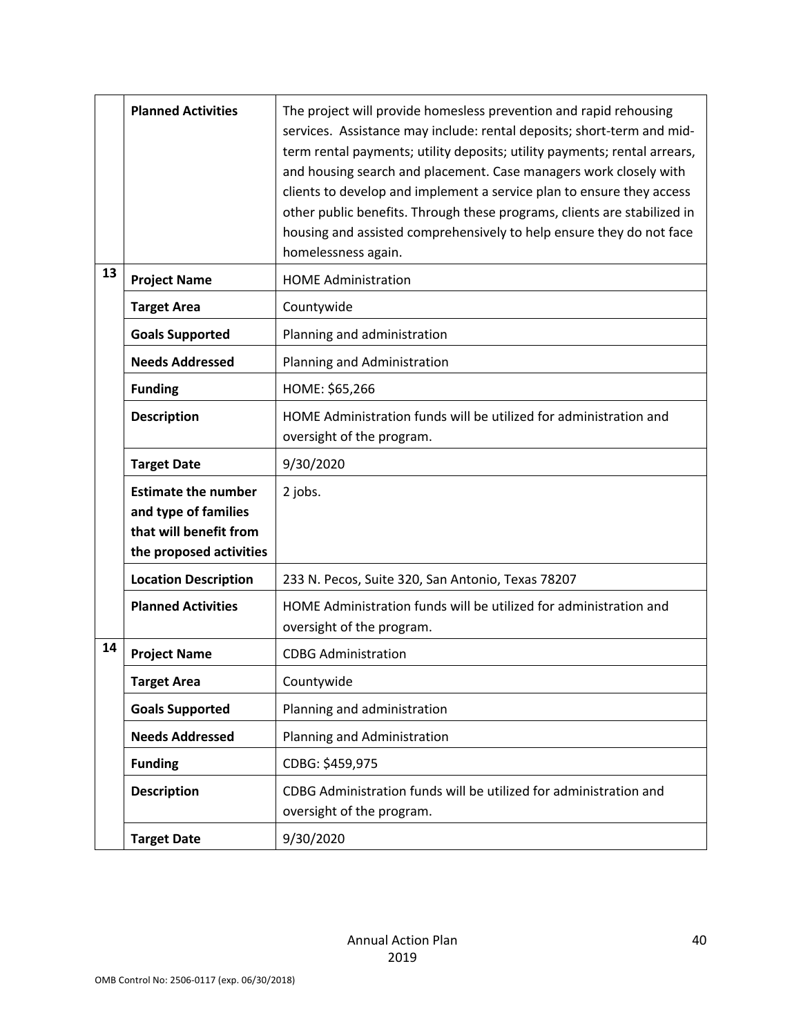|    | <b>Planned Activities</b>                                                                               | The project will provide homesless prevention and rapid rehousing<br>services. Assistance may include: rental deposits; short-term and mid-<br>term rental payments; utility deposits; utility payments; rental arrears,<br>and housing search and placement. Case managers work closely with<br>clients to develop and implement a service plan to ensure they access<br>other public benefits. Through these programs, clients are stabilized in<br>housing and assisted comprehensively to help ensure they do not face<br>homelessness again. |
|----|---------------------------------------------------------------------------------------------------------|---------------------------------------------------------------------------------------------------------------------------------------------------------------------------------------------------------------------------------------------------------------------------------------------------------------------------------------------------------------------------------------------------------------------------------------------------------------------------------------------------------------------------------------------------|
| 13 | <b>Project Name</b>                                                                                     | <b>HOME Administration</b>                                                                                                                                                                                                                                                                                                                                                                                                                                                                                                                        |
|    | <b>Target Area</b>                                                                                      | Countywide                                                                                                                                                                                                                                                                                                                                                                                                                                                                                                                                        |
|    | <b>Goals Supported</b>                                                                                  | Planning and administration                                                                                                                                                                                                                                                                                                                                                                                                                                                                                                                       |
|    | <b>Needs Addressed</b>                                                                                  | Planning and Administration                                                                                                                                                                                                                                                                                                                                                                                                                                                                                                                       |
|    | <b>Funding</b>                                                                                          | HOME: \$65,266                                                                                                                                                                                                                                                                                                                                                                                                                                                                                                                                    |
|    | <b>Description</b>                                                                                      | HOME Administration funds will be utilized for administration and<br>oversight of the program.                                                                                                                                                                                                                                                                                                                                                                                                                                                    |
|    | <b>Target Date</b>                                                                                      | 9/30/2020                                                                                                                                                                                                                                                                                                                                                                                                                                                                                                                                         |
|    | <b>Estimate the number</b><br>and type of families<br>that will benefit from<br>the proposed activities | 2 jobs.                                                                                                                                                                                                                                                                                                                                                                                                                                                                                                                                           |
|    | <b>Location Description</b>                                                                             | 233 N. Pecos, Suite 320, San Antonio, Texas 78207                                                                                                                                                                                                                                                                                                                                                                                                                                                                                                 |
|    | <b>Planned Activities</b>                                                                               | HOME Administration funds will be utilized for administration and<br>oversight of the program.                                                                                                                                                                                                                                                                                                                                                                                                                                                    |
| 14 | <b>Project Name</b>                                                                                     | <b>CDBG Administration</b>                                                                                                                                                                                                                                                                                                                                                                                                                                                                                                                        |
|    | <b>Target Area</b>                                                                                      | Countywide                                                                                                                                                                                                                                                                                                                                                                                                                                                                                                                                        |
|    | <b>Goals Supported</b>                                                                                  | Planning and administration                                                                                                                                                                                                                                                                                                                                                                                                                                                                                                                       |
|    | <b>Needs Addressed</b>                                                                                  | Planning and Administration                                                                                                                                                                                                                                                                                                                                                                                                                                                                                                                       |
|    | <b>Funding</b>                                                                                          | CDBG: \$459,975                                                                                                                                                                                                                                                                                                                                                                                                                                                                                                                                   |
|    | <b>Description</b>                                                                                      | CDBG Administration funds will be utilized for administration and<br>oversight of the program.                                                                                                                                                                                                                                                                                                                                                                                                                                                    |
|    | <b>Target Date</b>                                                                                      | 9/30/2020                                                                                                                                                                                                                                                                                                                                                                                                                                                                                                                                         |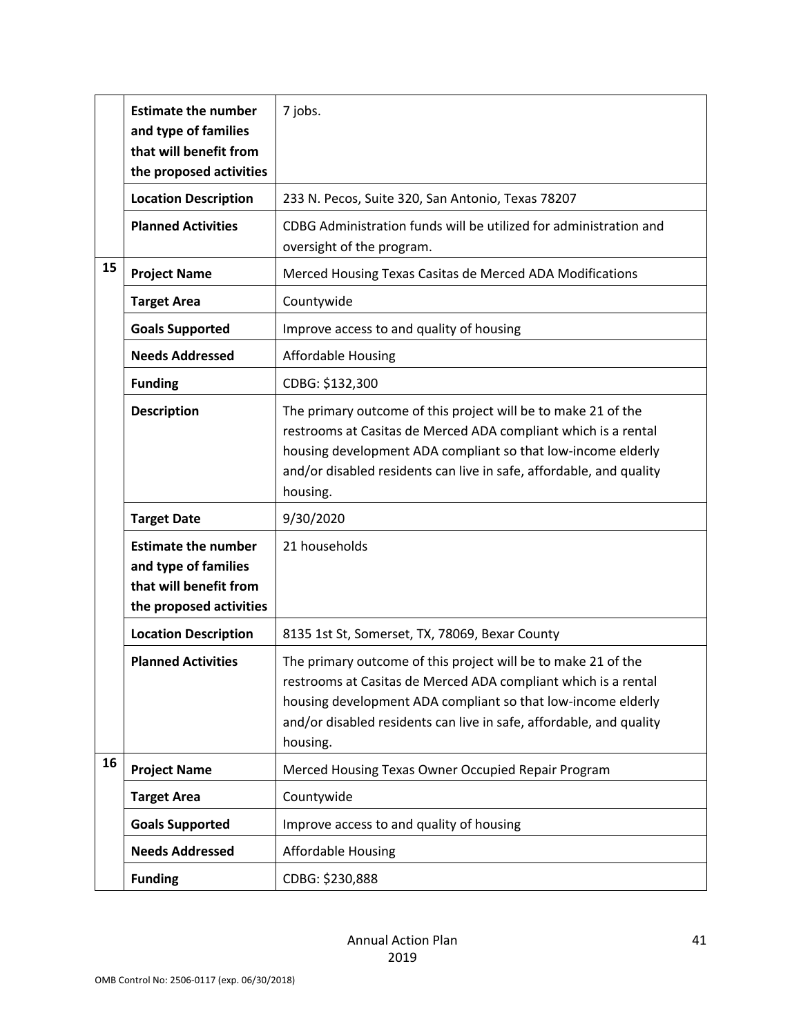|    | <b>Estimate the number</b><br>and type of families<br>that will benefit from<br>the proposed activities | 7 jobs.                                                                                                                                                                                                                                                                            |
|----|---------------------------------------------------------------------------------------------------------|------------------------------------------------------------------------------------------------------------------------------------------------------------------------------------------------------------------------------------------------------------------------------------|
|    | <b>Location Description</b>                                                                             | 233 N. Pecos, Suite 320, San Antonio, Texas 78207                                                                                                                                                                                                                                  |
|    | <b>Planned Activities</b>                                                                               | CDBG Administration funds will be utilized for administration and<br>oversight of the program.                                                                                                                                                                                     |
| 15 | <b>Project Name</b>                                                                                     | Merced Housing Texas Casitas de Merced ADA Modifications                                                                                                                                                                                                                           |
|    | <b>Target Area</b>                                                                                      | Countywide                                                                                                                                                                                                                                                                         |
|    | <b>Goals Supported</b>                                                                                  | Improve access to and quality of housing                                                                                                                                                                                                                                           |
|    | <b>Needs Addressed</b>                                                                                  | <b>Affordable Housing</b>                                                                                                                                                                                                                                                          |
|    | <b>Funding</b>                                                                                          | CDBG: \$132,300                                                                                                                                                                                                                                                                    |
|    | <b>Description</b>                                                                                      | The primary outcome of this project will be to make 21 of the<br>restrooms at Casitas de Merced ADA compliant which is a rental<br>housing development ADA compliant so that low-income elderly<br>and/or disabled residents can live in safe, affordable, and quality<br>housing. |
|    | <b>Target Date</b>                                                                                      | 9/30/2020                                                                                                                                                                                                                                                                          |
|    | <b>Estimate the number</b><br>and type of families<br>that will benefit from<br>the proposed activities | 21 households                                                                                                                                                                                                                                                                      |
|    | <b>Location Description</b>                                                                             | 8135 1st St, Somerset, TX, 78069, Bexar County                                                                                                                                                                                                                                     |
|    | <b>Planned Activities</b>                                                                               | The primary outcome of this project will be to make 21 of the<br>restrooms at Casitas de Merced ADA compliant which is a rental<br>housing development ADA compliant so that low-income elderly<br>and/or disabled residents can live in safe, affordable, and quality<br>housing. |
| 16 | <b>Project Name</b>                                                                                     | Merced Housing Texas Owner Occupied Repair Program                                                                                                                                                                                                                                 |
|    | <b>Target Area</b>                                                                                      | Countywide                                                                                                                                                                                                                                                                         |
|    | <b>Goals Supported</b>                                                                                  | Improve access to and quality of housing                                                                                                                                                                                                                                           |
|    | <b>Needs Addressed</b>                                                                                  | <b>Affordable Housing</b>                                                                                                                                                                                                                                                          |
|    | <b>Funding</b>                                                                                          | CDBG: \$230,888                                                                                                                                                                                                                                                                    |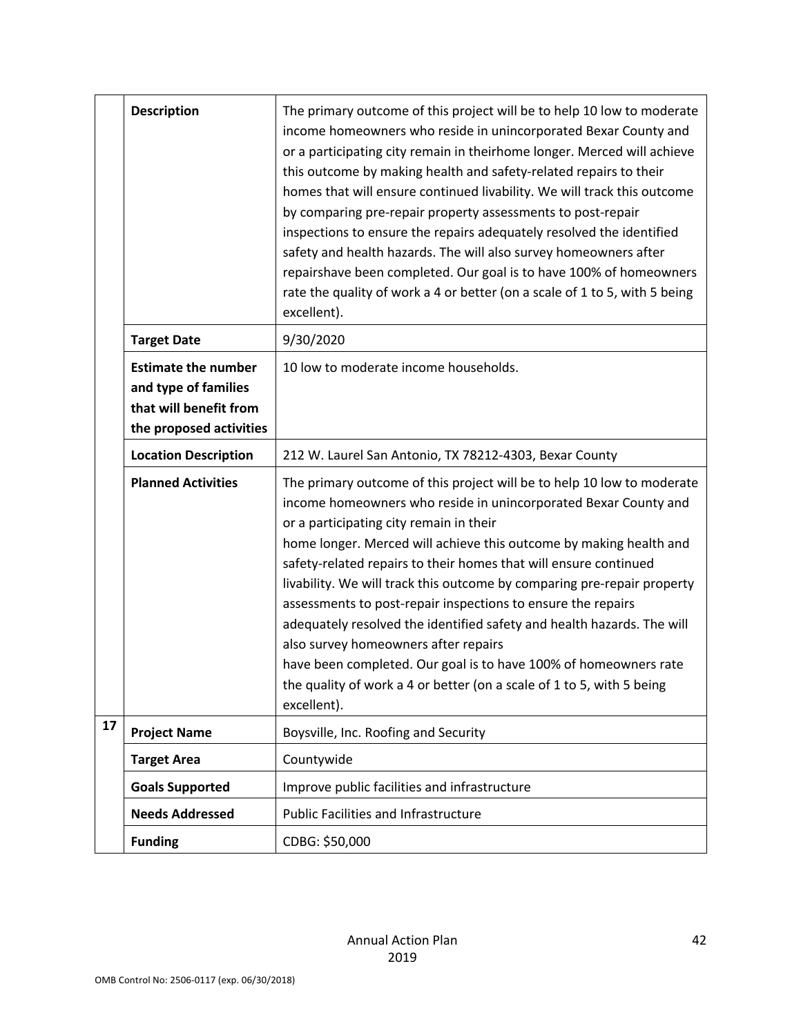|                                                                                                                                                  | <b>Description</b>          | The primary outcome of this project will be to help 10 low to moderate<br>income homeowners who reside in unincorporated Bexar County and<br>or a participating city remain in theirhome longer. Merced will achieve<br>this outcome by making health and safety-related repairs to their<br>homes that will ensure continued livability. We will track this outcome<br>by comparing pre-repair property assessments to post-repair<br>inspections to ensure the repairs adequately resolved the identified<br>safety and health hazards. The will also survey homeowners after<br>repairshave been completed. Our goal is to have 100% of homeowners<br>rate the quality of work a 4 or better (on a scale of 1 to 5, with 5 being<br>excellent).      |
|--------------------------------------------------------------------------------------------------------------------------------------------------|-----------------------------|---------------------------------------------------------------------------------------------------------------------------------------------------------------------------------------------------------------------------------------------------------------------------------------------------------------------------------------------------------------------------------------------------------------------------------------------------------------------------------------------------------------------------------------------------------------------------------------------------------------------------------------------------------------------------------------------------------------------------------------------------------|
|                                                                                                                                                  | <b>Target Date</b>          | 9/30/2020                                                                                                                                                                                                                                                                                                                                                                                                                                                                                                                                                                                                                                                                                                                                               |
| <b>Estimate the number</b><br>10 low to moderate income households.<br>and type of families<br>that will benefit from<br>the proposed activities |                             |                                                                                                                                                                                                                                                                                                                                                                                                                                                                                                                                                                                                                                                                                                                                                         |
|                                                                                                                                                  | <b>Location Description</b> | 212 W. Laurel San Antonio, TX 78212-4303, Bexar County                                                                                                                                                                                                                                                                                                                                                                                                                                                                                                                                                                                                                                                                                                  |
|                                                                                                                                                  | <b>Planned Activities</b>   | The primary outcome of this project will be to help 10 low to moderate<br>income homeowners who reside in unincorporated Bexar County and<br>or a participating city remain in their<br>home longer. Merced will achieve this outcome by making health and<br>safety-related repairs to their homes that will ensure continued<br>livability. We will track this outcome by comparing pre-repair property<br>assessments to post-repair inspections to ensure the repairs<br>adequately resolved the identified safety and health hazards. The will<br>also survey homeowners after repairs<br>have been completed. Our goal is to have 100% of homeowners rate<br>the quality of work a 4 or better (on a scale of 1 to 5, with 5 being<br>excellent). |
| 17                                                                                                                                               | <b>Project Name</b>         | Boysville, Inc. Roofing and Security                                                                                                                                                                                                                                                                                                                                                                                                                                                                                                                                                                                                                                                                                                                    |
|                                                                                                                                                  | <b>Target Area</b>          | Countywide                                                                                                                                                                                                                                                                                                                                                                                                                                                                                                                                                                                                                                                                                                                                              |
|                                                                                                                                                  | <b>Goals Supported</b>      | Improve public facilities and infrastructure                                                                                                                                                                                                                                                                                                                                                                                                                                                                                                                                                                                                                                                                                                            |
|                                                                                                                                                  | <b>Needs Addressed</b>      | <b>Public Facilities and Infrastructure</b>                                                                                                                                                                                                                                                                                                                                                                                                                                                                                                                                                                                                                                                                                                             |
|                                                                                                                                                  | <b>Funding</b>              | CDBG: \$50,000                                                                                                                                                                                                                                                                                                                                                                                                                                                                                                                                                                                                                                                                                                                                          |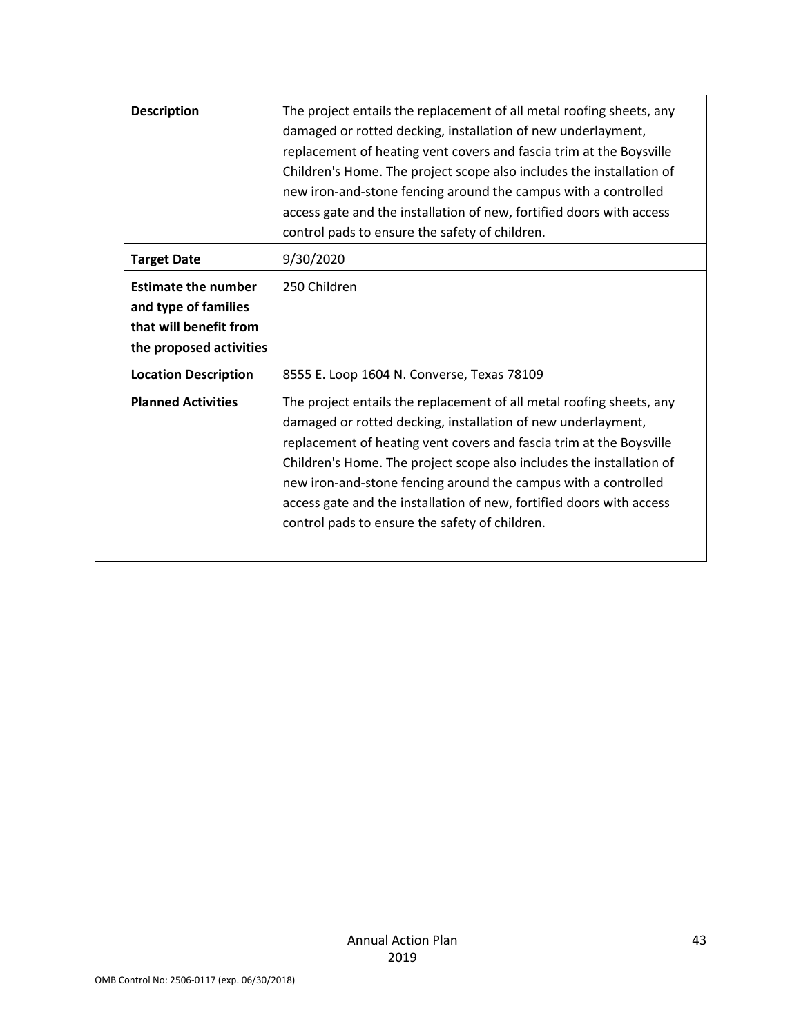| <b>Description</b>                                                                                      | The project entails the replacement of all metal roofing sheets, any<br>damaged or rotted decking, installation of new underlayment,<br>replacement of heating vent covers and fascia trim at the Boysville<br>Children's Home. The project scope also includes the installation of<br>new iron-and-stone fencing around the campus with a controlled<br>access gate and the installation of new, fortified doors with access<br>control pads to ensure the safety of children. |
|---------------------------------------------------------------------------------------------------------|---------------------------------------------------------------------------------------------------------------------------------------------------------------------------------------------------------------------------------------------------------------------------------------------------------------------------------------------------------------------------------------------------------------------------------------------------------------------------------|
| <b>Target Date</b>                                                                                      | 9/30/2020                                                                                                                                                                                                                                                                                                                                                                                                                                                                       |
| <b>Estimate the number</b><br>and type of families<br>that will benefit from<br>the proposed activities | 250 Children                                                                                                                                                                                                                                                                                                                                                                                                                                                                    |
| <b>Location Description</b>                                                                             | 8555 E. Loop 1604 N. Converse, Texas 78109                                                                                                                                                                                                                                                                                                                                                                                                                                      |
| <b>Planned Activities</b>                                                                               | The project entails the replacement of all metal roofing sheets, any<br>damaged or rotted decking, installation of new underlayment,<br>replacement of heating vent covers and fascia trim at the Boysville<br>Children's Home. The project scope also includes the installation of<br>new iron-and-stone fencing around the campus with a controlled<br>access gate and the installation of new, fortified doors with access<br>control pads to ensure the safety of children. |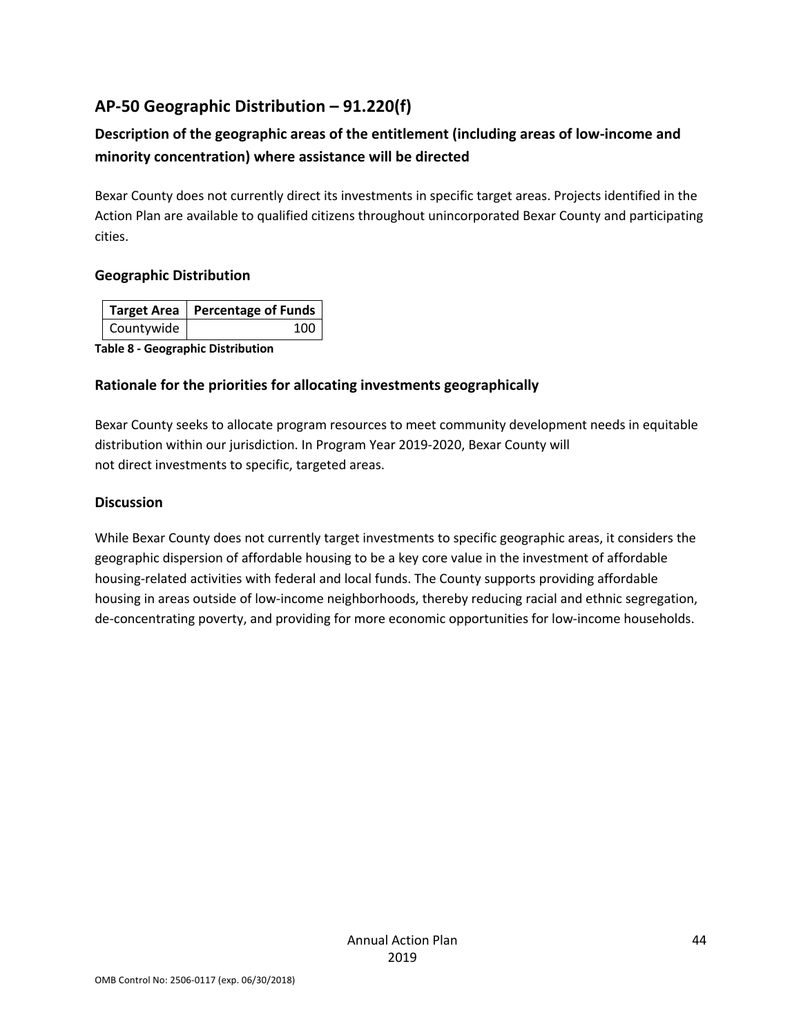## **AP-50 Geographic Distribution – 91.220(f)**

## **Description of the geographic areas of the entitlement (including areas of low-income and minority concentration) where assistance will be directed**

Bexar County does not currently direct its investments in specific target areas. Projects identified in the Action Plan are available to qualified citizens throughout unincorporated Bexar County and participating cities.

### **Geographic Distribution**

|            | Target Area   Percentage of Funds |
|------------|-----------------------------------|
| Countywide |                                   |

**Table 8 - Geographic Distribution** 

### **Rationale for the priorities for allocating investments geographically**

Bexar County seeks to allocate program resources to meet community development needs in equitable distribution within our jurisdiction. In Program Year 2019-2020, Bexar County will not direct investments to specific, targeted areas.

### **Discussion**

While Bexar County does not currently target investments to specific geographic areas, it considers the geographic dispersion of affordable housing to be a key core value in the investment of affordable housing-related activities with federal and local funds. The County supports providing affordable housing in areas outside of low-income neighborhoods, thereby reducing racial and ethnic segregation, de-concentrating poverty, and providing for more economic opportunities for low-income households.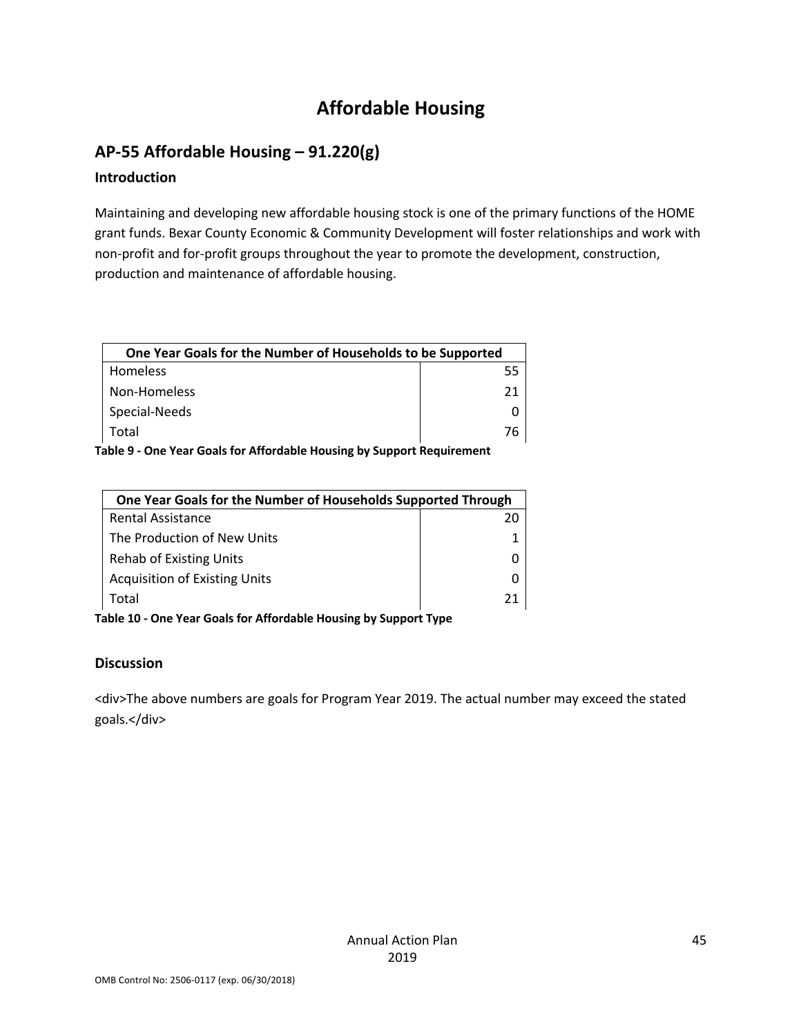# **Affordable Housing**

### **AP-55 Affordable Housing – 91.220(g)**

### **Introduction**

Maintaining and developing new affordable housing stock is one of the primary functions of the HOME grant funds. Bexar County Economic & Community Development will foster relationships and work with non-profit and for-profit groups throughout the year to promote the development, construction, production and maintenance of affordable housing.

| One Year Goals for the Number of Households to be Supported |    |
|-------------------------------------------------------------|----|
| Homeless                                                    | 55 |
| Non-Homeless                                                | 71 |
| Special-Needs                                               |    |
| Total                                                       |    |

**Table 9 - One Year Goals for Affordable Housing by Support Requirement**

| One Year Goals for the Number of Households Supported Through |    |
|---------------------------------------------------------------|----|
| <b>Rental Assistance</b>                                      | 20 |
| The Production of New Units                                   |    |
| Rehab of Existing Units                                       |    |
| <b>Acquisition of Existing Units</b>                          |    |
| Total                                                         | 21 |
|                                                               |    |

**Table 10 - One Year Goals for Affordable Housing by Support Type**

#### **Discussion**

<div>The above numbers are goals for Program Year 2019. The actual number may exceed the stated goals.</div>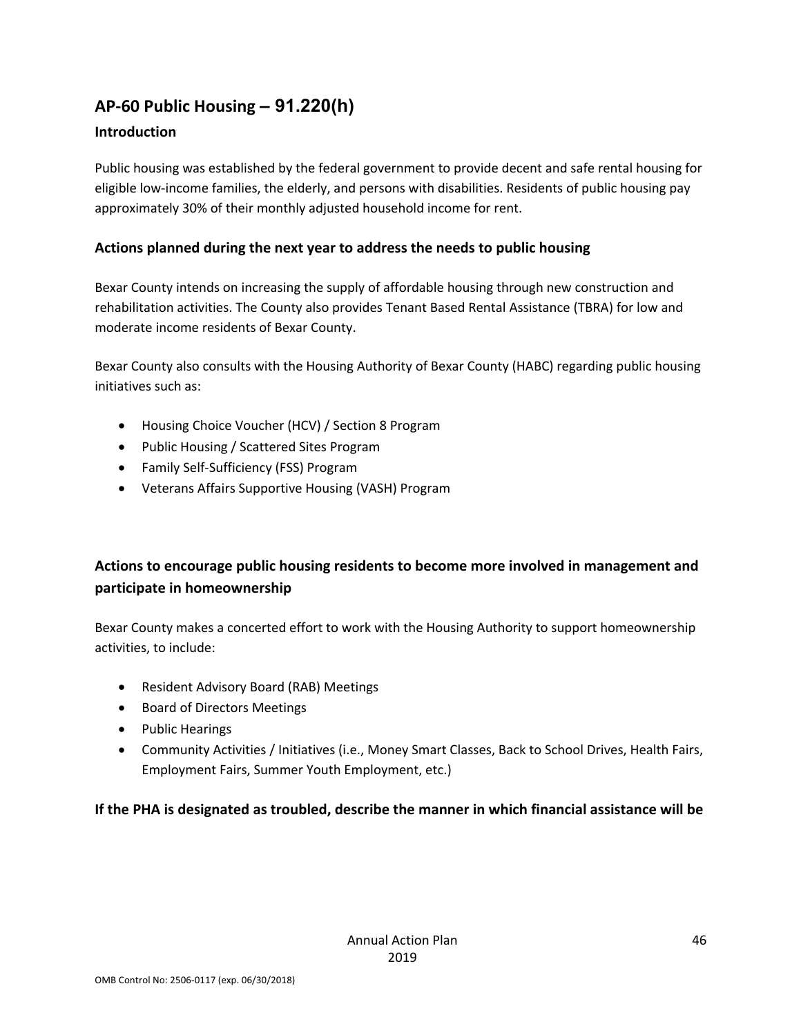# **AP-60 Public Housing** *–* **91.220(h)**

### **Introduction**

Public housing was established by the federal government to provide decent and safe rental housing for eligible low-income families, the elderly, and persons with disabilities. Residents of public housing pay approximately 30% of their monthly adjusted household income for rent.

### **Actions planned during the next year to address the needs to public housing**

Bexar County intends on increasing the supply of affordable housing through new construction and rehabilitation activities. The County also provides Tenant Based Rental Assistance (TBRA) for low and moderate income residents of Bexar County.

Bexar County also consults with the Housing Authority of Bexar County (HABC) regarding public housing initiatives such as:

- Housing Choice Voucher (HCV) / Section 8 Program
- Public Housing / Scattered Sites Program
- Family Self-Sufficiency (FSS) Program
- Veterans Affairs Supportive Housing (VASH) Program

## **Actions to encourage public housing residents to become more involved in management and participate in homeownership**

Bexar County makes a concerted effort to work with the Housing Authority to support homeownership activities, to include:

- Resident Advisory Board (RAB) Meetings
- Board of Directors Meetings
- Public Hearings
- Community Activities / Initiatives (i.e., Money Smart Classes, Back to School Drives, Health Fairs, Employment Fairs, Summer Youth Employment, etc.)

### **If the PHA is designated as troubled, describe the manner in which financial assistance will be**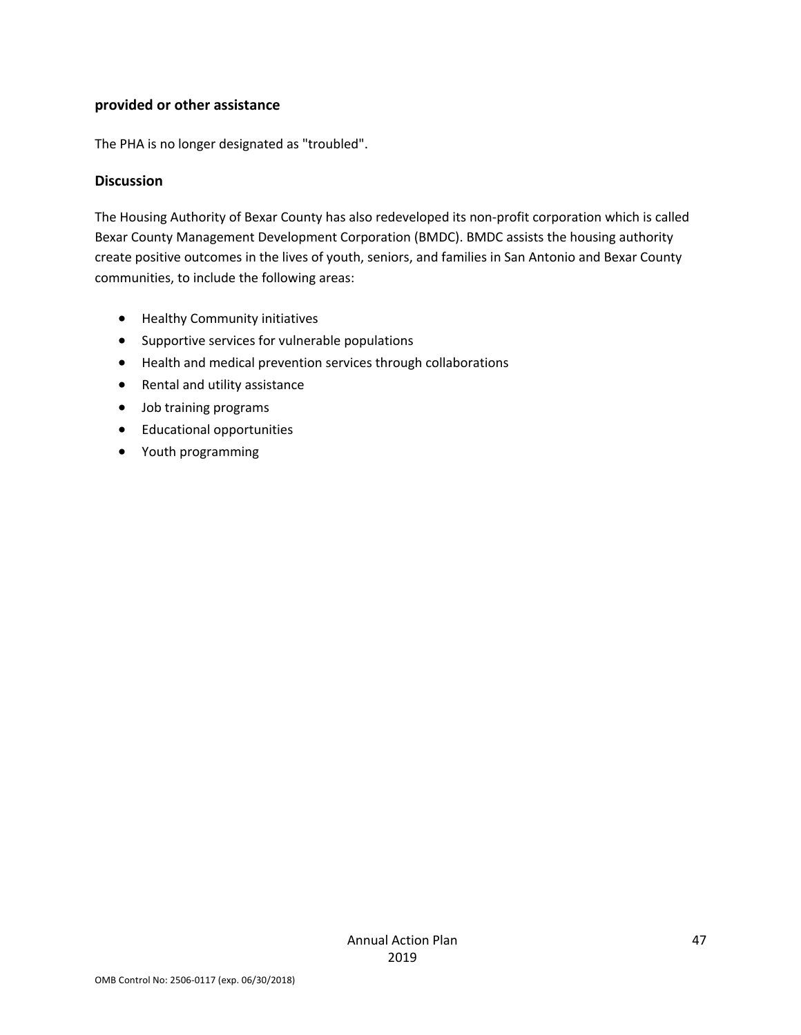#### **provided or other assistance**

The PHA is no longer designated as "troubled".

#### **Discussion**

The Housing Authority of Bexar County has also redeveloped its non-profit corporation which is called Bexar County Management Development Corporation (BMDC). BMDC assists the housing authority create positive outcomes in the lives of youth, seniors, and families in San Antonio and Bexar County communities, to include the following areas:

- Healthy Community initiatives
- Supportive services for vulnerable populations
- Health and medical prevention services through collaborations
- Rental and utility assistance
- Job training programs
- Educational opportunities
- Youth programming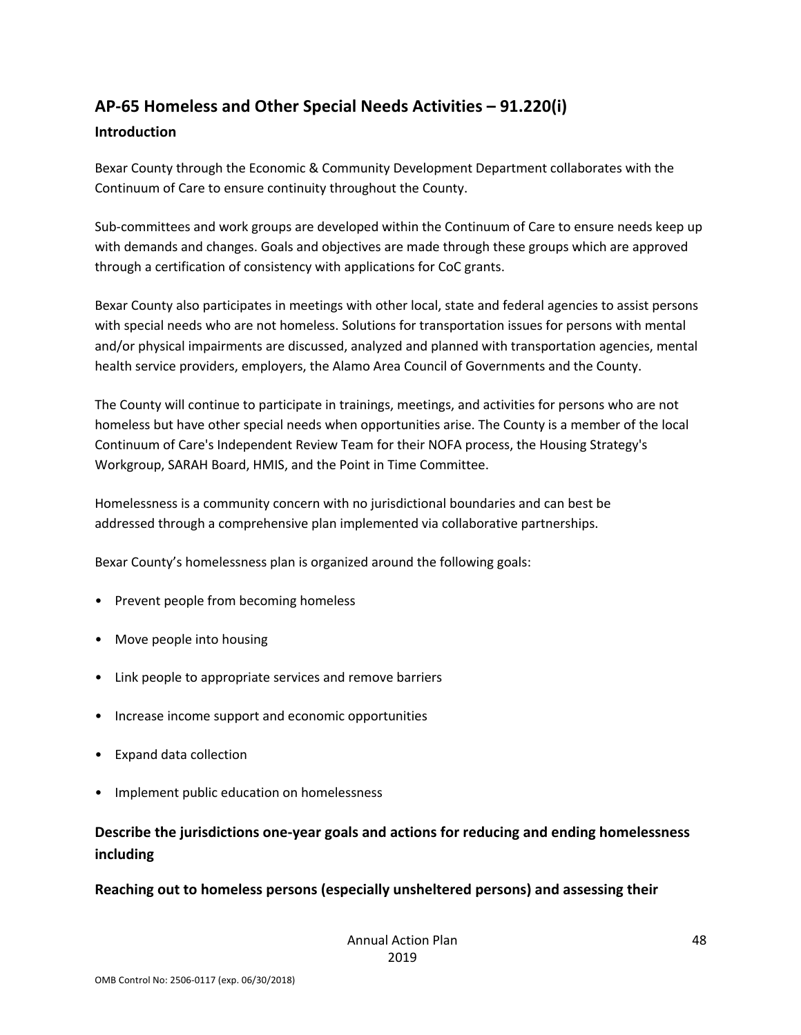# **AP-65 Homeless and Other Special Needs Activities – 91.220(i)**

### **Introduction**

Bexar County through the Economic & Community Development Department collaborates with the Continuum of Care to ensure continuity throughout the County.

Sub-committees and work groups are developed within the Continuum of Care to ensure needs keep up with demands and changes. Goals and objectives are made through these groups which are approved through a certification of consistency with applications for CoC grants.

Bexar County also participates in meetings with other local, state and federal agencies to assist persons with special needs who are not homeless. Solutions for transportation issues for persons with mental and/or physical impairments are discussed, analyzed and planned with transportation agencies, mental health service providers, employers, the Alamo Area Council of Governments and the County.

The County will continue to participate in trainings, meetings, and activities for persons who are not homeless but have other special needs when opportunities arise. The County is a member of the local Continuum of Care's Independent Review Team for their NOFA process, the Housing Strategy's Workgroup, SARAH Board, HMIS, and the Point in Time Committee.

Homelessness is a community concern with no jurisdictional boundaries and can best be addressed through a comprehensive plan implemented via collaborative partnerships.

Bexar County's homelessness plan is organized around the following goals:

- Prevent people from becoming homeless
- Move people into housing
- Link people to appropriate services and remove barriers
- Increase income support and economic opportunities
- Expand data collection
- Implement public education on homelessness

## **Describe the jurisdictions one-year goals and actions for reducing and ending homelessness including**

### **Reaching out to homeless persons (especially unsheltered persons) and assessing their**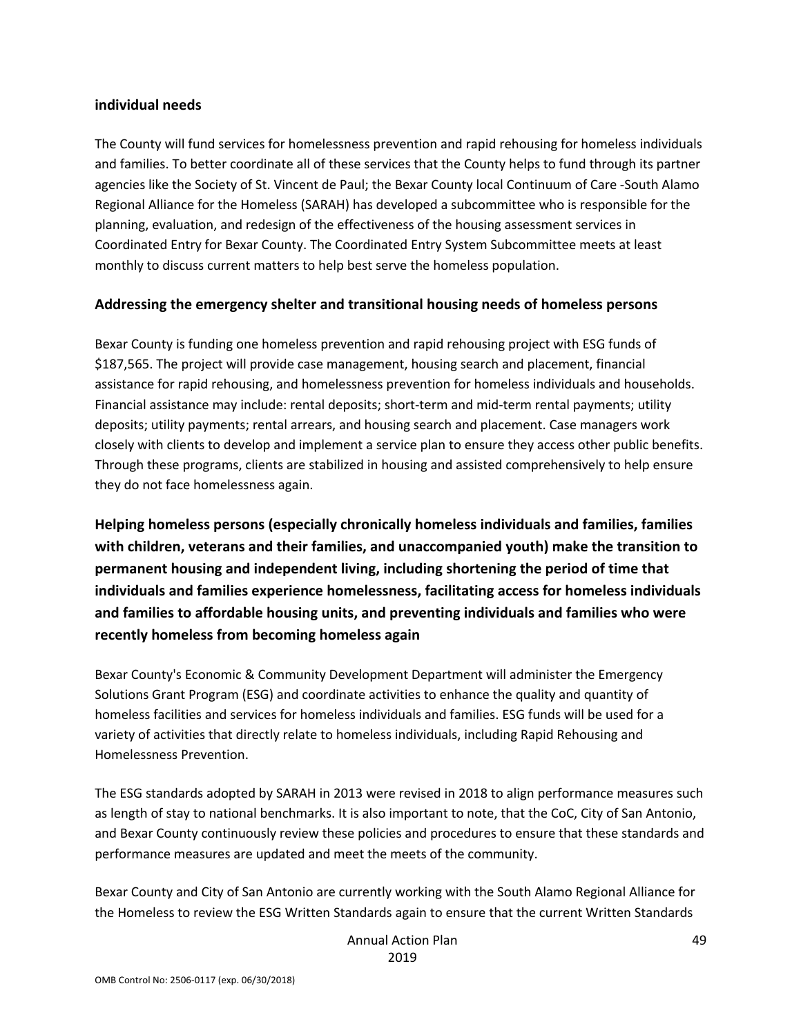#### **individual needs**

The County will fund services for homelessness prevention and rapid rehousing for homeless individuals and families. To better coordinate all of these services that the County helps to fund through its partner agencies like the Society of St. Vincent de Paul; the Bexar County local Continuum of Care -South Alamo Regional Alliance for the Homeless (SARAH) has developed a subcommittee who is responsible for the planning, evaluation, and redesign of the effectiveness of the housing assessment services in Coordinated Entry for Bexar County. The Coordinated Entry System Subcommittee meets at least monthly to discuss current matters to help best serve the homeless population.

#### **Addressing the emergency shelter and transitional housing needs of homeless persons**

Bexar County is funding one homeless prevention and rapid rehousing project with ESG funds of \$187,565. The project will provide case management, housing search and placement, financial assistance for rapid rehousing, and homelessness prevention for homeless individuals and households. Financial assistance may include: rental deposits; short-term and mid-term rental payments; utility deposits; utility payments; rental arrears, and housing search and placement. Case managers work closely with clients to develop and implement a service plan to ensure they access other public benefits. Through these programs, clients are stabilized in housing and assisted comprehensively to help ensure they do not face homelessness again.

**Helping homeless persons (especially chronically homeless individuals and families, families with children, veterans and their families, and unaccompanied youth) make the transition to permanent housing and independent living, including shortening the period of time that individuals and families experience homelessness, facilitating access for homeless individuals and families to affordable housing units, and preventing individuals and families who were recently homeless from becoming homeless again**

Bexar County's Economic & Community Development Department will administer the Emergency Solutions Grant Program (ESG) and coordinate activities to enhance the quality and quantity of homeless facilities and services for homeless individuals and families. ESG funds will be used for a variety of activities that directly relate to homeless individuals, including Rapid Rehousing and Homelessness Prevention.

The ESG standards adopted by SARAH in 2013 were revised in 2018 to align performance measures such as length of stay to national benchmarks. It is also important to note, that the CoC, City of San Antonio, and Bexar County continuously review these policies and procedures to ensure that these standards and performance measures are updated and meet the meets of the community.

Bexar County and City of San Antonio are currently working with the South Alamo Regional Alliance for the Homeless to review the ESG Written Standards again to ensure that the current Written Standards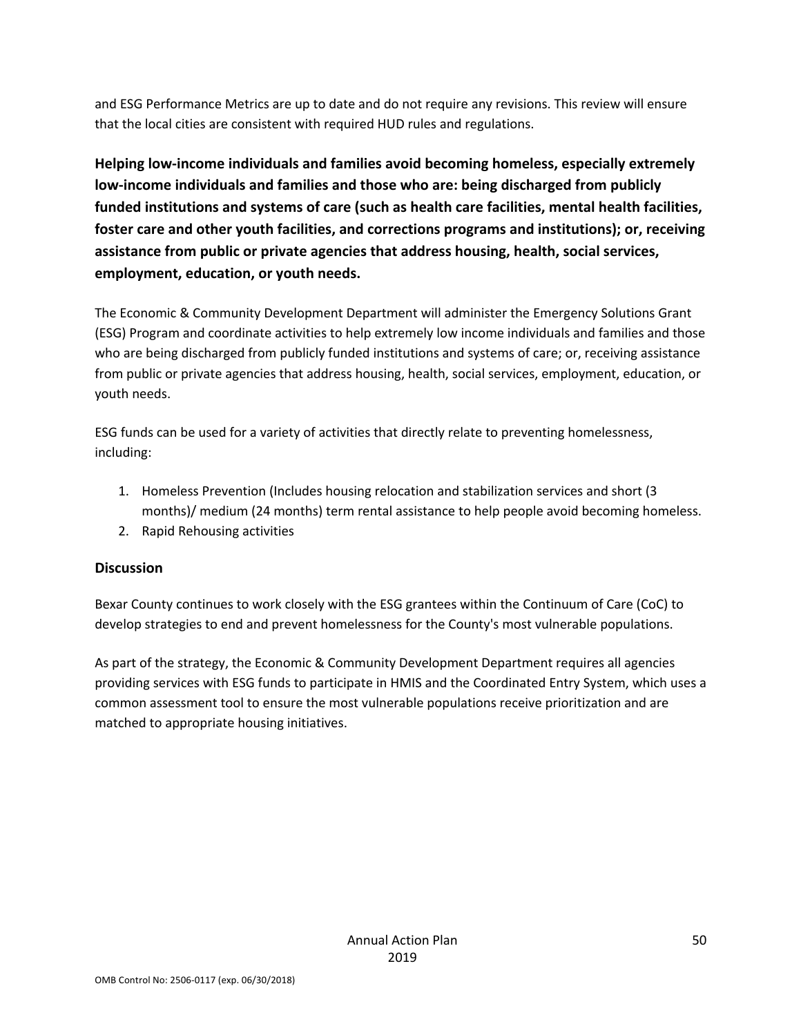and ESG Performance Metrics are up to date and do not require any revisions. This review will ensure that the local cities are consistent with required HUD rules and regulations.

**Helping low-income individuals and families avoid becoming homeless, especially extremely low-income individuals and families and those who are: being discharged from publicly funded institutions and systems of care (such as health care facilities, mental health facilities, foster care and other youth facilities, and corrections programs and institutions); or, receiving assistance from public or private agencies that address housing, health, social services, employment, education, or youth needs.**

The Economic & Community Development Department will administer the Emergency Solutions Grant (ESG) Program and coordinate activities to help extremely low income individuals and families and those who are being discharged from publicly funded institutions and systems of care; or, receiving assistance from public or private agencies that address housing, health, social services, employment, education, or youth needs.

ESG funds can be used for a variety of activities that directly relate to preventing homelessness, including:

- 1. Homeless Prevention (Includes housing relocation and stabilization services and short (3 months)/ medium (24 months) term rental assistance to help people avoid becoming homeless.
- 2. Rapid Rehousing activities

### **Discussion**

Bexar County continues to work closely with the ESG grantees within the Continuum of Care (CoC) to develop strategies to end and prevent homelessness for the County's most vulnerable populations.

As part of the strategy, the Economic & Community Development Department requires all agencies providing services with ESG funds to participate in HMIS and the Coordinated Entry System, which uses a common assessment tool to ensure the most vulnerable populations receive prioritization and are matched to appropriate housing initiatives.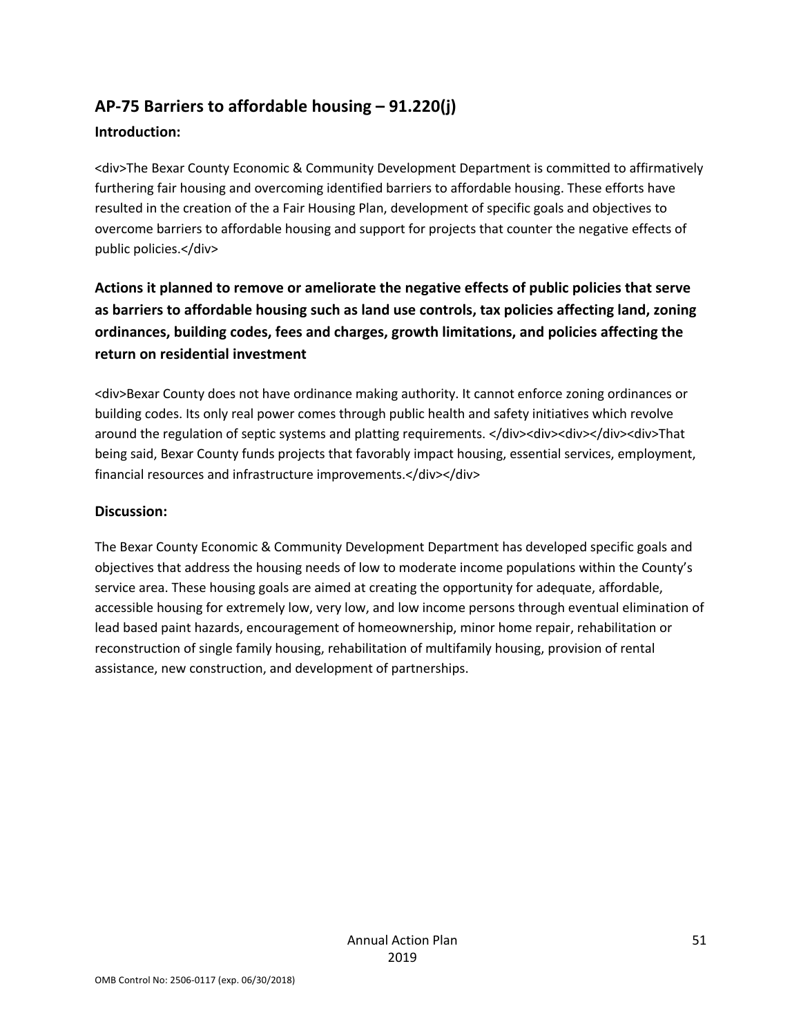# **AP-75 Barriers to affordable housing – 91.220(j)**

### **Introduction:**

<div>The Bexar County Economic & Community Development Department is committed to affirmatively furthering fair housing and overcoming identified barriers to affordable housing. These efforts have resulted in the creation of the a Fair Housing Plan, development of specific goals and objectives to overcome barriers to affordable housing and support for projects that counter the negative effects of public policies.</div>

## **Actions it planned to remove or ameliorate the negative effects of public policies that serve as barriers to affordable housing such as land use controls, tax policies affecting land, zoning ordinances, building codes, fees and charges, growth limitations, and policies affecting the return on residential investment**

<div>Bexar County does not have ordinance making authority. It cannot enforce zoning ordinances or building codes. Its only real power comes through public health and safety initiatives which revolve around the regulation of septic systems and platting requirements. </div><div><div></div><div>That being said, Bexar County funds projects that favorably impact housing, essential services, employment, financial resources and infrastructure improvements.</div></div>

### **Discussion:**

The Bexar County Economic & Community Development Department has developed specific goals and objectives that address the housing needs of low to moderate income populations within the County's service area. These housing goals are aimed at creating the opportunity for adequate, affordable, accessible housing for extremely low, very low, and low income persons through eventual elimination of lead based paint hazards, encouragement of homeownership, minor home repair, rehabilitation or reconstruction of single family housing, rehabilitation of multifamily housing, provision of rental assistance, new construction, and development of partnerships.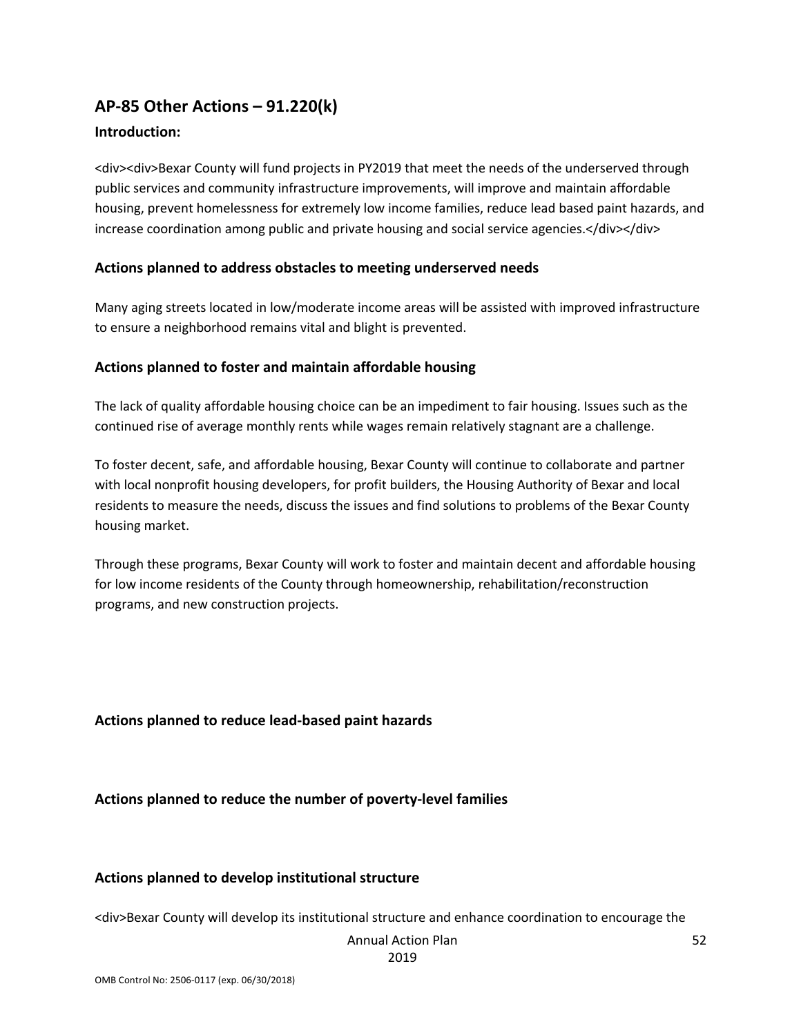## **AP-85 Other Actions – 91.220(k)**

### **Introduction:**

<div><div>Bexar County will fund projects in PY2019 that meet the needs of the underserved through public services and community infrastructure improvements, will improve and maintain affordable housing, prevent homelessness for extremely low income families, reduce lead based paint hazards, and increase coordination among public and private housing and social service agencies.</div></div>

#### **Actions planned to address obstacles to meeting underserved needs**

Many aging streets located in low/moderate income areas will be assisted with improved infrastructure to ensure a neighborhood remains vital and blight is prevented.

### **Actions planned to foster and maintain affordable housing**

The lack of quality affordable housing choice can be an impediment to fair housing. Issues such as the continued rise of average monthly rents while wages remain relatively stagnant are a challenge.

To foster decent, safe, and affordable housing, Bexar County will continue to collaborate and partner with local nonprofit housing developers, for profit builders, the Housing Authority of Bexar and local residents to measure the needs, discuss the issues and find solutions to problems of the Bexar County housing market.

Through these programs, Bexar County will work to foster and maintain decent and affordable housing for low income residents of the County through homeownership, rehabilitation/reconstruction programs, and new construction projects.

#### **Actions planned to reduce lead-based paint hazards**

**Actions planned to reduce the number of poverty-level families**

#### **Actions planned to develop institutional structure**

<div>Bexar County will develop its institutional structure and enhance coordination to encourage the

#### Annual Action Plan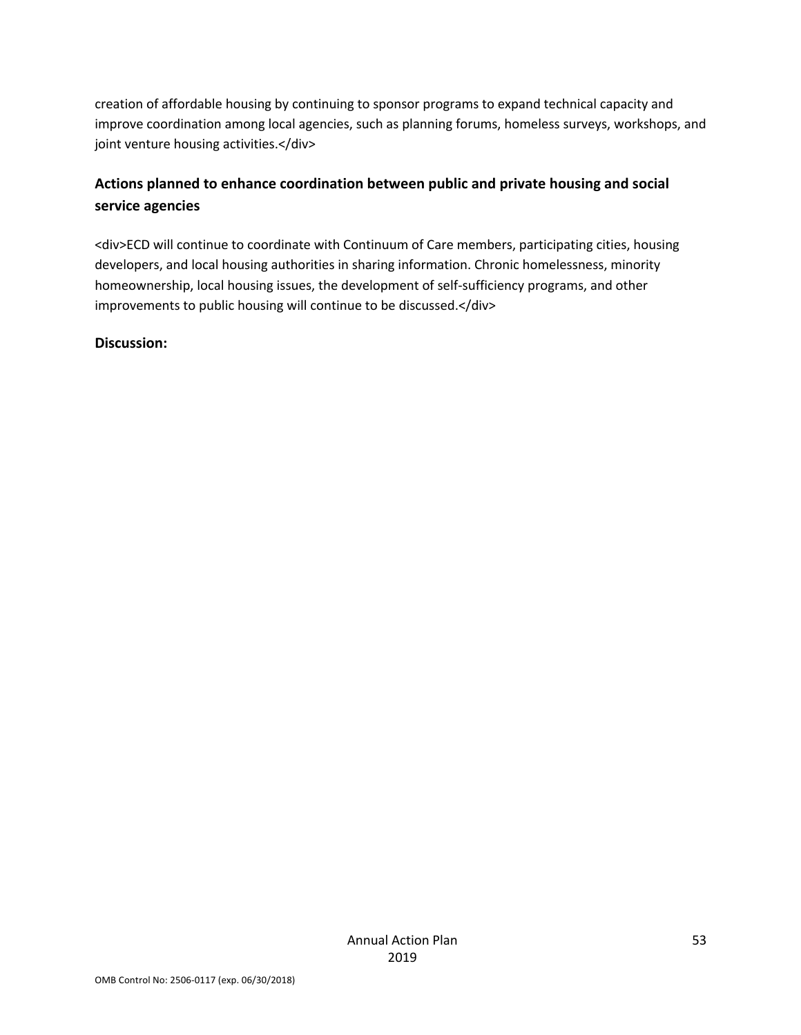creation of affordable housing by continuing to sponsor programs to expand technical capacity and improve coordination among local agencies, such as planning forums, homeless surveys, workshops, and joint venture housing activities.</div>

## **Actions planned to enhance coordination between public and private housing and social service agencies**

<div>ECD will continue to coordinate with Continuum of Care members, participating cities, housing developers, and local housing authorities in sharing information. Chronic homelessness, minority homeownership, local housing issues, the development of self-sufficiency programs, and other improvements to public housing will continue to be discussed.</div>

### **Discussion:**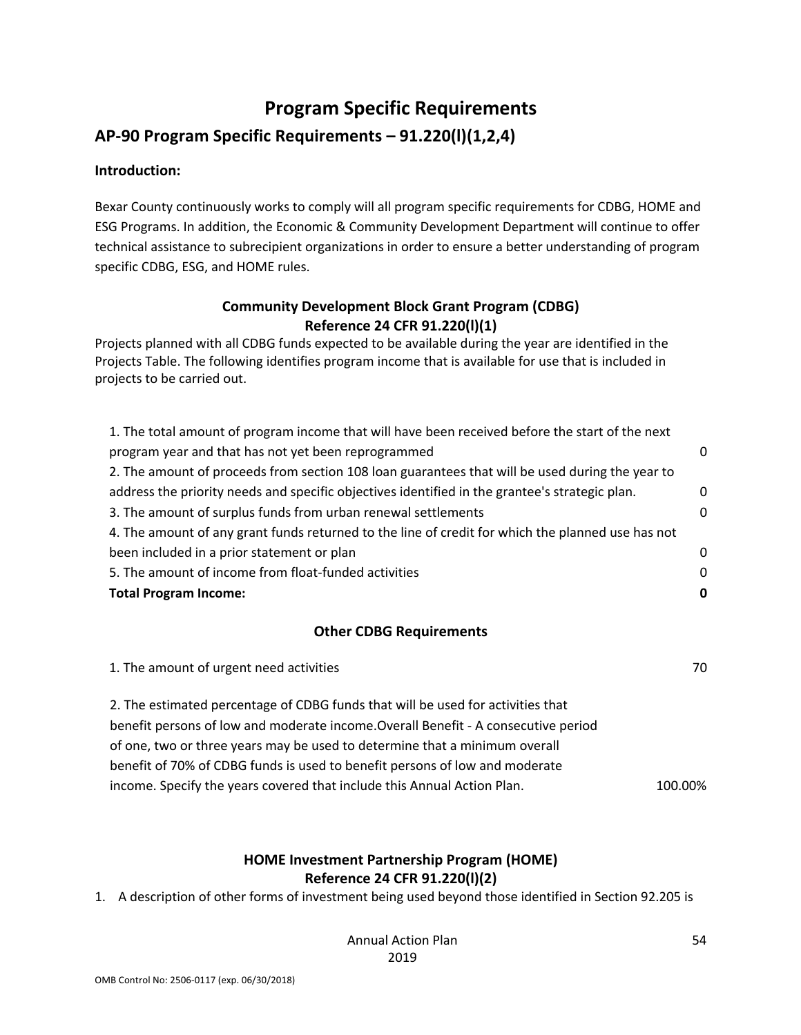# **Program Specific Requirements**

### **AP-90 Program Specific Requirements – 91.220(l)(1,2,4)**

#### **Introduction:**

Bexar County continuously works to comply will all program specific requirements for CDBG, HOME and ESG Programs. In addition, the Economic & Community Development Department will continue to offer technical assistance to subrecipient organizations in order to ensure a better understanding of program specific CDBG, ESG, and HOME rules.

### **Community Development Block Grant Program (CDBG) Reference 24 CFR 91.220(l)(1)**

Projects planned with all CDBG funds expected to be available during the year are identified in the Projects Table. The following identifies program income that is available for use that is included in projects to be carried out.

| 1. The total amount of program income that will have been received before the start of the next   |          |
|---------------------------------------------------------------------------------------------------|----------|
| program year and that has not yet been reprogrammed                                               | 0        |
| 2. The amount of proceeds from section 108 loan guarantees that will be used during the year to   |          |
| address the priority needs and specific objectives identified in the grantee's strategic plan.    | $\Omega$ |
| 3. The amount of surplus funds from urban renewal settlements                                     | n        |
| 4. The amount of any grant funds returned to the line of credit for which the planned use has not |          |
| been included in a prior statement or plan                                                        | 0        |
| 5. The amount of income from float-funded activities                                              | $\Omega$ |
| <b>Total Program Income:</b>                                                                      | 0        |

#### **Other CDBG Requirements**

| 1. The amount of urgent need activities                                            | 70      |
|------------------------------------------------------------------------------------|---------|
| 2. The estimated percentage of CDBG funds that will be used for activities that    |         |
| benefit persons of low and moderate income. Overall Benefit - A consecutive period |         |
| of one, two or three years may be used to determine that a minimum overall         |         |
| benefit of 70% of CDBG funds is used to benefit persons of low and moderate        |         |
| income. Specify the years covered that include this Annual Action Plan.            | 100.00% |

### **HOME Investment Partnership Program (HOME) Reference 24 CFR 91.220(l)(2)**

1. A description of other forms of investment being used beyond those identified in Section 92.205 is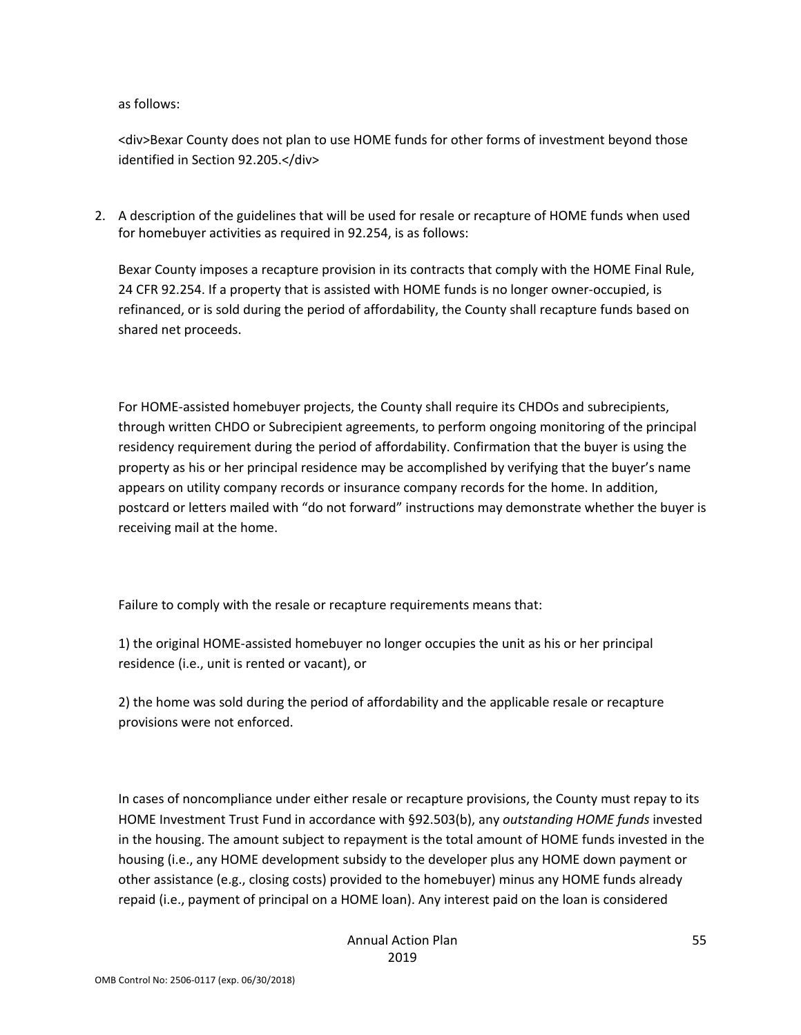as follows:

<div>Bexar County does not plan to use HOME funds for other forms of investment beyond those identified in Section 92.205.</div>

2. A description of the guidelines that will be used for resale or recapture of HOME funds when used for homebuyer activities as required in 92.254, is as follows:

Bexar County imposes a recapture provision in its contracts that comply with the HOME Final Rule, 24 CFR 92.254. If a property that is assisted with HOME funds is no longer owner-occupied, is refinanced, or is sold during the period of affordability, the County shall recapture funds based on shared net proceeds.

For HOME-assisted homebuyer projects, the County shall require its CHDOs and subrecipients, through written CHDO or Subrecipient agreements, to perform ongoing monitoring of the principal residency requirement during the period of affordability. Confirmation that the buyer is using the property as his or her principal residence may be accomplished by verifying that the buyer's name appears on utility company records or insurance company records for the home. In addition, postcard or letters mailed with "do not forward" instructions may demonstrate whether the buyer is receiving mail at the home.

Failure to comply with the resale or recapture requirements means that:

1) the original HOME-assisted homebuyer no longer occupies the unit as his or her principal residence (i.e., unit is rented or vacant), or

2) the home was sold during the period of affordability and the applicable resale or recapture provisions were not enforced.

In cases of noncompliance under either resale or recapture provisions, the County must repay to its HOME Investment Trust Fund in accordance with §92.503(b), any *outstanding HOME funds* invested in the housing. The amount subject to repayment is the total amount of HOME funds invested in the housing (i.e., any HOME development subsidy to the developer plus any HOME down payment or other assistance (e.g., closing costs) provided to the homebuyer) minus any HOME funds already repaid (i.e., payment of principal on a HOME loan). Any interest paid on the loan is considered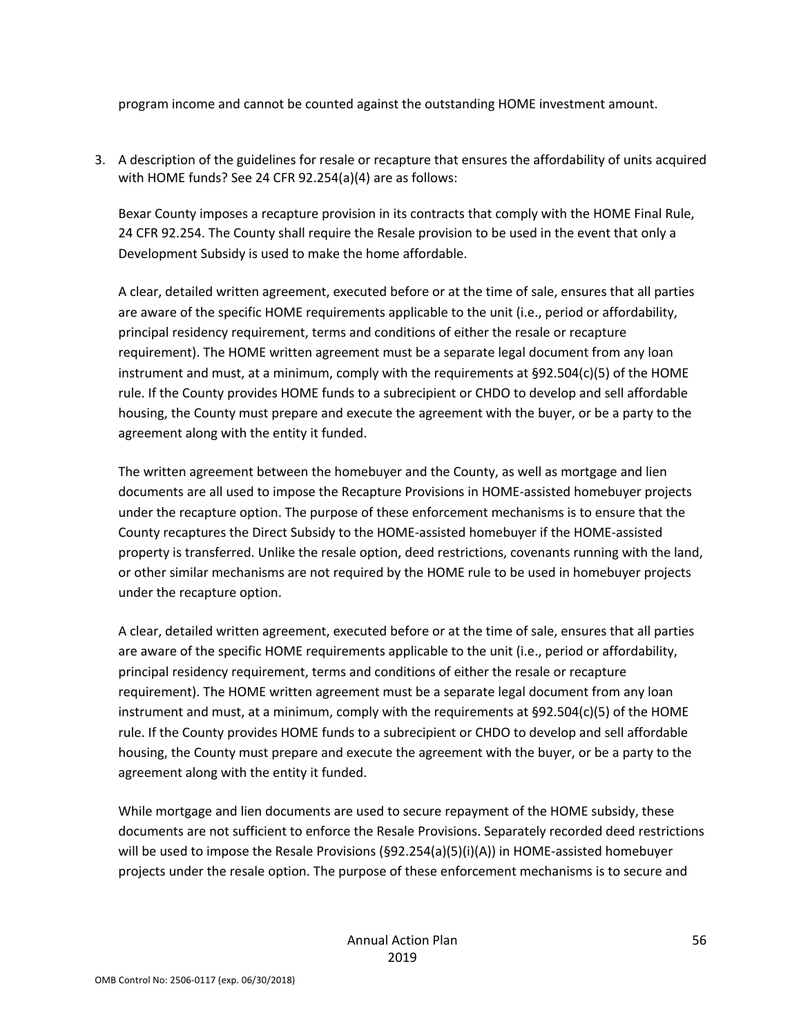program income and cannot be counted against the outstanding HOME investment amount.

3. A description of the guidelines for resale or recapture that ensures the affordability of units acquired with HOME funds? See 24 CFR 92.254(a)(4) are as follows:

Bexar County imposes a recapture provision in its contracts that comply with the HOME Final Rule, 24 CFR 92.254. The County shall require the Resale provision to be used in the event that only a Development Subsidy is used to make the home affordable.

A clear, detailed written agreement, executed before or at the time of sale, ensures that all parties are aware of the specific HOME requirements applicable to the unit (i.e., period or affordability, principal residency requirement, terms and conditions of either the resale or recapture requirement). The HOME written agreement must be a separate legal document from any loan instrument and must, at a minimum, comply with the requirements at §92.504(c)(5) of the HOME rule. If the County provides HOME funds to a subrecipient or CHDO to develop and sell affordable housing, the County must prepare and execute the agreement with the buyer, or be a party to the agreement along with the entity it funded.

The written agreement between the homebuyer and the County, as well as mortgage and lien documents are all used to impose the Recapture Provisions in HOME-assisted homebuyer projects under the recapture option. The purpose of these enforcement mechanisms is to ensure that the County recaptures the Direct Subsidy to the HOME-assisted homebuyer if the HOME-assisted property is transferred. Unlike the resale option, deed restrictions, covenants running with the land, or other similar mechanisms are not required by the HOME rule to be used in homebuyer projects under the recapture option.

A clear, detailed written agreement, executed before or at the time of sale, ensures that all parties are aware of the specific HOME requirements applicable to the unit (i.e., period or affordability, principal residency requirement, terms and conditions of either the resale or recapture requirement). The HOME written agreement must be a separate legal document from any loan instrument and must, at a minimum, comply with the requirements at §92.504(c)(5) of the HOME rule. If the County provides HOME funds to a subrecipient or CHDO to develop and sell affordable housing, the County must prepare and execute the agreement with the buyer, or be a party to the agreement along with the entity it funded.

While mortgage and lien documents are used to secure repayment of the HOME subsidy, these documents are not sufficient to enforce the Resale Provisions. Separately recorded deed restrictions will be used to impose the Resale Provisions (§92.254(a)(5)(i)(A)) in HOME-assisted homebuyer projects under the resale option. The purpose of these enforcement mechanisms is to secure and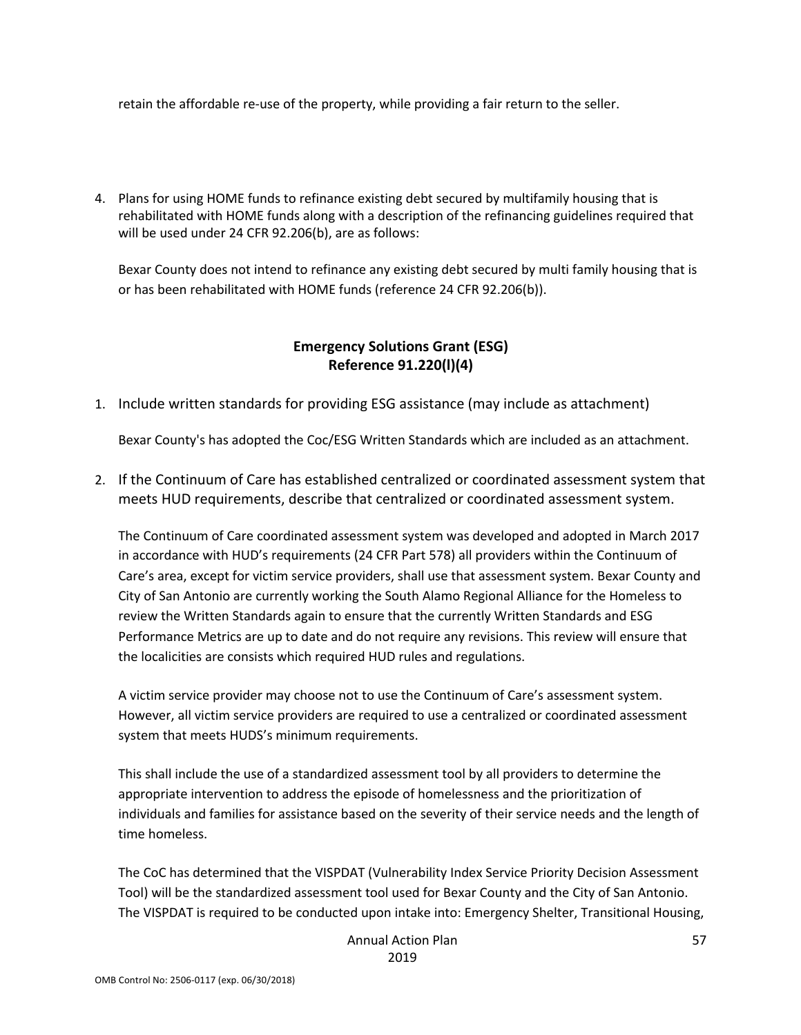retain the affordable re-use of the property, while providing a fair return to the seller.

4. Plans for using HOME funds to refinance existing debt secured by multifamily housing that is rehabilitated with HOME funds along with a description of the refinancing guidelines required that will be used under 24 CFR 92.206(b), are as follows:

Bexar County does not intend to refinance any existing debt secured by multi family housing that is or has been rehabilitated with HOME funds (reference 24 CFR 92.206(b)).

### **Emergency Solutions Grant (ESG) Reference 91.220(l)(4)**

1. Include written standards for providing ESG assistance (may include as attachment)

Bexar County's has adopted the Coc/ESG Written Standards which are included as an attachment.

2. If the Continuum of Care has established centralized or coordinated assessment system that meets HUD requirements, describe that centralized or coordinated assessment system.

The Continuum of Care coordinated assessment system was developed and adopted in March 2017 in accordance with HUD's requirements (24 CFR Part 578) all providers within the Continuum of Care's area, except for victim service providers, shall use that assessment system. Bexar County and City of San Antonio are currently working the South Alamo Regional Alliance for the Homeless to review the Written Standards again to ensure that the currently Written Standards and ESG Performance Metrics are up to date and do not require any revisions. This review will ensure that the localicities are consists which required HUD rules and regulations.

A victim service provider may choose not to use the Continuum of Care's assessment system. However, all victim service providers are required to use a centralized or coordinated assessment system that meets HUDS's minimum requirements.

This shall include the use of a standardized assessment tool by all providers to determine the appropriate intervention to address the episode of homelessness and the prioritization of individuals and families for assistance based on the severity of their service needs and the length of time homeless.

The CoC has determined that the VISPDAT (Vulnerability Index Service Priority Decision Assessment Tool) will be the standardized assessment tool used for Bexar County and the City of San Antonio. The VISPDAT is required to be conducted upon intake into: Emergency Shelter, Transitional Housing,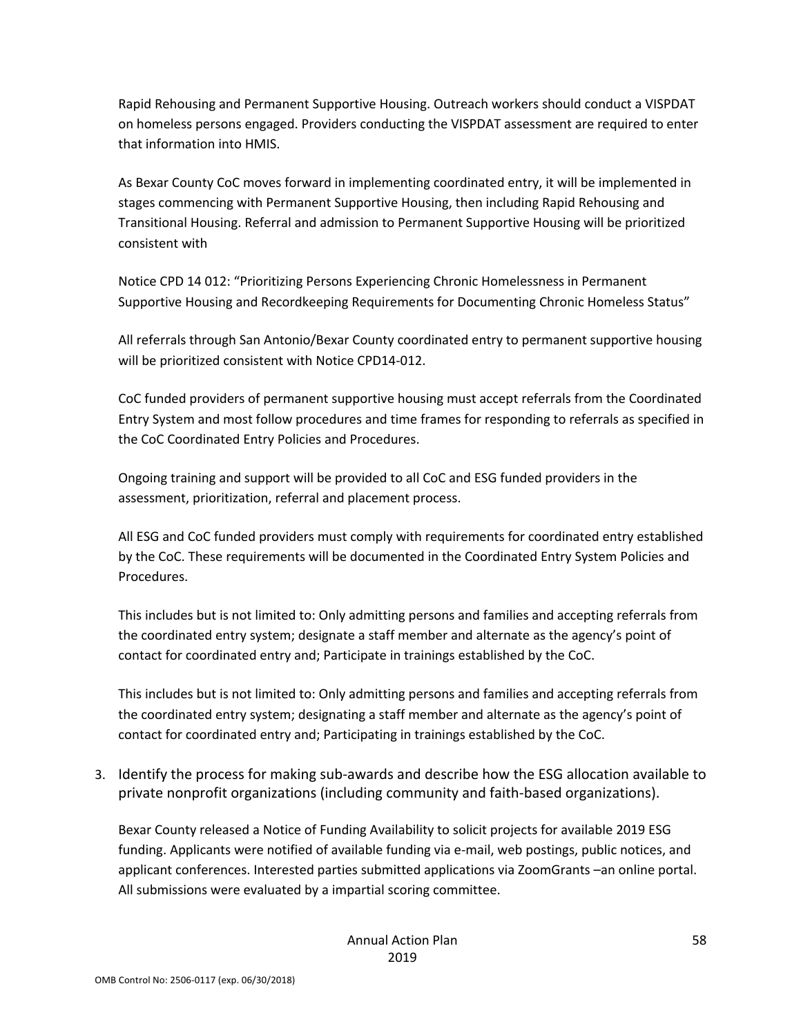Rapid Rehousing and Permanent Supportive Housing. Outreach workers should conduct a VISPDAT on homeless persons engaged. Providers conducting the VISPDAT assessment are required to enter that information into HMIS.

As Bexar County CoC moves forward in implementing coordinated entry, it will be implemented in stages commencing with Permanent Supportive Housing, then including Rapid Rehousing and Transitional Housing. Referral and admission to Permanent Supportive Housing will be prioritized consistent with

Notice CPD 14 012: "Prioritizing Persons Experiencing Chronic Homelessness in Permanent Supportive Housing and Recordkeeping Requirements for Documenting Chronic Homeless Status"

All referrals through San Antonio/Bexar County coordinated entry to permanent supportive housing will be prioritized consistent with Notice CPD14-012.

CoC funded providers of permanent supportive housing must accept referrals from the Coordinated Entry System and most follow procedures and time frames for responding to referrals as specified in the CoC Coordinated Entry Policies and Procedures.

Ongoing training and support will be provided to all CoC and ESG funded providers in the assessment, prioritization, referral and placement process.

All ESG and CoC funded providers must comply with requirements for coordinated entry established by the CoC. These requirements will be documented in the Coordinated Entry System Policies and Procedures.

This includes but is not limited to: Only admitting persons and families and accepting referrals from the coordinated entry system; designate a staff member and alternate as the agency's point of contact for coordinated entry and; Participate in trainings established by the CoC.

This includes but is not limited to: Only admitting persons and families and accepting referrals from the coordinated entry system; designating a staff member and alternate as the agency's point of contact for coordinated entry and; Participating in trainings established by the CoC.

3. Identify the process for making sub-awards and describe how the ESG allocation available to private nonprofit organizations (including community and faith-based organizations).

Bexar County released a Notice of Funding Availability to solicit projects for available 2019 ESG funding. Applicants were notified of available funding via e-mail, web postings, public notices, and applicant conferences. Interested parties submitted applications via ZoomGrants –an online portal. All submissions were evaluated by a impartial scoring committee.